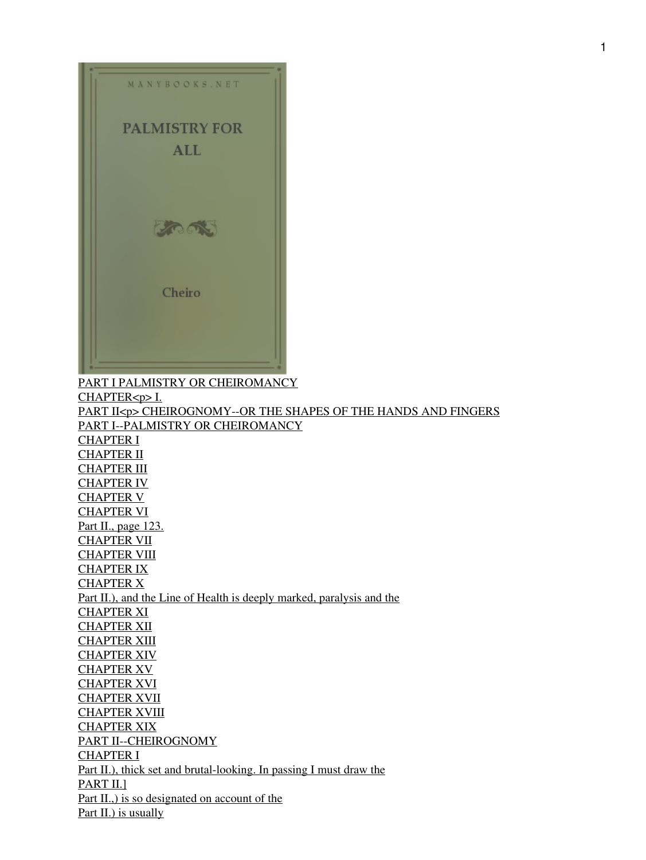

[PART I PALMISTRY OR CHEIROMANCY](#page-9-0) [CHAPTER<p> I.](#page-10-0) [PART II<p> CHEIROGNOMY--OR THE SHAPES OF THE HANDS AND FINGERS](#page-10-1) [PART I--PALMISTRY OR CHEIROMANCY](#page-13-0) [CHAPTER I](#page-64-0) [CHAPTER II](#page-69-0) **[CHAPTER III](#page-72-0)** [CHAPTER IV](#page-74-0) [CHAPTER V](#page-76-0) [CHAPTER VI](#page-78-0) [Part II., page 123.](#page-38-0) [CHAPTER VII](#page-81-0) **[CHAPTER VIII](#page-83-0)** [CHAPTER IX](#page-86-0) [CHAPTER X](#page-88-0) [Part II.\), and the Line of Health is deeply marked, paralysis and the](#page-48-0) [CHAPTER XI](#page-91-0) [CHAPTER XII](#page-94-0) [CHAPTER XIII](#page-97-0) [CHAPTER XIV](#page-53-0) [CHAPTER XV](#page-55-0) [CHAPTER XVI](#page-57-0) **[CHAPTER XVII](#page-59-0) [CHAPTER XVIII](#page-61-0)** [CHAPTER XIX](#page-62-0) [PART II--CHEIROGNOMY](#page-63-0) [CHAPTER I](#page-64-0) [Part II.\), thick set and brutal-looking. In passing I must draw the](#page-64-1) [PART II.\]](#page-74-1) Part II., is so designated on account of the [Part II.\) is usually](#page-65-1)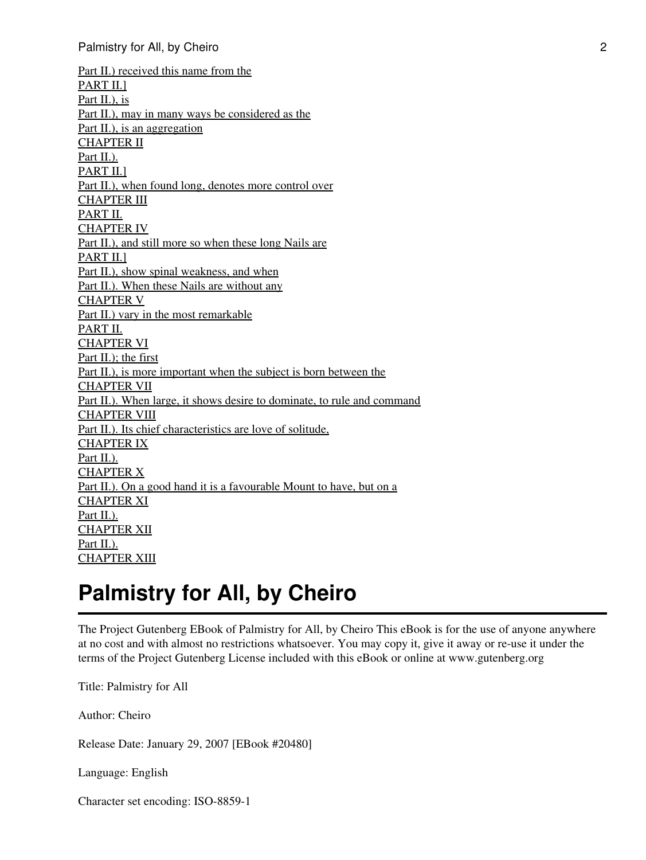[Part II.\) received this name from the](#page-66-0) [PART II.\]](#page-74-1) [Part II.\), is](#page-67-0) [Part II.\), may in many ways be considered as the](#page-67-1) [Part II.\), is an aggregation](#page-68-0) [CHAPTER II](#page-69-0) [Part II.\).](#page-94-1) [PART II.\]](#page-74-1) [Part II.\), when found long, denotes more control over](#page-71-0) [CHAPTER III](#page-72-0) [PART II.](#page-76-1) [CHAPTER IV](#page-74-0) [Part II.\), and still more so when these long Nails are](#page-74-2) PART II.1 [Part II.\), show spinal weakness, and when](#page-75-0) [Part II.\). When these Nails are without any](#page-75-1) [CHAPTER V](#page-76-0) [Part II.\) vary in the most remarkable](#page-76-2) [PART II.](#page-76-1) [CHAPTER VI](#page-78-0) [Part II.\); the first](#page-78-1) [Part II.\), is more important when the subject is born between the](#page-79-0) [CHAPTER VII](#page-81-0) [Part II.\). When large, it shows desire to dominate, to rule and command](#page-81-1) [CHAPTER VIII](#page-83-0) [Part II.\). Its chief characteristics are love of solitude,](#page-83-1) [CHAPTER IX](#page-86-0) [Part II.\).](#page-94-1) [CHAPTER X](#page-88-0) [Part II.\). On a good hand it is a favourable Mount to have, but on a](#page-88-1) [CHAPTER XI](#page-91-0) [Part II.\).](#page-94-1) [CHAPTER XII](#page-94-0) [Part II.\).](#page-94-1) [CHAPTER XIII](#page-97-0)

# **Palmistry for All, by Cheiro**

The Project Gutenberg EBook of Palmistry for All, by Cheiro This eBook is for the use of anyone anywhere at no cost and with almost no restrictions whatsoever. You may copy it, give it away or re-use it under the terms of the Project Gutenberg License included with this eBook or online at www.gutenberg.org

Title: Palmistry for All

Author: Cheiro

Release Date: January 29, 2007 [EBook #20480]

Language: English

Character set encoding: ISO-8859-1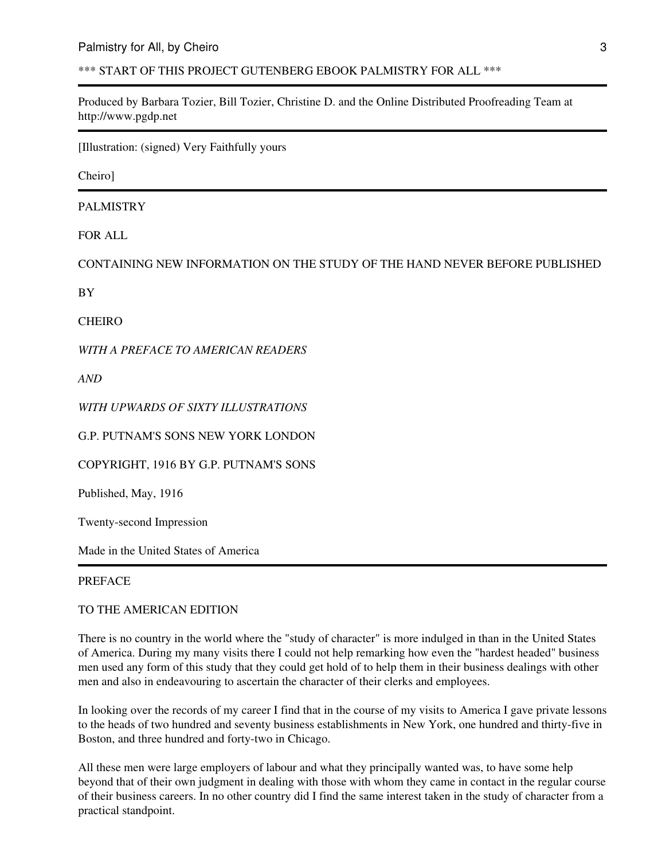\*\*\* START OF THIS PROJECT GUTENBERG EBOOK PALMISTRY FOR ALL \*\*\*

Produced by Barbara Tozier, Bill Tozier, Christine D. and the Online Distributed Proofreading Team at http://www.pgdp.net

[Illustration: (signed) Very Faithfully yours

Cheiro]

PALMISTRY

FOR ALL

CONTAINING NEW INFORMATION ON THE STUDY OF THE HAND NEVER BEFORE PUBLISHED

BY

CHEIRO

*WITH A PREFACE TO AMERICAN READERS*

*AND*

*WITH UPWARDS OF SIXTY ILLUSTRATIONS*

G.P. PUTNAM'S SONS NEW YORK LONDON

COPYRIGHT, 1916 BY G.P. PUTNAM'S SONS

Published, May, 1916

Twenty-second Impression

Made in the United States of America

#### PREFACE

TO THE AMERICAN EDITION

There is no country in the world where the "study of character" is more indulged in than in the United States of America. During my many visits there I could not help remarking how even the "hardest headed" business men used any form of this study that they could get hold of to help them in their business dealings with other men and also in endeavouring to ascertain the character of their clerks and employees.

In looking over the records of my career I find that in the course of my visits to America I gave private lessons to the heads of two hundred and seventy business establishments in New York, one hundred and thirty-five in Boston, and three hundred and forty-two in Chicago.

All these men were large employers of labour and what they principally wanted was, to have some help beyond that of their own judgment in dealing with those with whom they came in contact in the regular course of their business careers. In no other country did I find the same interest taken in the study of character from a practical standpoint.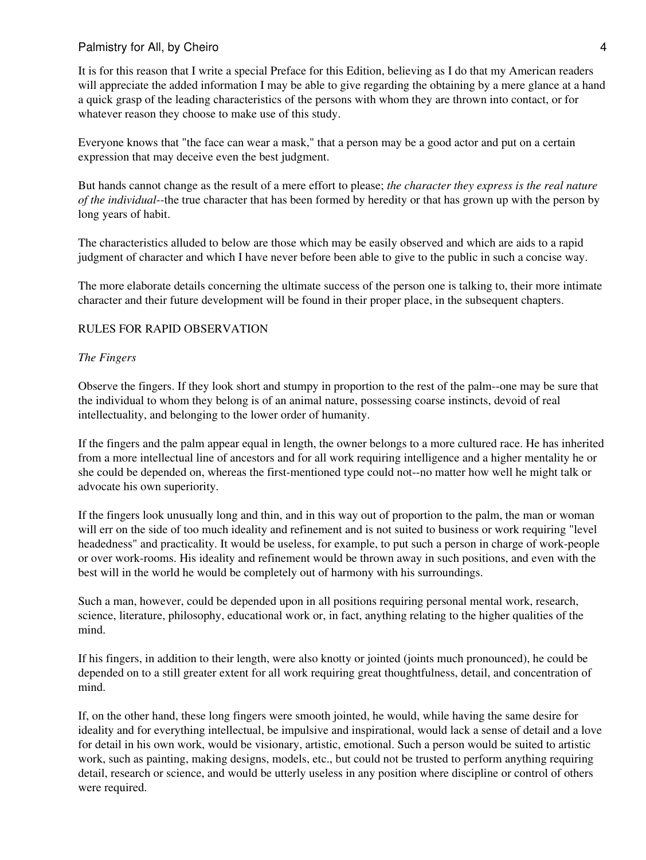It is for this reason that I write a special Preface for this Edition, believing as I do that my American readers will appreciate the added information I may be able to give regarding the obtaining by a mere glance at a hand a quick grasp of the leading characteristics of the persons with whom they are thrown into contact, or for whatever reason they choose to make use of this study.

Everyone knows that "the face can wear a mask," that a person may be a good actor and put on a certain expression that may deceive even the best judgment.

But hands cannot change as the result of a mere effort to please; *the character they express is the real nature of the individual*--the true character that has been formed by heredity or that has grown up with the person by long years of habit.

The characteristics alluded to below are those which may be easily observed and which are aids to a rapid judgment of character and which I have never before been able to give to the public in such a concise way.

The more elaborate details concerning the ultimate success of the person one is talking to, their more intimate character and their future development will be found in their proper place, in the subsequent chapters.

#### RULES FOR RAPID OBSERVATION

#### *The Fingers*

Observe the fingers. If they look short and stumpy in proportion to the rest of the palm--one may be sure that the individual to whom they belong is of an animal nature, possessing coarse instincts, devoid of real intellectuality, and belonging to the lower order of humanity.

If the fingers and the palm appear equal in length, the owner belongs to a more cultured race. He has inherited from a more intellectual line of ancestors and for all work requiring intelligence and a higher mentality he or she could be depended on, whereas the first-mentioned type could not--no matter how well he might talk or advocate his own superiority.

If the fingers look unusually long and thin, and in this way out of proportion to the palm, the man or woman will err on the side of too much ideality and refinement and is not suited to business or work requiring "level headedness" and practicality. It would be useless, for example, to put such a person in charge of work-people or over work-rooms. His ideality and refinement would be thrown away in such positions, and even with the best will in the world he would be completely out of harmony with his surroundings.

Such a man, however, could be depended upon in all positions requiring personal mental work, research, science, literature, philosophy, educational work or, in fact, anything relating to the higher qualities of the mind.

If his fingers, in addition to their length, were also knotty or jointed (joints much pronounced), he could be depended on to a still greater extent for all work requiring great thoughtfulness, detail, and concentration of mind.

If, on the other hand, these long fingers were smooth jointed, he would, while having the same desire for ideality and for everything intellectual, be impulsive and inspirational, would lack a sense of detail and a love for detail in his own work, would be visionary, artistic, emotional. Such a person would be suited to artistic work, such as painting, making designs, models, etc., but could not be trusted to perform anything requiring detail, research or science, and would be utterly useless in any position where discipline or control of others were required.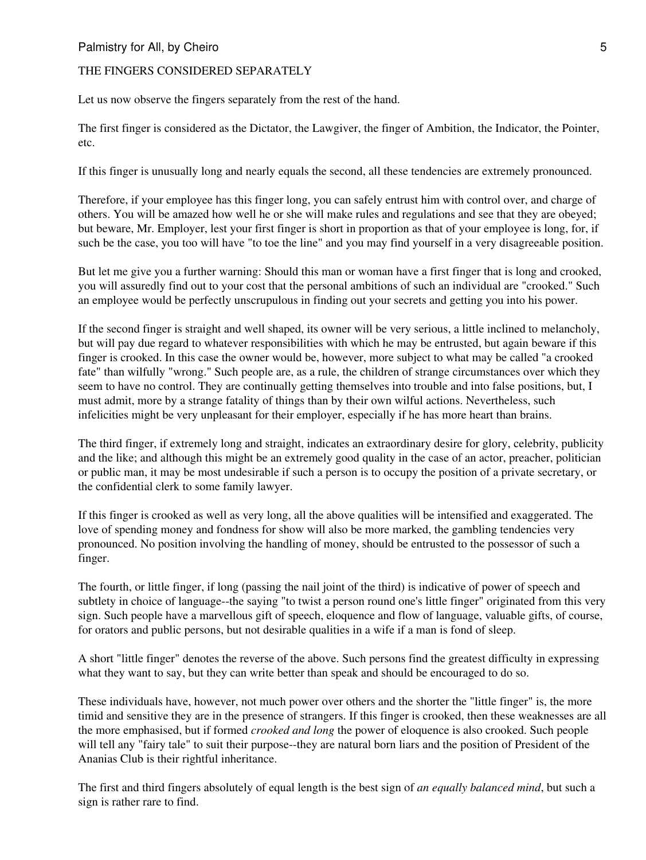#### THE FINGERS CONSIDERED SEPARATELY

Let us now observe the fingers separately from the rest of the hand.

The first finger is considered as the Dictator, the Lawgiver, the finger of Ambition, the Indicator, the Pointer, etc.

If this finger is unusually long and nearly equals the second, all these tendencies are extremely pronounced.

Therefore, if your employee has this finger long, you can safely entrust him with control over, and charge of others. You will be amazed how well he or she will make rules and regulations and see that they are obeyed; but beware, Mr. Employer, lest your first finger is short in proportion as that of your employee is long, for, if such be the case, you too will have "to toe the line" and you may find yourself in a very disagreeable position.

But let me give you a further warning: Should this man or woman have a first finger that is long and crooked, you will assuredly find out to your cost that the personal ambitions of such an individual are "crooked." Such an employee would be perfectly unscrupulous in finding out your secrets and getting you into his power.

If the second finger is straight and well shaped, its owner will be very serious, a little inclined to melancholy, but will pay due regard to whatever responsibilities with which he may be entrusted, but again beware if this finger is crooked. In this case the owner would be, however, more subject to what may be called "a crooked fate" than wilfully "wrong." Such people are, as a rule, the children of strange circumstances over which they seem to have no control. They are continually getting themselves into trouble and into false positions, but, I must admit, more by a strange fatality of things than by their own wilful actions. Nevertheless, such infelicities might be very unpleasant for their employer, especially if he has more heart than brains.

The third finger, if extremely long and straight, indicates an extraordinary desire for glory, celebrity, publicity and the like; and although this might be an extremely good quality in the case of an actor, preacher, politician or public man, it may be most undesirable if such a person is to occupy the position of a private secretary, or the confidential clerk to some family lawyer.

If this finger is crooked as well as very long, all the above qualities will be intensified and exaggerated. The love of spending money and fondness for show will also be more marked, the gambling tendencies very pronounced. No position involving the handling of money, should be entrusted to the possessor of such a finger.

The fourth, or little finger, if long (passing the nail joint of the third) is indicative of power of speech and subtlety in choice of language--the saying "to twist a person round one's little finger" originated from this very sign. Such people have a marvellous gift of speech, eloquence and flow of language, valuable gifts, of course, for orators and public persons, but not desirable qualities in a wife if a man is fond of sleep.

A short "little finger" denotes the reverse of the above. Such persons find the greatest difficulty in expressing what they want to say, but they can write better than speak and should be encouraged to do so.

These individuals have, however, not much power over others and the shorter the "little finger" is, the more timid and sensitive they are in the presence of strangers. If this finger is crooked, then these weaknesses are all the more emphasised, but if formed *crooked and long* the power of eloquence is also crooked. Such people will tell any "fairy tale" to suit their purpose--they are natural born liars and the position of President of the Ananias Club is their rightful inheritance.

The first and third fingers absolutely of equal length is the best sign of *an equally balanced mind*, but such a sign is rather rare to find.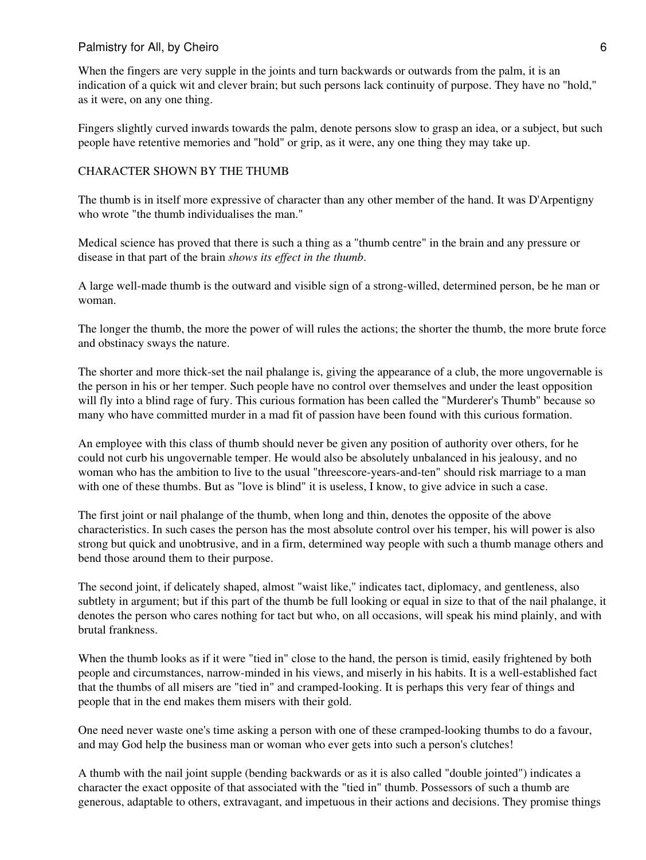When the fingers are very supple in the joints and turn backwards or outwards from the palm, it is an indication of a quick wit and clever brain; but such persons lack continuity of purpose. They have no "hold," as it were, on any one thing.

Fingers slightly curved inwards towards the palm, denote persons slow to grasp an idea, or a subject, but such people have retentive memories and "hold" or grip, as it were, any one thing they may take up.

#### CHARACTER SHOWN BY THE THUMB

The thumb is in itself more expressive of character than any other member of the hand. It was D'Arpentigny who wrote "the thumb individualises the man."

Medical science has proved that there is such a thing as a "thumb centre" in the brain and any pressure or disease in that part of the brain *shows its effect in the thumb*.

A large well-made thumb is the outward and visible sign of a strong-willed, determined person, be he man or woman.

The longer the thumb, the more the power of will rules the actions; the shorter the thumb, the more brute force and obstinacy sways the nature.

The shorter and more thick-set the nail phalange is, giving the appearance of a club, the more ungovernable is the person in his or her temper. Such people have no control over themselves and under the least opposition will fly into a blind rage of fury. This curious formation has been called the "Murderer's Thumb" because so many who have committed murder in a mad fit of passion have been found with this curious formation.

An employee with this class of thumb should never be given any position of authority over others, for he could not curb his ungovernable temper. He would also be absolutely unbalanced in his jealousy, and no woman who has the ambition to live to the usual "threescore-years-and-ten" should risk marriage to a man with one of these thumbs. But as "love is blind" it is useless, I know, to give advice in such a case.

The first joint or nail phalange of the thumb, when long and thin, denotes the opposite of the above characteristics. In such cases the person has the most absolute control over his temper, his will power is also strong but quick and unobtrusive, and in a firm, determined way people with such a thumb manage others and bend those around them to their purpose.

The second joint, if delicately shaped, almost "waist like," indicates tact, diplomacy, and gentleness, also subtlety in argument; but if this part of the thumb be full looking or equal in size to that of the nail phalange, it denotes the person who cares nothing for tact but who, on all occasions, will speak his mind plainly, and with brutal frankness.

When the thumb looks as if it were "tied in" close to the hand, the person is timid, easily frightened by both people and circumstances, narrow-minded in his views, and miserly in his habits. It is a well-established fact that the thumbs of all misers are "tied in" and cramped-looking. It is perhaps this very fear of things and people that in the end makes them misers with their gold.

One need never waste one's time asking a person with one of these cramped-looking thumbs to do a favour, and may God help the business man or woman who ever gets into such a person's clutches!

A thumb with the nail joint supple (bending backwards or as it is also called "double jointed") indicates a character the exact opposite of that associated with the "tied in" thumb. Possessors of such a thumb are generous, adaptable to others, extravagant, and impetuous in their actions and decisions. They promise things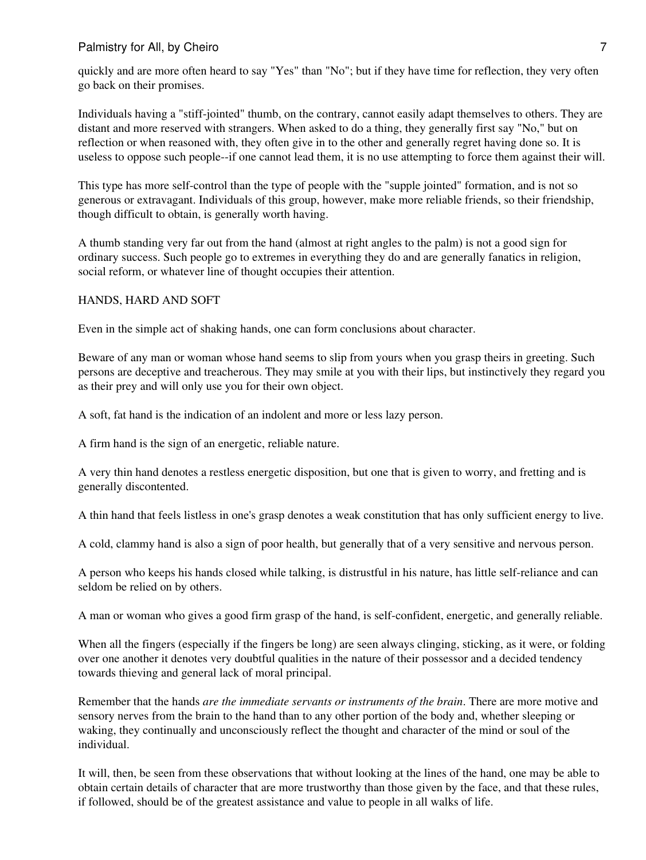quickly and are more often heard to say "Yes" than "No"; but if they have time for reflection, they very often go back on their promises.

Individuals having a "stiff-jointed" thumb, on the contrary, cannot easily adapt themselves to others. They are distant and more reserved with strangers. When asked to do a thing, they generally first say "No," but on reflection or when reasoned with, they often give in to the other and generally regret having done so. It is useless to oppose such people--if one cannot lead them, it is no use attempting to force them against their will.

This type has more self-control than the type of people with the "supple jointed" formation, and is not so generous or extravagant. Individuals of this group, however, make more reliable friends, so their friendship, though difficult to obtain, is generally worth having.

A thumb standing very far out from the hand (almost at right angles to the palm) is not a good sign for ordinary success. Such people go to extremes in everything they do and are generally fanatics in religion, social reform, or whatever line of thought occupies their attention.

#### HANDS, HARD AND SOFT

Even in the simple act of shaking hands, one can form conclusions about character.

Beware of any man or woman whose hand seems to slip from yours when you grasp theirs in greeting. Such persons are deceptive and treacherous. They may smile at you with their lips, but instinctively they regard you as their prey and will only use you for their own object.

A soft, fat hand is the indication of an indolent and more or less lazy person.

A firm hand is the sign of an energetic, reliable nature.

A very thin hand denotes a restless energetic disposition, but one that is given to worry, and fretting and is generally discontented.

A thin hand that feels listless in one's grasp denotes a weak constitution that has only sufficient energy to live.

A cold, clammy hand is also a sign of poor health, but generally that of a very sensitive and nervous person.

A person who keeps his hands closed while talking, is distrustful in his nature, has little self-reliance and can seldom be relied on by others.

A man or woman who gives a good firm grasp of the hand, is self-confident, energetic, and generally reliable.

When all the fingers (especially if the fingers be long) are seen always clinging, sticking, as it were, or folding over one another it denotes very doubtful qualities in the nature of their possessor and a decided tendency towards thieving and general lack of moral principal.

Remember that the hands *are the immediate servants or instruments of the brain*. There are more motive and sensory nerves from the brain to the hand than to any other portion of the body and, whether sleeping or waking, they continually and unconsciously reflect the thought and character of the mind or soul of the individual.

It will, then, be seen from these observations that without looking at the lines of the hand, one may be able to obtain certain details of character that are more trustworthy than those given by the face, and that these rules, if followed, should be of the greatest assistance and value to people in all walks of life.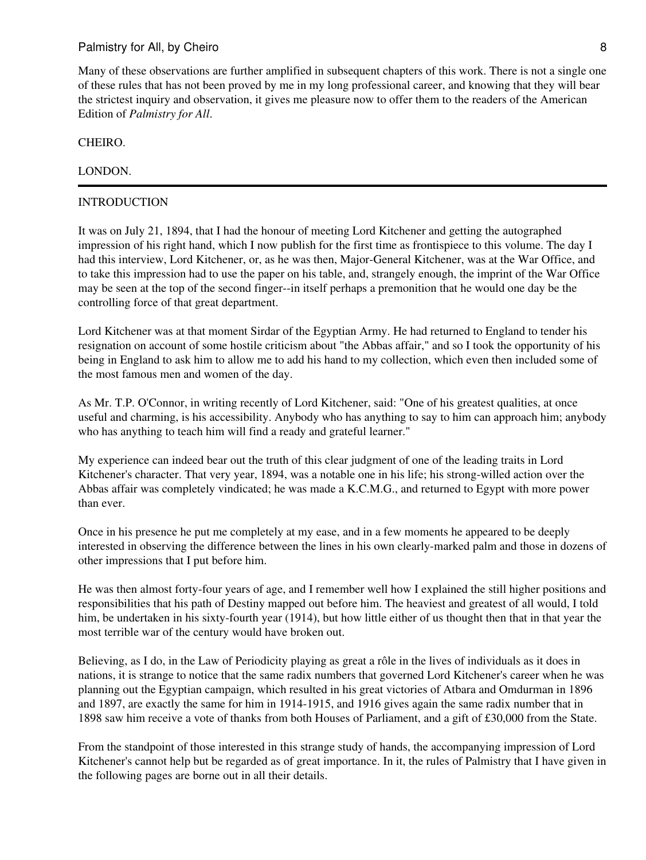#### CHEIRO.

#### LONDON.

#### INTRODUCTION

It was on July 21, 1894, that I had the honour of meeting Lord Kitchener and getting the autographed impression of his right hand, which I now publish for the first time as frontispiece to this volume. The day I had this interview, Lord Kitchener, or, as he was then, Major-General Kitchener, was at the War Office, and to take this impression had to use the paper on his table, and, strangely enough, the imprint of the War Office may be seen at the top of the second finger--in itself perhaps a premonition that he would one day be the controlling force of that great department.

Lord Kitchener was at that moment Sirdar of the Egyptian Army. He had returned to England to tender his resignation on account of some hostile criticism about "the Abbas affair," and so I took the opportunity of his being in England to ask him to allow me to add his hand to my collection, which even then included some of the most famous men and women of the day.

As Mr. T.P. O'Connor, in writing recently of Lord Kitchener, said: "One of his greatest qualities, at once useful and charming, is his accessibility. Anybody who has anything to say to him can approach him; anybody who has anything to teach him will find a ready and grateful learner."

My experience can indeed bear out the truth of this clear judgment of one of the leading traits in Lord Kitchener's character. That very year, 1894, was a notable one in his life; his strong-willed action over the Abbas affair was completely vindicated; he was made a K.C.M.G., and returned to Egypt with more power than ever.

Once in his presence he put me completely at my ease, and in a few moments he appeared to be deeply interested in observing the difference between the lines in his own clearly-marked palm and those in dozens of other impressions that I put before him.

He was then almost forty-four years of age, and I remember well how I explained the still higher positions and responsibilities that his path of Destiny mapped out before him. The heaviest and greatest of all would, I told him, be undertaken in his sixty-fourth year (1914), but how little either of us thought then that in that year the most terrible war of the century would have broken out.

Believing, as I do, in the Law of Periodicity playing as great a rôle in the lives of individuals as it does in nations, it is strange to notice that the same radix numbers that governed Lord Kitchener's career when he was planning out the Egyptian campaign, which resulted in his great victories of Atbara and Omdurman in 1896 and 1897, are exactly the same for him in 1914-1915, and 1916 gives again the same radix number that in 1898 saw him receive a vote of thanks from both Houses of Parliament, and a gift of £30,000 from the State.

From the standpoint of those interested in this strange study of hands, the accompanying impression of Lord Kitchener's cannot help but be regarded as of great importance. In it, the rules of Palmistry that I have given in the following pages are borne out in all their details.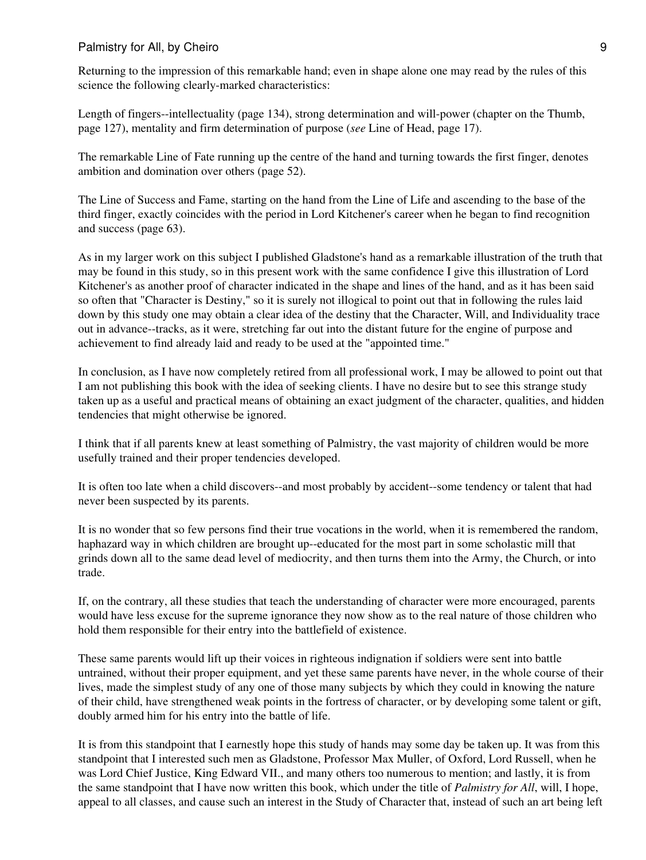Returning to the impression of this remarkable hand; even in shape alone one may read by the rules of this science the following clearly-marked characteristics:

Length of fingers--intellectuality (page 134), strong determination and will-power (chapter on the Thumb, page 127), mentality and firm determination of purpose (*see* Line of Head, page 17).

The remarkable Line of Fate running up the centre of the hand and turning towards the first finger, denotes ambition and domination over others (page 52).

The Line of Success and Fame, starting on the hand from the Line of Life and ascending to the base of the third finger, exactly coincides with the period in Lord Kitchener's career when he began to find recognition and success (page 63).

As in my larger work on this subject I published Gladstone's hand as a remarkable illustration of the truth that may be found in this study, so in this present work with the same confidence I give this illustration of Lord Kitchener's as another proof of character indicated in the shape and lines of the hand, and as it has been said so often that "Character is Destiny," so it is surely not illogical to point out that in following the rules laid down by this study one may obtain a clear idea of the destiny that the Character, Will, and Individuality trace out in advance--tracks, as it were, stretching far out into the distant future for the engine of purpose and achievement to find already laid and ready to be used at the "appointed time."

In conclusion, as I have now completely retired from all professional work, I may be allowed to point out that I am not publishing this book with the idea of seeking clients. I have no desire but to see this strange study taken up as a useful and practical means of obtaining an exact judgment of the character, qualities, and hidden tendencies that might otherwise be ignored.

I think that if all parents knew at least something of Palmistry, the vast majority of children would be more usefully trained and their proper tendencies developed.

It is often too late when a child discovers--and most probably by accident--some tendency or talent that had never been suspected by its parents.

It is no wonder that so few persons find their true vocations in the world, when it is remembered the random, haphazard way in which children are brought up--educated for the most part in some scholastic mill that grinds down all to the same dead level of mediocrity, and then turns them into the Army, the Church, or into trade.

If, on the contrary, all these studies that teach the understanding of character were more encouraged, parents would have less excuse for the supreme ignorance they now show as to the real nature of those children who hold them responsible for their entry into the battlefield of existence.

These same parents would lift up their voices in righteous indignation if soldiers were sent into battle untrained, without their proper equipment, and yet these same parents have never, in the whole course of their lives, made the simplest study of any one of those many subjects by which they could in knowing the nature of their child, have strengthened weak points in the fortress of character, or by developing some talent or gift, doubly armed him for his entry into the battle of life.

It is from this standpoint that I earnestly hope this study of hands may some day be taken up. It was from this standpoint that I interested such men as Gladstone, Professor Max Muller, of Oxford, Lord Russell, when he was Lord Chief Justice, King Edward VII., and many others too numerous to mention; and lastly, it is from the same standpoint that I have now written this book, which under the title of *Palmistry for All*, will, I hope, appeal to all classes, and cause such an interest in the Study of Character that, instead of such an art being left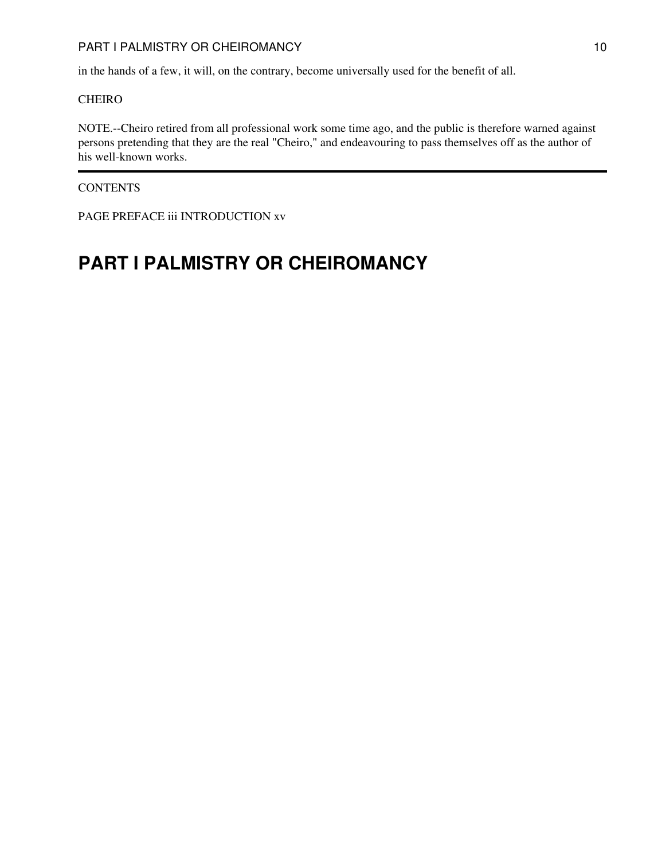#### PART I PALMISTRY OR CHEIROMANCY 10

in the hands of a few, it will, on the contrary, become universally used for the benefit of all.

#### CHEIRO

NOTE.--Cheiro retired from all professional work some time ago, and the public is therefore warned against persons pretending that they are the real "Cheiro," and endeavouring to pass themselves off as the author of his well-known works.

#### **CONTENTS**

PAGE PREFACE iii INTRODUCTION xv

# <span id="page-9-0"></span>**PART I PALMISTRY OR CHEIROMANCY**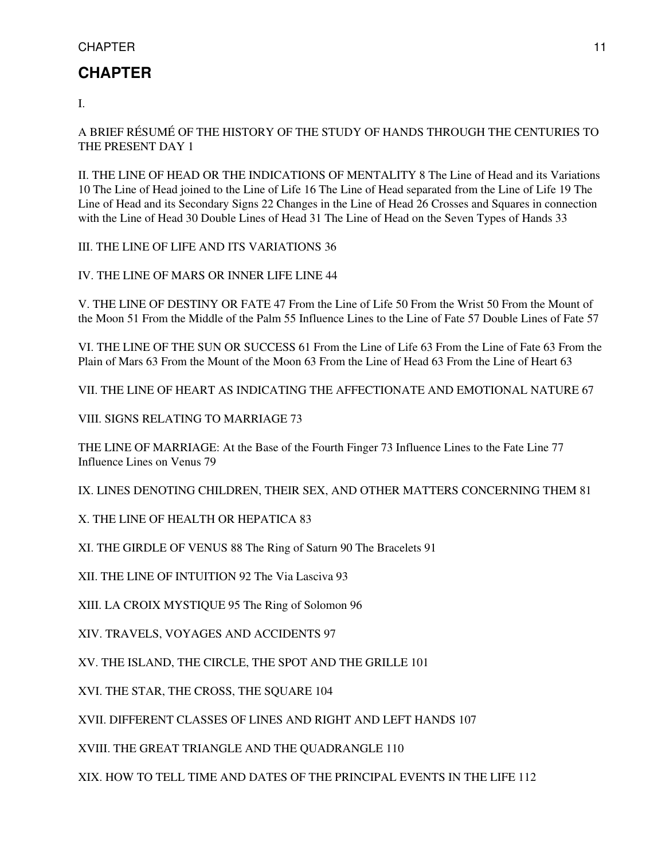# <span id="page-10-0"></span>**CHAPTER**

I.

A BRIEF RÉSUMÉ OF THE HISTORY OF THE STUDY OF HANDS THROUGH THE CENTURIES TO THE PRESENT DAY 1

II. THE LINE OF HEAD OR THE INDICATIONS OF MENTALITY 8 The Line of Head and its Variations 10 The Line of Head joined to the Line of Life 16 The Line of Head separated from the Line of Life 19 The Line of Head and its Secondary Signs 22 Changes in the Line of Head 26 Crosses and Squares in connection with the Line of Head 30 Double Lines of Head 31 The Line of Head on the Seven Types of Hands 33

III. THE LINE OF LIFE AND ITS VARIATIONS 36

IV. THE LINE OF MARS OR INNER LIFE LINE 44

V. THE LINE OF DESTINY OR FATE 47 From the Line of Life 50 From the Wrist 50 From the Mount of the Moon 51 From the Middle of the Palm 55 Influence Lines to the Line of Fate 57 Double Lines of Fate 57

VI. THE LINE OF THE SUN OR SUCCESS 61 From the Line of Life 63 From the Line of Fate 63 From the Plain of Mars 63 From the Mount of the Moon 63 From the Line of Head 63 From the Line of Heart 63

VII. THE LINE OF HEART AS INDICATING THE AFFECTIONATE AND EMOTIONAL NATURE 67

VIII. SIGNS RELATING TO MARRIAGE 73

THE LINE OF MARRIAGE: At the Base of the Fourth Finger 73 Influence Lines to the Fate Line 77 Influence Lines on Venus 79

IX. LINES DENOTING CHILDREN, THEIR SEX, AND OTHER MATTERS CONCERNING THEM 81

X. THE LINE OF HEALTH OR HEPATICA 83

XI. THE GIRDLE OF VENUS 88 The Ring of Saturn 90 The Bracelets 91

XII. THE LINE OF INTUITION 92 The Via Lasciva 93

XIII. LA CROIX MYSTIQUE 95 The Ring of Solomon 96

XIV. TRAVELS, VOYAGES AND ACCIDENTS 97

XV. THE ISLAND, THE CIRCLE, THE SPOT AND THE GRILLE 101

XVI. THE STAR, THE CROSS, THE SQUARE 104

XVII. DIFFERENT CLASSES OF LINES AND RIGHT AND LEFT HANDS 107

XVIII. THE GREAT TRIANGLE AND THE QUADRANGLE 110

<span id="page-10-1"></span>XIX. HOW TO TELL TIME AND DATES OF THE PRINCIPAL EVENTS IN THE LIFE 112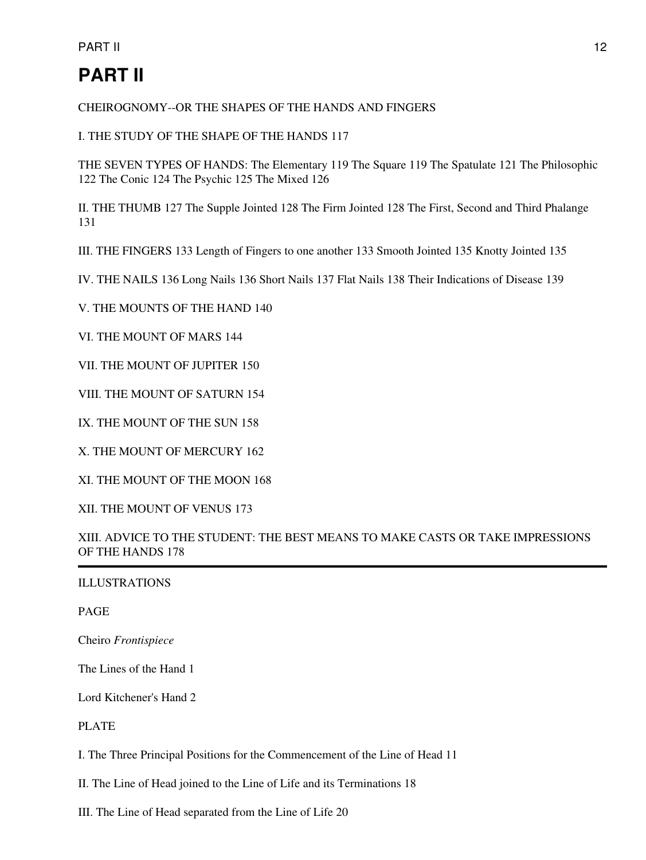# **PART II**

CHEIROGNOMY--OR THE SHAPES OF THE HANDS AND FINGERS

I. THE STUDY OF THE SHAPE OF THE HANDS 117

THE SEVEN TYPES OF HANDS: The Elementary 119 The Square 119 The Spatulate 121 The Philosophic 122 The Conic 124 The Psychic 125 The Mixed 126

II. THE THUMB 127 The Supple Jointed 128 The Firm Jointed 128 The First, Second and Third Phalange 131

III. THE FINGERS 133 Length of Fingers to one another 133 Smooth Jointed 135 Knotty Jointed 135

IV. THE NAILS 136 Long Nails 136 Short Nails 137 Flat Nails 138 Their Indications of Disease 139

V. THE MOUNTS OF THE HAND 140

VI. THE MOUNT OF MARS 144

VII. THE MOUNT OF JUPITER 150

VIII. THE MOUNT OF SATURN 154

IX. THE MOUNT OF THE SUN 158

X. THE MOUNT OF MERCURY 162

XI. THE MOUNT OF THE MOON 168

XII. THE MOUNT OF VENUS 173

XIII. ADVICE TO THE STUDENT: THE BEST MEANS TO MAKE CASTS OR TAKE IMPRESSIONS OF THE HANDS 178

ILLUSTRATIONS

PAGE

Cheiro *Frontispiece*

The Lines of the Hand 1

Lord Kitchener's Hand 2

PLATE

I. The Three Principal Positions for the Commencement of the Line of Head 11

II. The Line of Head joined to the Line of Life and its Terminations 18

III. The Line of Head separated from the Line of Life 20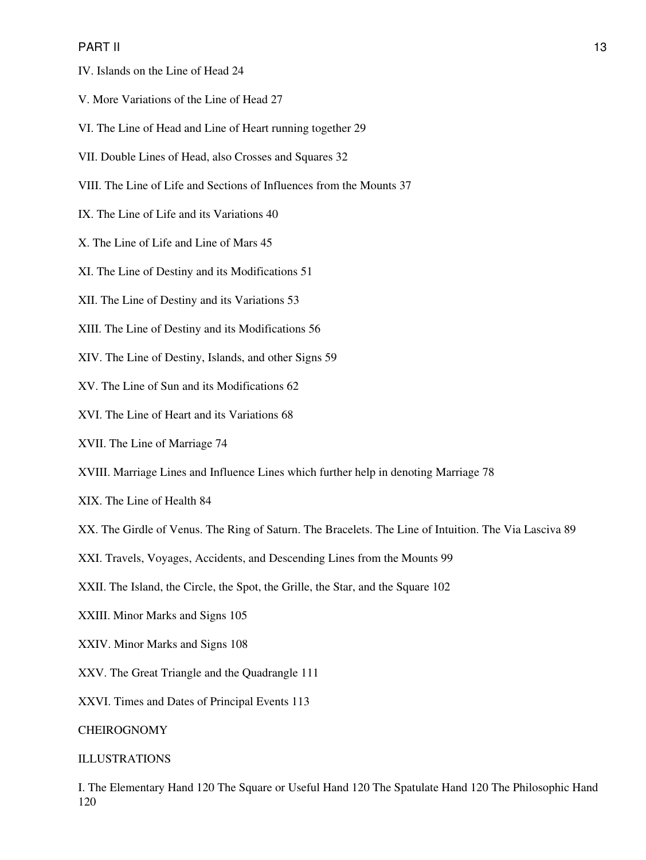#### PART II the contract of the contract of the contract of the contract of the contract of the contract of the contract of the contract of the contract of the contract of the contract of the contract of the contract of the co

- IV. Islands on the Line of Head 24
- V. More Variations of the Line of Head 27
- VI. The Line of Head and Line of Heart running together 29
- VII. Double Lines of Head, also Crosses and Squares 32
- VIII. The Line of Life and Sections of Influences from the Mounts 37
- IX. The Line of Life and its Variations 40
- X. The Line of Life and Line of Mars 45
- XI. The Line of Destiny and its Modifications 51
- XII. The Line of Destiny and its Variations 53
- XIII. The Line of Destiny and its Modifications 56
- XIV. The Line of Destiny, Islands, and other Signs 59
- XV. The Line of Sun and its Modifications 62
- XVI. The Line of Heart and its Variations 68
- XVII. The Line of Marriage 74
- XVIII. Marriage Lines and Influence Lines which further help in denoting Marriage 78
- XIX. The Line of Health 84
- XX. The Girdle of Venus. The Ring of Saturn. The Bracelets. The Line of Intuition. The Via Lasciva 89
- XXI. Travels, Voyages, Accidents, and Descending Lines from the Mounts 99
- XXII. The Island, the Circle, the Spot, the Grille, the Star, and the Square 102
- XXIII. Minor Marks and Signs 105
- XXIV. Minor Marks and Signs 108
- XXV. The Great Triangle and the Quadrangle 111
- XXVI. Times and Dates of Principal Events 113

#### CHEIROGNOMY

#### ILLUSTRATIONS

I. The Elementary Hand 120 The Square or Useful Hand 120 The Spatulate Hand 120 The Philosophic Hand 120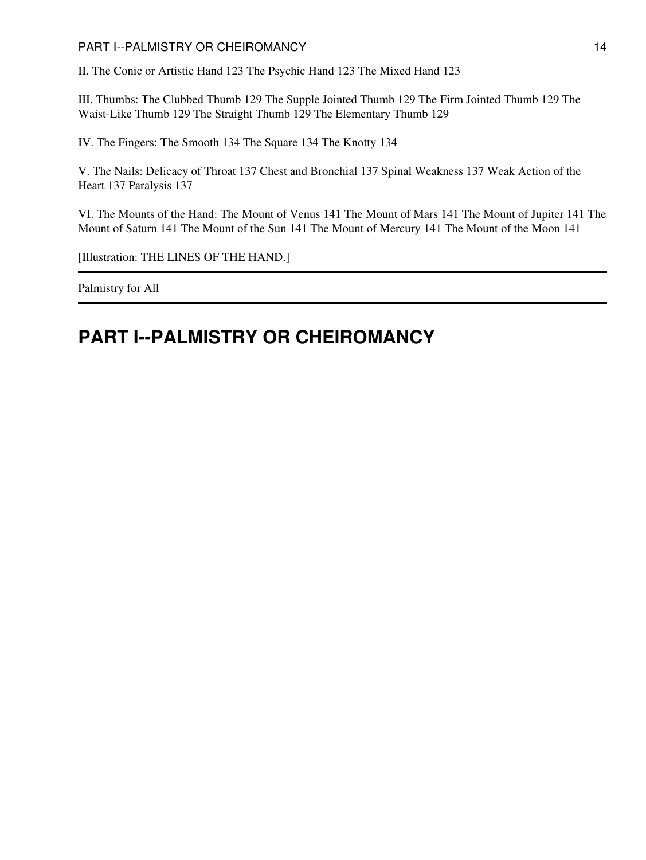#### PART I--PALMISTRY OR CHEIROMANCY 14

II. The Conic or Artistic Hand 123 The Psychic Hand 123 The Mixed Hand 123

III. Thumbs: The Clubbed Thumb 129 The Supple Jointed Thumb 129 The Firm Jointed Thumb 129 The Waist-Like Thumb 129 The Straight Thumb 129 The Elementary Thumb 129

IV. The Fingers: The Smooth 134 The Square 134 The Knotty 134

V. The Nails: Delicacy of Throat 137 Chest and Bronchial 137 Spinal Weakness 137 Weak Action of the Heart 137 Paralysis 137

VI. The Mounts of the Hand: The Mount of Venus 141 The Mount of Mars 141 The Mount of Jupiter 141 The Mount of Saturn 141 The Mount of the Sun 141 The Mount of Mercury 141 The Mount of the Moon 141

[Illustration: THE LINES OF THE HAND.]

Palmistry for All

# <span id="page-13-0"></span>**PART I--PALMISTRY OR CHEIROMANCY**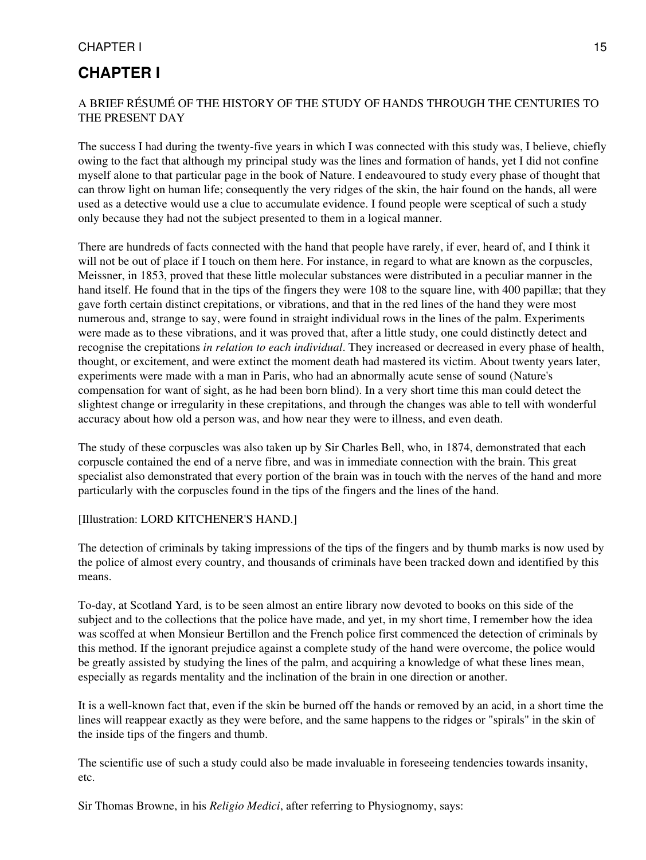### **CHAPTER I**

#### A BRIEF RÉSUMÉ OF THE HISTORY OF THE STUDY OF HANDS THROUGH THE CENTURIES TO THE PRESENT DAY

The success I had during the twenty-five years in which I was connected with this study was, I believe, chiefly owing to the fact that although my principal study was the lines and formation of hands, yet I did not confine myself alone to that particular page in the book of Nature. I endeavoured to study every phase of thought that can throw light on human life; consequently the very ridges of the skin, the hair found on the hands, all were used as a detective would use a clue to accumulate evidence. I found people were sceptical of such a study only because they had not the subject presented to them in a logical manner.

There are hundreds of facts connected with the hand that people have rarely, if ever, heard of, and I think it will not be out of place if I touch on them here. For instance, in regard to what are known as the corpuscles, Meissner, in 1853, proved that these little molecular substances were distributed in a peculiar manner in the hand itself. He found that in the tips of the fingers they were 108 to the square line, with 400 papillæ; that they gave forth certain distinct crepitations, or vibrations, and that in the red lines of the hand they were most numerous and, strange to say, were found in straight individual rows in the lines of the palm. Experiments were made as to these vibrations, and it was proved that, after a little study, one could distinctly detect and recognise the crepitations *in relation to each individual*. They increased or decreased in every phase of health, thought, or excitement, and were extinct the moment death had mastered its victim. About twenty years later, experiments were made with a man in Paris, who had an abnormally acute sense of sound (Nature's compensation for want of sight, as he had been born blind). In a very short time this man could detect the slightest change or irregularity in these crepitations, and through the changes was able to tell with wonderful accuracy about how old a person was, and how near they were to illness, and even death.

The study of these corpuscles was also taken up by Sir Charles Bell, who, in 1874, demonstrated that each corpuscle contained the end of a nerve fibre, and was in immediate connection with the brain. This great specialist also demonstrated that every portion of the brain was in touch with the nerves of the hand and more particularly with the corpuscles found in the tips of the fingers and the lines of the hand.

#### [Illustration: LORD KITCHENER'S HAND.]

The detection of criminals by taking impressions of the tips of the fingers and by thumb marks is now used by the police of almost every country, and thousands of criminals have been tracked down and identified by this means.

To-day, at Scotland Yard, is to be seen almost an entire library now devoted to books on this side of the subject and to the collections that the police have made, and yet, in my short time, I remember how the idea was scoffed at when Monsieur Bertillon and the French police first commenced the detection of criminals by this method. If the ignorant prejudice against a complete study of the hand were overcome, the police would be greatly assisted by studying the lines of the palm, and acquiring a knowledge of what these lines mean, especially as regards mentality and the inclination of the brain in one direction or another.

It is a well-known fact that, even if the skin be burned off the hands or removed by an acid, in a short time the lines will reappear exactly as they were before, and the same happens to the ridges or "spirals" in the skin of the inside tips of the fingers and thumb.

The scientific use of such a study could also be made invaluable in foreseeing tendencies towards insanity, etc.

Sir Thomas Browne, in his *Religio Medici*, after referring to Physiognomy, says: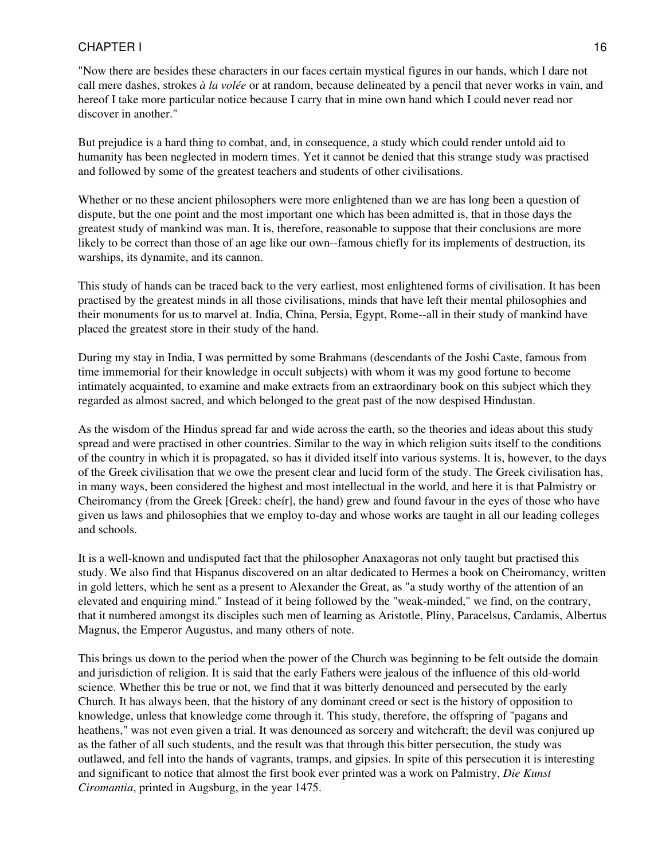"Now there are besides these characters in our faces certain mystical figures in our hands, which I dare not call mere dashes, strokes *à la volée* or at random, because delineated by a pencil that never works in vain, and hereof I take more particular notice because I carry that in mine own hand which I could never read nor discover in another."

But prejudice is a hard thing to combat, and, in consequence, a study which could render untold aid to humanity has been neglected in modern times. Yet it cannot be denied that this strange study was practised and followed by some of the greatest teachers and students of other civilisations.

Whether or no these ancient philosophers were more enlightened than we are has long been a question of dispute, but the one point and the most important one which has been admitted is, that in those days the greatest study of mankind was man. It is, therefore, reasonable to suppose that their conclusions are more likely to be correct than those of an age like our own--famous chiefly for its implements of destruction, its warships, its dynamite, and its cannon.

This study of hands can be traced back to the very earliest, most enlightened forms of civilisation. It has been practised by the greatest minds in all those civilisations, minds that have left their mental philosophies and their monuments for us to marvel at. India, China, Persia, Egypt, Rome--all in their study of mankind have placed the greatest store in their study of the hand.

During my stay in India, I was permitted by some Brahmans (descendants of the Joshi Caste, famous from time immemorial for their knowledge in occult subjects) with whom it was my good fortune to become intimately acquainted, to examine and make extracts from an extraordinary book on this subject which they regarded as almost sacred, and which belonged to the great past of the now despised Hindustan.

As the wisdom of the Hindus spread far and wide across the earth, so the theories and ideas about this study spread and were practised in other countries. Similar to the way in which religion suits itself to the conditions of the country in which it is propagated, so has it divided itself into various systems. It is, however, to the days of the Greek civilisation that we owe the present clear and lucid form of the study. The Greek civilisation has, in many ways, been considered the highest and most intellectual in the world, and here it is that Palmistry or Cheiromancy (from the Greek [Greek: cheír], the hand) grew and found favour in the eyes of those who have given us laws and philosophies that we employ to-day and whose works are taught in all our leading colleges and schools.

It is a well-known and undisputed fact that the philosopher Anaxagoras not only taught but practised this study. We also find that Hispanus discovered on an altar dedicated to Hermes a book on Cheiromancy, written in gold letters, which he sent as a present to Alexander the Great, as "a study worthy of the attention of an elevated and enquiring mind." Instead of it being followed by the "weak-minded," we find, on the contrary, that it numbered amongst its disciples such men of learning as Aristotle, Pliny, Paracelsus, Cardamis, Albertus Magnus, the Emperor Augustus, and many others of note.

This brings us down to the period when the power of the Church was beginning to be felt outside the domain and jurisdiction of religion. It is said that the early Fathers were jealous of the influence of this old-world science. Whether this be true or not, we find that it was bitterly denounced and persecuted by the early Church. It has always been, that the history of any dominant creed or sect is the history of opposition to knowledge, unless that knowledge come through it. This study, therefore, the offspring of "pagans and heathens," was not even given a trial. It was denounced as sorcery and witchcraft; the devil was conjured up as the father of all such students, and the result was that through this bitter persecution, the study was outlawed, and fell into the hands of vagrants, tramps, and gipsies. In spite of this persecution it is interesting and significant to notice that almost the first book ever printed was a work on Palmistry, *Die Kunst Ciromantia*, printed in Augsburg, in the year 1475.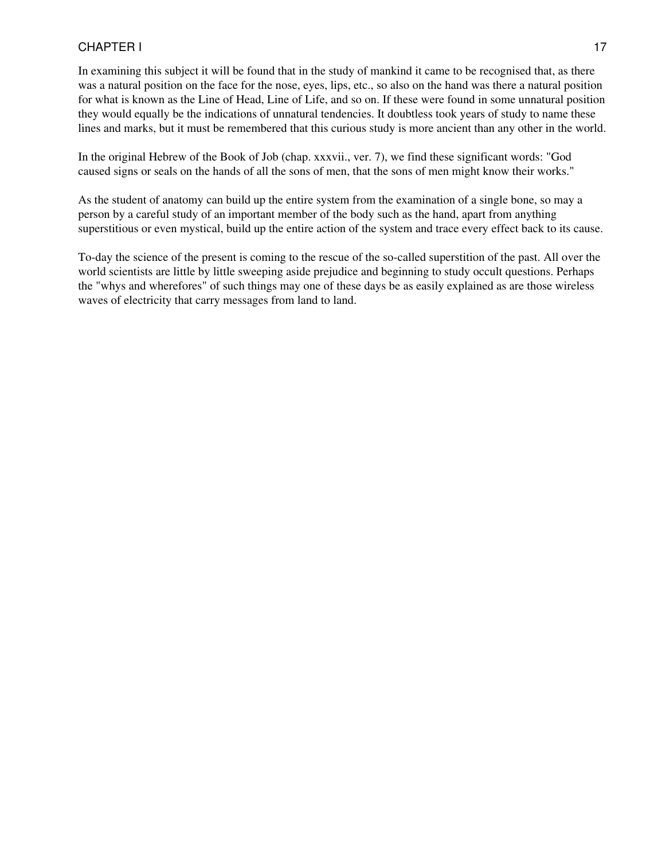In examining this subject it will be found that in the study of mankind it came to be recognised that, as there was a natural position on the face for the nose, eyes, lips, etc., so also on the hand was there a natural position for what is known as the Line of Head, Line of Life, and so on. If these were found in some unnatural position they would equally be the indications of unnatural tendencies. It doubtless took years of study to name these lines and marks, but it must be remembered that this curious study is more ancient than any other in the world.

In the original Hebrew of the Book of Job (chap. xxxvii., ver. 7), we find these significant words: "God caused signs or seals on the hands of all the sons of men, that the sons of men might know their works."

As the student of anatomy can build up the entire system from the examination of a single bone, so may a person by a careful study of an important member of the body such as the hand, apart from anything superstitious or even mystical, build up the entire action of the system and trace every effect back to its cause.

To-day the science of the present is coming to the rescue of the so-called superstition of the past. All over the world scientists are little by little sweeping aside prejudice and beginning to study occult questions. Perhaps the "whys and wherefores" of such things may one of these days be as easily explained as are those wireless waves of electricity that carry messages from land to land.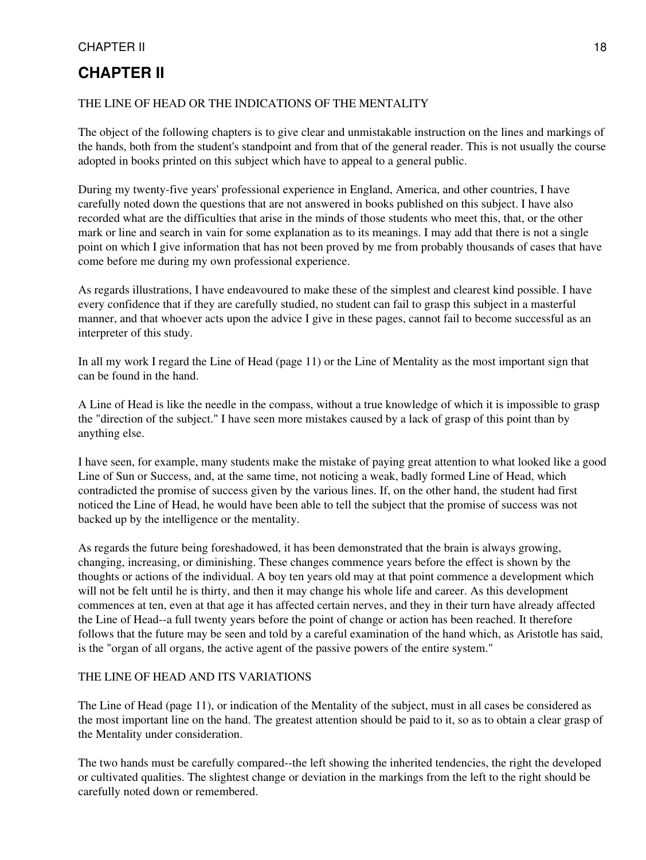# **CHAPTER II**

#### THE LINE OF HEAD OR THE INDICATIONS OF THE MENTALITY

The object of the following chapters is to give clear and unmistakable instruction on the lines and markings of the hands, both from the student's standpoint and from that of the general reader. This is not usually the course adopted in books printed on this subject which have to appeal to a general public.

During my twenty-five years' professional experience in England, America, and other countries, I have carefully noted down the questions that are not answered in books published on this subject. I have also recorded what are the difficulties that arise in the minds of those students who meet this, that, or the other mark or line and search in vain for some explanation as to its meanings. I may add that there is not a single point on which I give information that has not been proved by me from probably thousands of cases that have come before me during my own professional experience.

As regards illustrations, I have endeavoured to make these of the simplest and clearest kind possible. I have every confidence that if they are carefully studied, no student can fail to grasp this subject in a masterful manner, and that whoever acts upon the advice I give in these pages, cannot fail to become successful as an interpreter of this study.

In all my work I regard the Line of Head (page 11) or the Line of Mentality as the most important sign that can be found in the hand.

A Line of Head is like the needle in the compass, without a true knowledge of which it is impossible to grasp the "direction of the subject." I have seen more mistakes caused by a lack of grasp of this point than by anything else.

I have seen, for example, many students make the mistake of paying great attention to what looked like a good Line of Sun or Success, and, at the same time, not noticing a weak, badly formed Line of Head, which contradicted the promise of success given by the various lines. If, on the other hand, the student had first noticed the Line of Head, he would have been able to tell the subject that the promise of success was not backed up by the intelligence or the mentality.

As regards the future being foreshadowed, it has been demonstrated that the brain is always growing, changing, increasing, or diminishing. These changes commence years before the effect is shown by the thoughts or actions of the individual. A boy ten years old may at that point commence a development which will not be felt until he is thirty, and then it may change his whole life and career. As this development commences at ten, even at that age it has affected certain nerves, and they in their turn have already affected the Line of Head--a full twenty years before the point of change or action has been reached. It therefore follows that the future may be seen and told by a careful examination of the hand which, as Aristotle has said, is the "organ of all organs, the active agent of the passive powers of the entire system."

#### THE LINE OF HEAD AND ITS VARIATIONS

The Line of Head (page 11), or indication of the Mentality of the subject, must in all cases be considered as the most important line on the hand. The greatest attention should be paid to it, so as to obtain a clear grasp of the Mentality under consideration.

The two hands must be carefully compared--the left showing the inherited tendencies, the right the developed or cultivated qualities. The slightest change or deviation in the markings from the left to the right should be carefully noted down or remembered.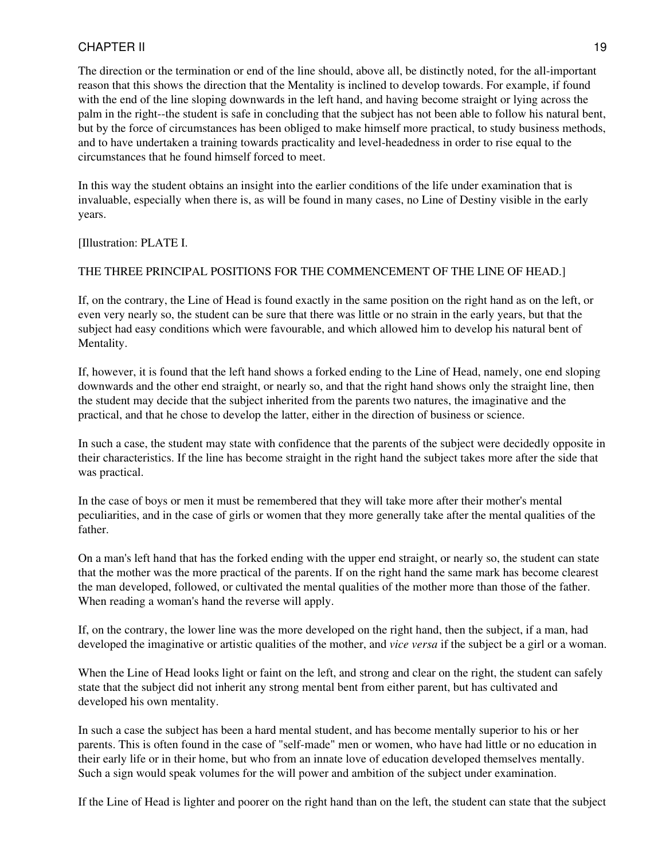The direction or the termination or end of the line should, above all, be distinctly noted, for the all-important reason that this shows the direction that the Mentality is inclined to develop towards. For example, if found with the end of the line sloping downwards in the left hand, and having become straight or lying across the palm in the right--the student is safe in concluding that the subject has not been able to follow his natural bent, but by the force of circumstances has been obliged to make himself more practical, to study business methods, and to have undertaken a training towards practicality and level-headedness in order to rise equal to the circumstances that he found himself forced to meet.

In this way the student obtains an insight into the earlier conditions of the life under examination that is invaluable, especially when there is, as will be found in many cases, no Line of Destiny visible in the early years.

[Illustration: PLATE I.

#### THE THREE PRINCIPAL POSITIONS FOR THE COMMENCEMENT OF THE LINE OF HEAD.]

If, on the contrary, the Line of Head is found exactly in the same position on the right hand as on the left, or even very nearly so, the student can be sure that there was little or no strain in the early years, but that the subject had easy conditions which were favourable, and which allowed him to develop his natural bent of Mentality.

If, however, it is found that the left hand shows a forked ending to the Line of Head, namely, one end sloping downwards and the other end straight, or nearly so, and that the right hand shows only the straight line, then the student may decide that the subject inherited from the parents two natures, the imaginative and the practical, and that he chose to develop the latter, either in the direction of business or science.

In such a case, the student may state with confidence that the parents of the subject were decidedly opposite in their characteristics. If the line has become straight in the right hand the subject takes more after the side that was practical.

In the case of boys or men it must be remembered that they will take more after their mother's mental peculiarities, and in the case of girls or women that they more generally take after the mental qualities of the father.

On a man's left hand that has the forked ending with the upper end straight, or nearly so, the student can state that the mother was the more practical of the parents. If on the right hand the same mark has become clearest the man developed, followed, or cultivated the mental qualities of the mother more than those of the father. When reading a woman's hand the reverse will apply.

If, on the contrary, the lower line was the more developed on the right hand, then the subject, if a man, had developed the imaginative or artistic qualities of the mother, and *vice versa* if the subject be a girl or a woman.

When the Line of Head looks light or faint on the left, and strong and clear on the right, the student can safely state that the subject did not inherit any strong mental bent from either parent, but has cultivated and developed his own mentality.

In such a case the subject has been a hard mental student, and has become mentally superior to his or her parents. This is often found in the case of "self-made" men or women, who have had little or no education in their early life or in their home, but who from an innate love of education developed themselves mentally. Such a sign would speak volumes for the will power and ambition of the subject under examination.

If the Line of Head is lighter and poorer on the right hand than on the left, the student can state that the subject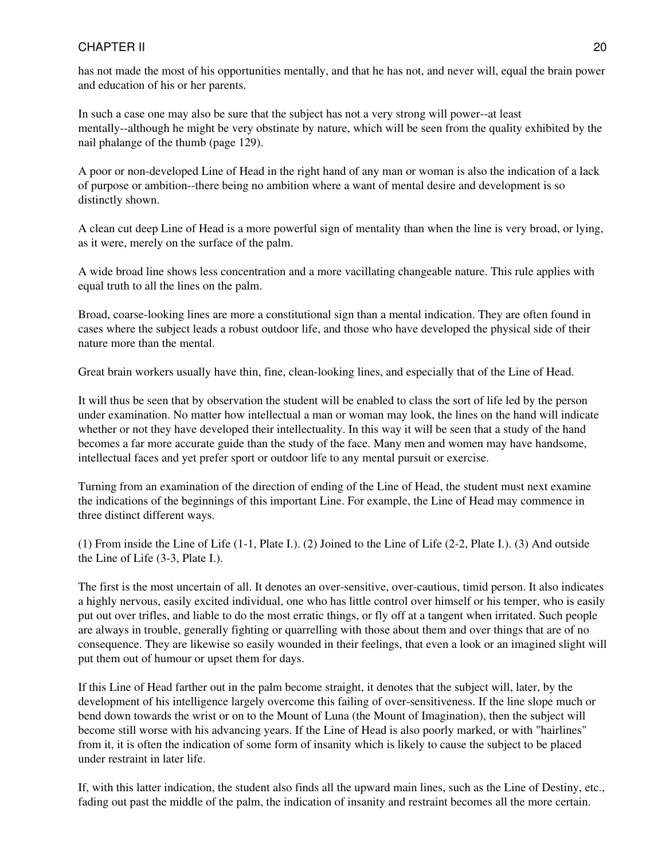has not made the most of his opportunities mentally, and that he has not, and never will, equal the brain power and education of his or her parents.

In such a case one may also be sure that the subject has not a very strong will power--at least mentally--although he might be very obstinate by nature, which will be seen from the quality exhibited by the nail phalange of the thumb (page 129).

A poor or non-developed Line of Head in the right hand of any man or woman is also the indication of a lack of purpose or ambition--there being no ambition where a want of mental desire and development is so distinctly shown.

A clean cut deep Line of Head is a more powerful sign of mentality than when the line is very broad, or lying, as it were, merely on the surface of the palm.

A wide broad line shows less concentration and a more vacillating changeable nature. This rule applies with equal truth to all the lines on the palm.

Broad, coarse-looking lines are more a constitutional sign than a mental indication. They are often found in cases where the subject leads a robust outdoor life, and those who have developed the physical side of their nature more than the mental.

Great brain workers usually have thin, fine, clean-looking lines, and especially that of the Line of Head.

It will thus be seen that by observation the student will be enabled to class the sort of life led by the person under examination. No matter how intellectual a man or woman may look, the lines on the hand will indicate whether or not they have developed their intellectuality. In this way it will be seen that a study of the hand becomes a far more accurate guide than the study of the face. Many men and women may have handsome, intellectual faces and yet prefer sport or outdoor life to any mental pursuit or exercise.

Turning from an examination of the direction of ending of the Line of Head, the student must next examine the indications of the beginnings of this important Line. For example, the Line of Head may commence in three distinct different ways.

(1) From inside the Line of Life (1-1, Plate I.). (2) Joined to the Line of Life (2-2, Plate I.). (3) And outside the Line of Life (3-3, Plate I.).

The first is the most uncertain of all. It denotes an over-sensitive, over-cautious, timid person. It also indicates a highly nervous, easily excited individual, one who has little control over himself or his temper, who is easily put out over trifles, and liable to do the most erratic things, or fly off at a tangent when irritated. Such people are always in trouble, generally fighting or quarrelling with those about them and over things that are of no consequence. They are likewise so easily wounded in their feelings, that even a look or an imagined slight will put them out of humour or upset them for days.

If this Line of Head farther out in the palm become straight, it denotes that the subject will, later, by the development of his intelligence largely overcome this failing of over-sensitiveness. If the line slope much or bend down towards the wrist or on to the Mount of Luna (the Mount of Imagination), then the subject will become still worse with his advancing years. If the Line of Head is also poorly marked, or with "hairlines" from it, it is often the indication of some form of insanity which is likely to cause the subject to be placed under restraint in later life.

If, with this latter indication, the student also finds all the upward main lines, such as the Line of Destiny, etc., fading out past the middle of the palm, the indication of insanity and restraint becomes all the more certain.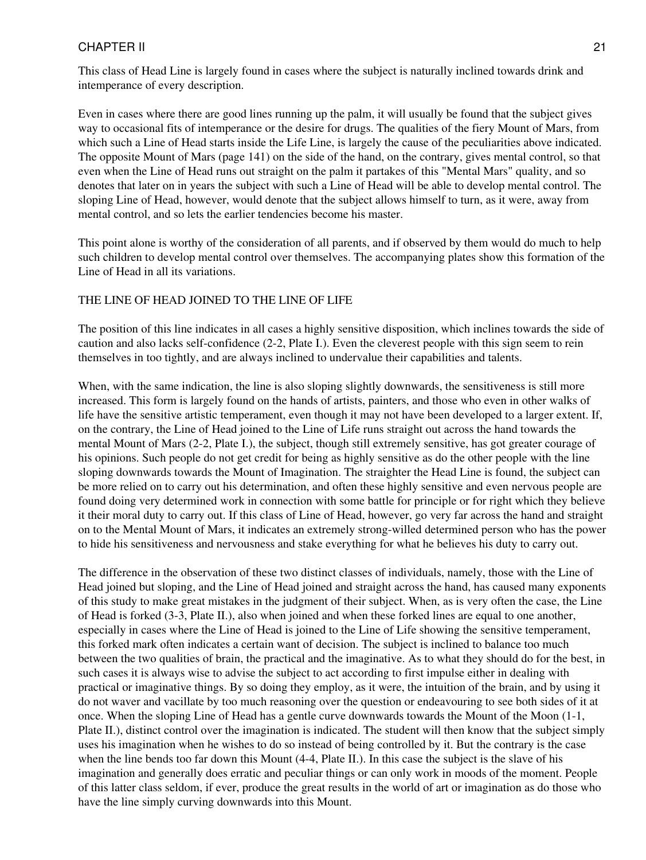Even in cases where there are good lines running up the palm, it will usually be found that the subject gives way to occasional fits of intemperance or the desire for drugs. The qualities of the fiery Mount of Mars, from which such a Line of Head starts inside the Life Line, is largely the cause of the peculiarities above indicated. The opposite Mount of Mars (page 141) on the side of the hand, on the contrary, gives mental control, so that even when the Line of Head runs out straight on the palm it partakes of this "Mental Mars" quality, and so denotes that later on in years the subject with such a Line of Head will be able to develop mental control. The sloping Line of Head, however, would denote that the subject allows himself to turn, as it were, away from mental control, and so lets the earlier tendencies become his master.

This point alone is worthy of the consideration of all parents, and if observed by them would do much to help such children to develop mental control over themselves. The accompanying plates show this formation of the Line of Head in all its variations.

#### THE LINE OF HEAD JOINED TO THE LINE OF LIFE

The position of this line indicates in all cases a highly sensitive disposition, which inclines towards the side of caution and also lacks self-confidence (2-2, Plate I.). Even the cleverest people with this sign seem to rein themselves in too tightly, and are always inclined to undervalue their capabilities and talents.

When, with the same indication, the line is also sloping slightly downwards, the sensitiveness is still more increased. This form is largely found on the hands of artists, painters, and those who even in other walks of life have the sensitive artistic temperament, even though it may not have been developed to a larger extent. If, on the contrary, the Line of Head joined to the Line of Life runs straight out across the hand towards the mental Mount of Mars (2-2, Plate I.), the subject, though still extremely sensitive, has got greater courage of his opinions. Such people do not get credit for being as highly sensitive as do the other people with the line sloping downwards towards the Mount of Imagination. The straighter the Head Line is found, the subject can be more relied on to carry out his determination, and often these highly sensitive and even nervous people are found doing very determined work in connection with some battle for principle or for right which they believe it their moral duty to carry out. If this class of Line of Head, however, go very far across the hand and straight on to the Mental Mount of Mars, it indicates an extremely strong-willed determined person who has the power to hide his sensitiveness and nervousness and stake everything for what he believes his duty to carry out.

The difference in the observation of these two distinct classes of individuals, namely, those with the Line of Head joined but sloping, and the Line of Head joined and straight across the hand, has caused many exponents of this study to make great mistakes in the judgment of their subject. When, as is very often the case, the Line of Head is forked (3-3, Plate II.), also when joined and when these forked lines are equal to one another, especially in cases where the Line of Head is joined to the Line of Life showing the sensitive temperament, this forked mark often indicates a certain want of decision. The subject is inclined to balance too much between the two qualities of brain, the practical and the imaginative. As to what they should do for the best, in such cases it is always wise to advise the subject to act according to first impulse either in dealing with practical or imaginative things. By so doing they employ, as it were, the intuition of the brain, and by using it do not waver and vacillate by too much reasoning over the question or endeavouring to see both sides of it at once. When the sloping Line of Head has a gentle curve downwards towards the Mount of the Moon (1-1, Plate II.), distinct control over the imagination is indicated. The student will then know that the subject simply uses his imagination when he wishes to do so instead of being controlled by it. But the contrary is the case when the line bends too far down this Mount (4-4, Plate II.). In this case the subject is the slave of his imagination and generally does erratic and peculiar things or can only work in moods of the moment. People of this latter class seldom, if ever, produce the great results in the world of art or imagination as do those who have the line simply curving downwards into this Mount.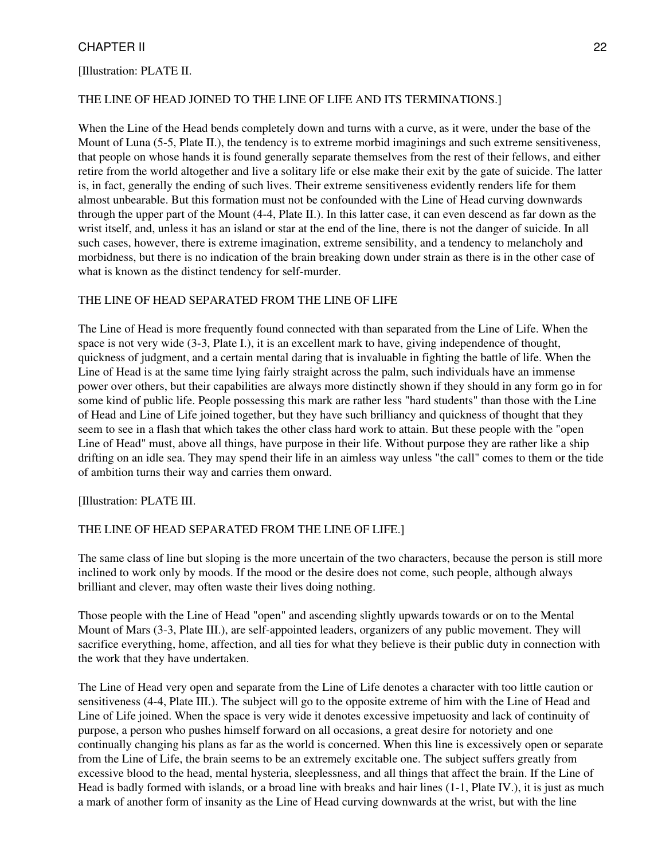#### [Illustration: PLATE II.

#### THE LINE OF HEAD JOINED TO THE LINE OF LIFE AND ITS TERMINATIONS.]

When the Line of the Head bends completely down and turns with a curve, as it were, under the base of the Mount of Luna (5-5, Plate II.), the tendency is to extreme morbid imaginings and such extreme sensitiveness, that people on whose hands it is found generally separate themselves from the rest of their fellows, and either retire from the world altogether and live a solitary life or else make their exit by the gate of suicide. The latter is, in fact, generally the ending of such lives. Their extreme sensitiveness evidently renders life for them almost unbearable. But this formation must not be confounded with the Line of Head curving downwards through the upper part of the Mount (4-4, Plate II.). In this latter case, it can even descend as far down as the wrist itself, and, unless it has an island or star at the end of the line, there is not the danger of suicide. In all such cases, however, there is extreme imagination, extreme sensibility, and a tendency to melancholy and morbidness, but there is no indication of the brain breaking down under strain as there is in the other case of what is known as the distinct tendency for self-murder.

#### THE LINE OF HEAD SEPARATED FROM THE LINE OF LIFE

The Line of Head is more frequently found connected with than separated from the Line of Life. When the space is not very wide (3-3, Plate I.), it is an excellent mark to have, giving independence of thought, quickness of judgment, and a certain mental daring that is invaluable in fighting the battle of life. When the Line of Head is at the same time lying fairly straight across the palm, such individuals have an immense power over others, but their capabilities are always more distinctly shown if they should in any form go in for some kind of public life. People possessing this mark are rather less "hard students" than those with the Line of Head and Line of Life joined together, but they have such brilliancy and quickness of thought that they seem to see in a flash that which takes the other class hard work to attain. But these people with the "open Line of Head" must, above all things, have purpose in their life. Without purpose they are rather like a ship drifting on an idle sea. They may spend their life in an aimless way unless "the call" comes to them or the tide of ambition turns their way and carries them onward.

[Illustration: PLATE III.

#### THE LINE OF HEAD SEPARATED FROM THE LINE OF LIFE.]

The same class of line but sloping is the more uncertain of the two characters, because the person is still more inclined to work only by moods. If the mood or the desire does not come, such people, although always brilliant and clever, may often waste their lives doing nothing.

Those people with the Line of Head "open" and ascending slightly upwards towards or on to the Mental Mount of Mars (3-3, Plate III.), are self-appointed leaders, organizers of any public movement. They will sacrifice everything, home, affection, and all ties for what they believe is their public duty in connection with the work that they have undertaken.

The Line of Head very open and separate from the Line of Life denotes a character with too little caution or sensitiveness (4-4, Plate III.). The subject will go to the opposite extreme of him with the Line of Head and Line of Life joined. When the space is very wide it denotes excessive impetuosity and lack of continuity of purpose, a person who pushes himself forward on all occasions, a great desire for notoriety and one continually changing his plans as far as the world is concerned. When this line is excessively open or separate from the Line of Life, the brain seems to be an extremely excitable one. The subject suffers greatly from excessive blood to the head, mental hysteria, sleeplessness, and all things that affect the brain. If the Line of Head is badly formed with islands, or a broad line with breaks and hair lines (1-1, Plate IV.), it is just as much a mark of another form of insanity as the Line of Head curving downwards at the wrist, but with the line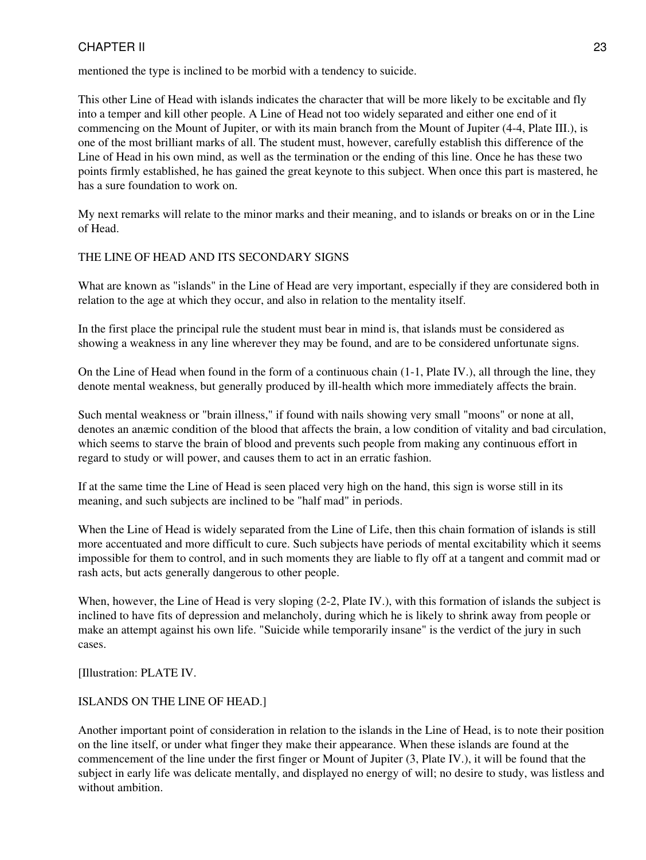mentioned the type is inclined to be morbid with a tendency to suicide.

This other Line of Head with islands indicates the character that will be more likely to be excitable and fly into a temper and kill other people. A Line of Head not too widely separated and either one end of it commencing on the Mount of Jupiter, or with its main branch from the Mount of Jupiter (4-4, Plate III.), is one of the most brilliant marks of all. The student must, however, carefully establish this difference of the Line of Head in his own mind, as well as the termination or the ending of this line. Once he has these two points firmly established, he has gained the great keynote to this subject. When once this part is mastered, he has a sure foundation to work on.

My next remarks will relate to the minor marks and their meaning, and to islands or breaks on or in the Line of Head.

#### THE LINE OF HEAD AND ITS SECONDARY SIGNS

What are known as "islands" in the Line of Head are very important, especially if they are considered both in relation to the age at which they occur, and also in relation to the mentality itself.

In the first place the principal rule the student must bear in mind is, that islands must be considered as showing a weakness in any line wherever they may be found, and are to be considered unfortunate signs.

On the Line of Head when found in the form of a continuous chain (1-1, Plate IV.), all through the line, they denote mental weakness, but generally produced by ill-health which more immediately affects the brain.

Such mental weakness or "brain illness," if found with nails showing very small "moons" or none at all, denotes an anæmic condition of the blood that affects the brain, a low condition of vitality and bad circulation, which seems to starve the brain of blood and prevents such people from making any continuous effort in regard to study or will power, and causes them to act in an erratic fashion.

If at the same time the Line of Head is seen placed very high on the hand, this sign is worse still in its meaning, and such subjects are inclined to be "half mad" in periods.

When the Line of Head is widely separated from the Line of Life, then this chain formation of islands is still more accentuated and more difficult to cure. Such subjects have periods of mental excitability which it seems impossible for them to control, and in such moments they are liable to fly off at a tangent and commit mad or rash acts, but acts generally dangerous to other people.

When, however, the Line of Head is very sloping (2-2, Plate IV.), with this formation of islands the subject is inclined to have fits of depression and melancholy, during which he is likely to shrink away from people or make an attempt against his own life. "Suicide while temporarily insane" is the verdict of the jury in such cases.

[Illustration: PLATE IV.

#### ISLANDS ON THE LINE OF HEAD.]

Another important point of consideration in relation to the islands in the Line of Head, is to note their position on the line itself, or under what finger they make their appearance. When these islands are found at the commencement of the line under the first finger or Mount of Jupiter (3, Plate IV.), it will be found that the subject in early life was delicate mentally, and displayed no energy of will; no desire to study, was listless and without ambition.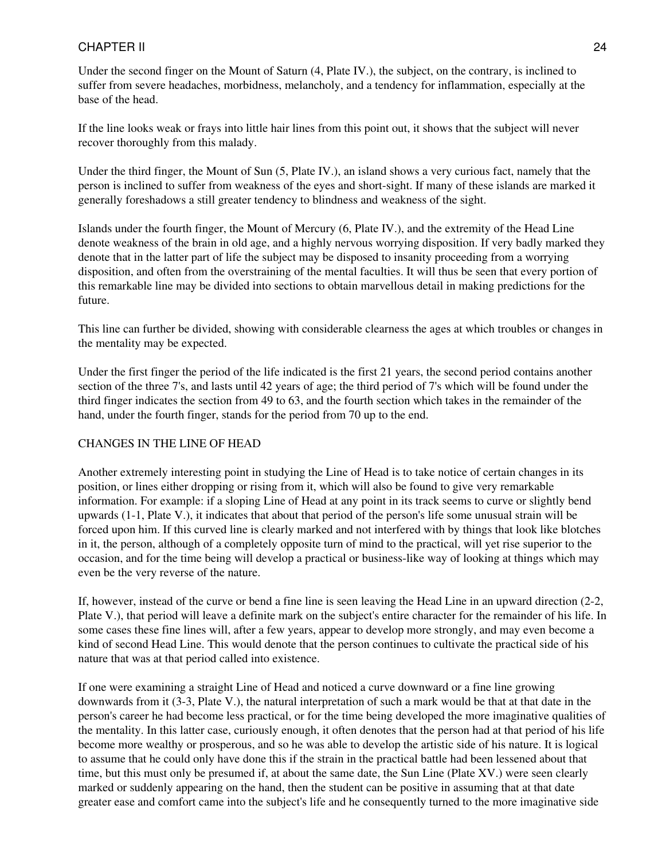Under the second finger on the Mount of Saturn (4, Plate IV.), the subject, on the contrary, is inclined to suffer from severe headaches, morbidness, melancholy, and a tendency for inflammation, especially at the base of the head.

If the line looks weak or frays into little hair lines from this point out, it shows that the subject will never recover thoroughly from this malady.

Under the third finger, the Mount of Sun (5, Plate IV.), an island shows a very curious fact, namely that the person is inclined to suffer from weakness of the eyes and short-sight. If many of these islands are marked it generally foreshadows a still greater tendency to blindness and weakness of the sight.

Islands under the fourth finger, the Mount of Mercury (6, Plate IV.), and the extremity of the Head Line denote weakness of the brain in old age, and a highly nervous worrying disposition. If very badly marked they denote that in the latter part of life the subject may be disposed to insanity proceeding from a worrying disposition, and often from the overstraining of the mental faculties. It will thus be seen that every portion of this remarkable line may be divided into sections to obtain marvellous detail in making predictions for the future.

This line can further be divided, showing with considerable clearness the ages at which troubles or changes in the mentality may be expected.

Under the first finger the period of the life indicated is the first 21 years, the second period contains another section of the three 7's, and lasts until 42 years of age; the third period of 7's which will be found under the third finger indicates the section from 49 to 63, and the fourth section which takes in the remainder of the hand, under the fourth finger, stands for the period from 70 up to the end.

#### CHANGES IN THE LINE OF HEAD

Another extremely interesting point in studying the Line of Head is to take notice of certain changes in its position, or lines either dropping or rising from it, which will also be found to give very remarkable information. For example: if a sloping Line of Head at any point in its track seems to curve or slightly bend upwards (1-1, Plate V.), it indicates that about that period of the person's life some unusual strain will be forced upon him. If this curved line is clearly marked and not interfered with by things that look like blotches in it, the person, although of a completely opposite turn of mind to the practical, will yet rise superior to the occasion, and for the time being will develop a practical or business-like way of looking at things which may even be the very reverse of the nature.

If, however, instead of the curve or bend a fine line is seen leaving the Head Line in an upward direction (2-2, Plate V.), that period will leave a definite mark on the subject's entire character for the remainder of his life. In some cases these fine lines will, after a few years, appear to develop more strongly, and may even become a kind of second Head Line. This would denote that the person continues to cultivate the practical side of his nature that was at that period called into existence.

If one were examining a straight Line of Head and noticed a curve downward or a fine line growing downwards from it (3-3, Plate V.), the natural interpretation of such a mark would be that at that date in the person's career he had become less practical, or for the time being developed the more imaginative qualities of the mentality. In this latter case, curiously enough, it often denotes that the person had at that period of his life become more wealthy or prosperous, and so he was able to develop the artistic side of his nature. It is logical to assume that he could only have done this if the strain in the practical battle had been lessened about that time, but this must only be presumed if, at about the same date, the Sun Line (Plate XV.) were seen clearly marked or suddenly appearing on the hand, then the student can be positive in assuming that at that date greater ease and comfort came into the subject's life and he consequently turned to the more imaginative side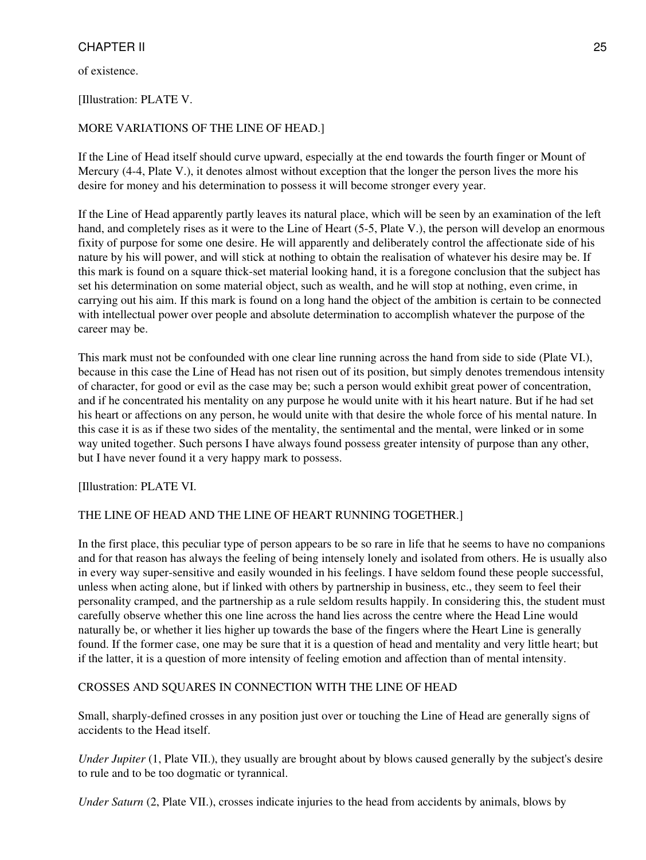of existence.

#### [Illustration: PLATE V.

#### MORE VARIATIONS OF THE LINE OF HEAD.]

If the Line of Head itself should curve upward, especially at the end towards the fourth finger or Mount of Mercury (4-4, Plate V.), it denotes almost without exception that the longer the person lives the more his desire for money and his determination to possess it will become stronger every year.

If the Line of Head apparently partly leaves its natural place, which will be seen by an examination of the left hand, and completely rises as it were to the Line of Heart (5-5, Plate V.), the person will develop an enormous fixity of purpose for some one desire. He will apparently and deliberately control the affectionate side of his nature by his will power, and will stick at nothing to obtain the realisation of whatever his desire may be. If this mark is found on a square thick-set material looking hand, it is a foregone conclusion that the subject has set his determination on some material object, such as wealth, and he will stop at nothing, even crime, in carrying out his aim. If this mark is found on a long hand the object of the ambition is certain to be connected with intellectual power over people and absolute determination to accomplish whatever the purpose of the career may be.

This mark must not be confounded with one clear line running across the hand from side to side (Plate VI.), because in this case the Line of Head has not risen out of its position, but simply denotes tremendous intensity of character, for good or evil as the case may be; such a person would exhibit great power of concentration, and if he concentrated his mentality on any purpose he would unite with it his heart nature. But if he had set his heart or affections on any person, he would unite with that desire the whole force of his mental nature. In this case it is as if these two sides of the mentality, the sentimental and the mental, were linked or in some way united together. Such persons I have always found possess greater intensity of purpose than any other, but I have never found it a very happy mark to possess.

[Illustration: PLATE VI.

#### THE LINE OF HEAD AND THE LINE OF HEART RUNNING TOGETHER.]

In the first place, this peculiar type of person appears to be so rare in life that he seems to have no companions and for that reason has always the feeling of being intensely lonely and isolated from others. He is usually also in every way super-sensitive and easily wounded in his feelings. I have seldom found these people successful, unless when acting alone, but if linked with others by partnership in business, etc., they seem to feel their personality cramped, and the partnership as a rule seldom results happily. In considering this, the student must carefully observe whether this one line across the hand lies across the centre where the Head Line would naturally be, or whether it lies higher up towards the base of the fingers where the Heart Line is generally found. If the former case, one may be sure that it is a question of head and mentality and very little heart; but if the latter, it is a question of more intensity of feeling emotion and affection than of mental intensity.

#### CROSSES AND SQUARES IN CONNECTION WITH THE LINE OF HEAD

Small, sharply-defined crosses in any position just over or touching the Line of Head are generally signs of accidents to the Head itself.

*Under Jupiter* (1, Plate VII.), they usually are brought about by blows caused generally by the subject's desire to rule and to be too dogmatic or tyrannical.

*Under Saturn* (2, Plate VII.), crosses indicate injuries to the head from accidents by animals, blows by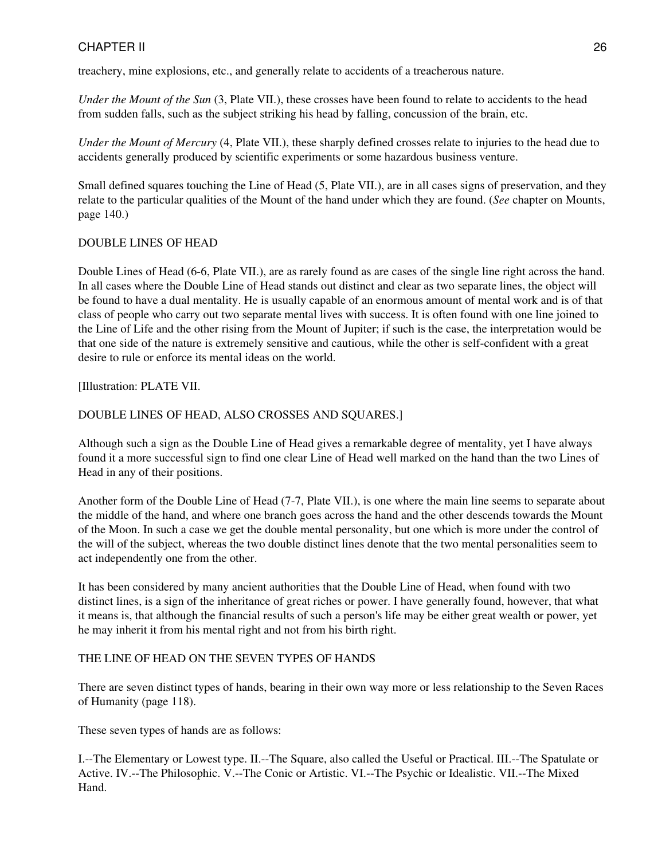treachery, mine explosions, etc., and generally relate to accidents of a treacherous nature.

*Under the Mount of the Sun* (3, Plate VII.), these crosses have been found to relate to accidents to the head from sudden falls, such as the subject striking his head by falling, concussion of the brain, etc.

*Under the Mount of Mercury* (4, Plate VII.), these sharply defined crosses relate to injuries to the head due to accidents generally produced by scientific experiments or some hazardous business venture.

Small defined squares touching the Line of Head (5, Plate VII.), are in all cases signs of preservation, and they relate to the particular qualities of the Mount of the hand under which they are found. (*See* chapter on Mounts, page 140.)

#### DOUBLE LINES OF HEAD

Double Lines of Head (6-6, Plate VII.), are as rarely found as are cases of the single line right across the hand. In all cases where the Double Line of Head stands out distinct and clear as two separate lines, the object will be found to have a dual mentality. He is usually capable of an enormous amount of mental work and is of that class of people who carry out two separate mental lives with success. It is often found with one line joined to the Line of Life and the other rising from the Mount of Jupiter; if such is the case, the interpretation would be that one side of the nature is extremely sensitive and cautious, while the other is self-confident with a great desire to rule or enforce its mental ideas on the world.

[Illustration: PLATE VII.

#### DOUBLE LINES OF HEAD, ALSO CROSSES AND SQUARES.]

Although such a sign as the Double Line of Head gives a remarkable degree of mentality, yet I have always found it a more successful sign to find one clear Line of Head well marked on the hand than the two Lines of Head in any of their positions.

Another form of the Double Line of Head (7-7, Plate VII.), is one where the main line seems to separate about the middle of the hand, and where one branch goes across the hand and the other descends towards the Mount of the Moon. In such a case we get the double mental personality, but one which is more under the control of the will of the subject, whereas the two double distinct lines denote that the two mental personalities seem to act independently one from the other.

It has been considered by many ancient authorities that the Double Line of Head, when found with two distinct lines, is a sign of the inheritance of great riches or power. I have generally found, however, that what it means is, that although the financial results of such a person's life may be either great wealth or power, yet he may inherit it from his mental right and not from his birth right.

#### THE LINE OF HEAD ON THE SEVEN TYPES OF HANDS

There are seven distinct types of hands, bearing in their own way more or less relationship to the Seven Races of Humanity (page 118).

These seven types of hands are as follows:

I.--The Elementary or Lowest type. II.--The Square, also called the Useful or Practical. III.--The Spatulate or Active. IV.--The Philosophic. V.--The Conic or Artistic. VI.--The Psychic or Idealistic. VII.--The Mixed Hand.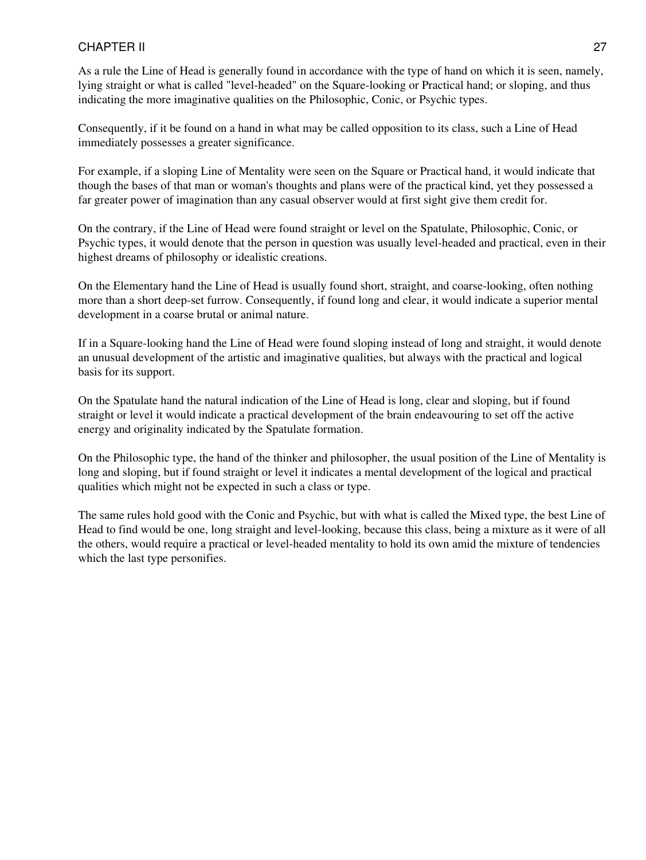As a rule the Line of Head is generally found in accordance with the type of hand on which it is seen, namely, lying straight or what is called "level-headed" on the Square-looking or Practical hand; or sloping, and thus indicating the more imaginative qualities on the Philosophic, Conic, or Psychic types.

Consequently, if it be found on a hand in what may be called opposition to its class, such a Line of Head immediately possesses a greater significance.

For example, if a sloping Line of Mentality were seen on the Square or Practical hand, it would indicate that though the bases of that man or woman's thoughts and plans were of the practical kind, yet they possessed a far greater power of imagination than any casual observer would at first sight give them credit for.

On the contrary, if the Line of Head were found straight or level on the Spatulate, Philosophic, Conic, or Psychic types, it would denote that the person in question was usually level-headed and practical, even in their highest dreams of philosophy or idealistic creations.

On the Elementary hand the Line of Head is usually found short, straight, and coarse-looking, often nothing more than a short deep-set furrow. Consequently, if found long and clear, it would indicate a superior mental development in a coarse brutal or animal nature.

If in a Square-looking hand the Line of Head were found sloping instead of long and straight, it would denote an unusual development of the artistic and imaginative qualities, but always with the practical and logical basis for its support.

On the Spatulate hand the natural indication of the Line of Head is long, clear and sloping, but if found straight or level it would indicate a practical development of the brain endeavouring to set off the active energy and originality indicated by the Spatulate formation.

On the Philosophic type, the hand of the thinker and philosopher, the usual position of the Line of Mentality is long and sloping, but if found straight or level it indicates a mental development of the logical and practical qualities which might not be expected in such a class or type.

The same rules hold good with the Conic and Psychic, but with what is called the Mixed type, the best Line of Head to find would be one, long straight and level-looking, because this class, being a mixture as it were of all the others, would require a practical or level-headed mentality to hold its own amid the mixture of tendencies which the last type personifies.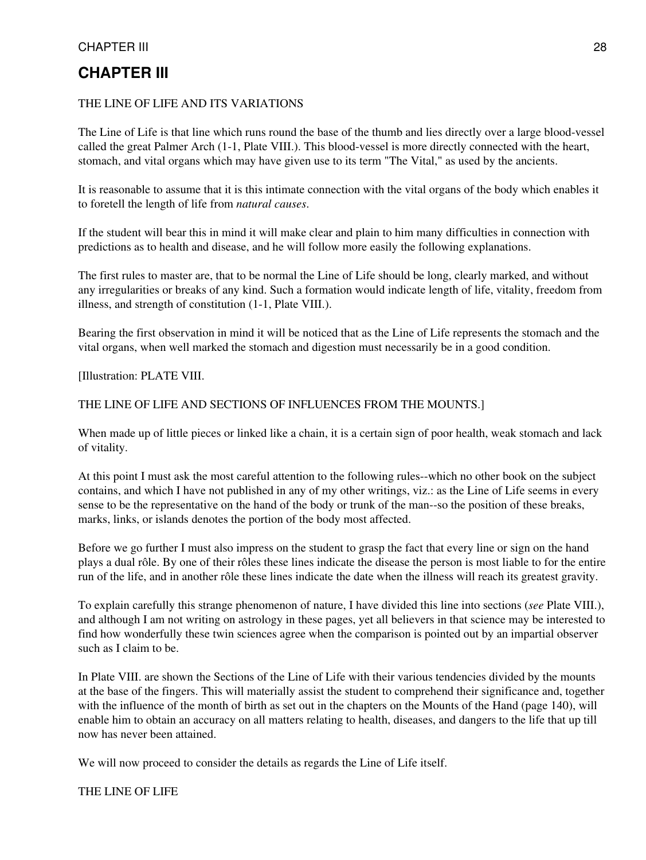### **CHAPTER III**

#### THE LINE OF LIFE AND ITS VARIATIONS

The Line of Life is that line which runs round the base of the thumb and lies directly over a large blood-vessel called the great Palmer Arch (1-1, Plate VIII.). This blood-vessel is more directly connected with the heart, stomach, and vital organs which may have given use to its term "The Vital," as used by the ancients.

It is reasonable to assume that it is this intimate connection with the vital organs of the body which enables it to foretell the length of life from *natural causes*.

If the student will bear this in mind it will make clear and plain to him many difficulties in connection with predictions as to health and disease, and he will follow more easily the following explanations.

The first rules to master are, that to be normal the Line of Life should be long, clearly marked, and without any irregularities or breaks of any kind. Such a formation would indicate length of life, vitality, freedom from illness, and strength of constitution (1-1, Plate VIII.).

Bearing the first observation in mind it will be noticed that as the Line of Life represents the stomach and the vital organs, when well marked the stomach and digestion must necessarily be in a good condition.

[Illustration: PLATE VIII.

#### THE LINE OF LIFE AND SECTIONS OF INFLUENCES FROM THE MOUNTS.]

When made up of little pieces or linked like a chain, it is a certain sign of poor health, weak stomach and lack of vitality.

At this point I must ask the most careful attention to the following rules--which no other book on the subject contains, and which I have not published in any of my other writings, viz.: as the Line of Life seems in every sense to be the representative on the hand of the body or trunk of the man--so the position of these breaks, marks, links, or islands denotes the portion of the body most affected.

Before we go further I must also impress on the student to grasp the fact that every line or sign on the hand plays a dual rôle. By one of their rôles these lines indicate the disease the person is most liable to for the entire run of the life, and in another rôle these lines indicate the date when the illness will reach its greatest gravity.

To explain carefully this strange phenomenon of nature, I have divided this line into sections (*see* Plate VIII.), and although I am not writing on astrology in these pages, yet all believers in that science may be interested to find how wonderfully these twin sciences agree when the comparison is pointed out by an impartial observer such as I claim to be.

In Plate VIII. are shown the Sections of the Line of Life with their various tendencies divided by the mounts at the base of the fingers. This will materially assist the student to comprehend their significance and, together with the influence of the month of birth as set out in the chapters on the Mounts of the Hand (page 140), will enable him to obtain an accuracy on all matters relating to health, diseases, and dangers to the life that up till now has never been attained.

We will now proceed to consider the details as regards the Line of Life itself.

THE LINE OF LIFE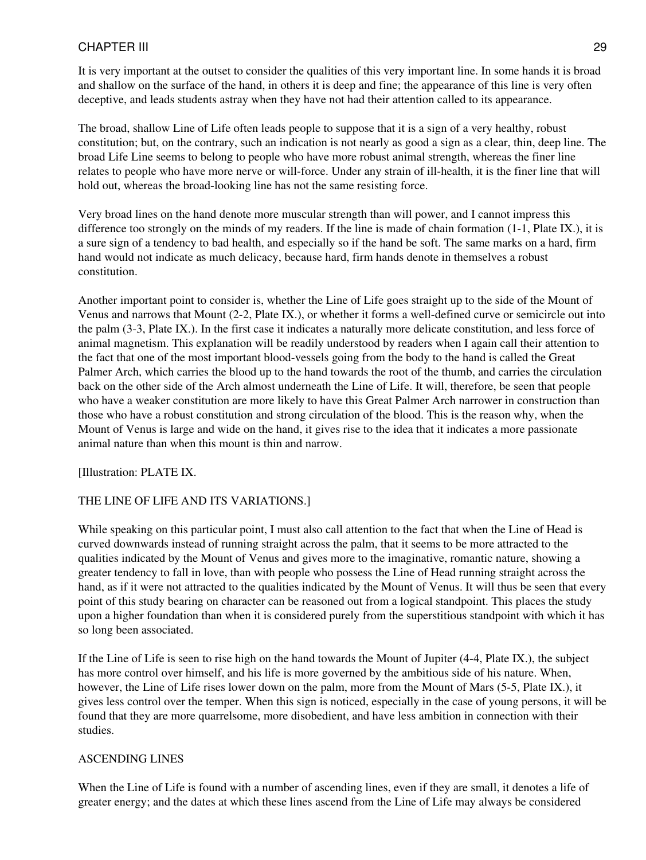It is very important at the outset to consider the qualities of this very important line. In some hands it is broad and shallow on the surface of the hand, in others it is deep and fine; the appearance of this line is very often deceptive, and leads students astray when they have not had their attention called to its appearance.

The broad, shallow Line of Life often leads people to suppose that it is a sign of a very healthy, robust constitution; but, on the contrary, such an indication is not nearly as good a sign as a clear, thin, deep line. The broad Life Line seems to belong to people who have more robust animal strength, whereas the finer line relates to people who have more nerve or will-force. Under any strain of ill-health, it is the finer line that will hold out, whereas the broad-looking line has not the same resisting force.

Very broad lines on the hand denote more muscular strength than will power, and I cannot impress this difference too strongly on the minds of my readers. If the line is made of chain formation (1-1, Plate IX.), it is a sure sign of a tendency to bad health, and especially so if the hand be soft. The same marks on a hard, firm hand would not indicate as much delicacy, because hard, firm hands denote in themselves a robust constitution.

Another important point to consider is, whether the Line of Life goes straight up to the side of the Mount of Venus and narrows that Mount (2-2, Plate IX.), or whether it forms a well-defined curve or semicircle out into the palm (3-3, Plate IX.). In the first case it indicates a naturally more delicate constitution, and less force of animal magnetism. This explanation will be readily understood by readers when I again call their attention to the fact that one of the most important blood-vessels going from the body to the hand is called the Great Palmer Arch, which carries the blood up to the hand towards the root of the thumb, and carries the circulation back on the other side of the Arch almost underneath the Line of Life. It will, therefore, be seen that people who have a weaker constitution are more likely to have this Great Palmer Arch narrower in construction than those who have a robust constitution and strong circulation of the blood. This is the reason why, when the Mount of Venus is large and wide on the hand, it gives rise to the idea that it indicates a more passionate animal nature than when this mount is thin and narrow.

[Illustration: PLATE IX.

#### THE LINE OF LIFE AND ITS VARIATIONS.]

While speaking on this particular point, I must also call attention to the fact that when the Line of Head is curved downwards instead of running straight across the palm, that it seems to be more attracted to the qualities indicated by the Mount of Venus and gives more to the imaginative, romantic nature, showing a greater tendency to fall in love, than with people who possess the Line of Head running straight across the hand, as if it were not attracted to the qualities indicated by the Mount of Venus. It will thus be seen that every point of this study bearing on character can be reasoned out from a logical standpoint. This places the study upon a higher foundation than when it is considered purely from the superstitious standpoint with which it has so long been associated.

If the Line of Life is seen to rise high on the hand towards the Mount of Jupiter (4-4, Plate IX.), the subject has more control over himself, and his life is more governed by the ambitious side of his nature. When, however, the Line of Life rises lower down on the palm, more from the Mount of Mars (5-5, Plate IX.), it gives less control over the temper. When this sign is noticed, especially in the case of young persons, it will be found that they are more quarrelsome, more disobedient, and have less ambition in connection with their studies.

#### ASCENDING LINES

When the Line of Life is found with a number of ascending lines, even if they are small, it denotes a life of greater energy; and the dates at which these lines ascend from the Line of Life may always be considered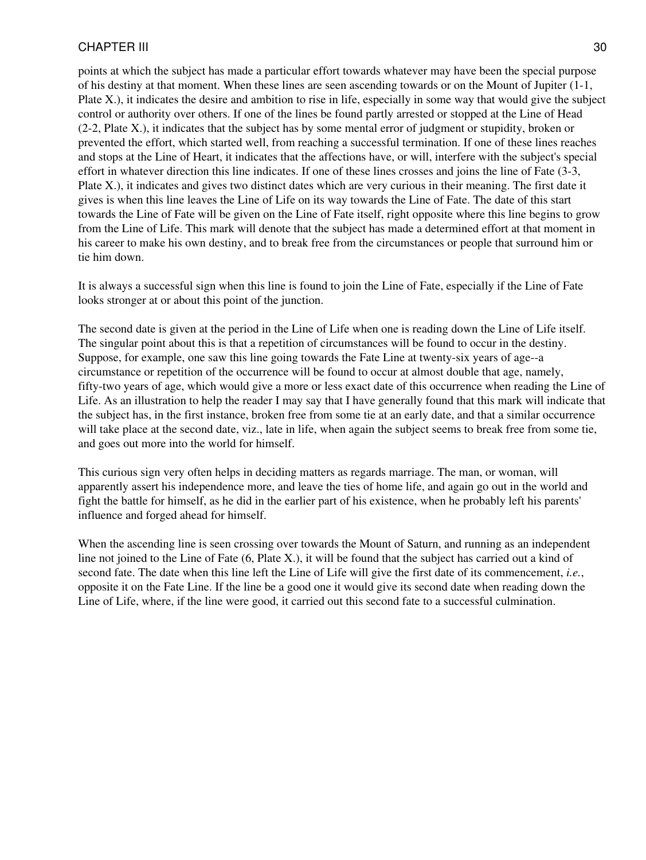points at which the subject has made a particular effort towards whatever may have been the special purpose of his destiny at that moment. When these lines are seen ascending towards or on the Mount of Jupiter (1-1, Plate X.), it indicates the desire and ambition to rise in life, especially in some way that would give the subject control or authority over others. If one of the lines be found partly arrested or stopped at the Line of Head (2-2, Plate X.), it indicates that the subject has by some mental error of judgment or stupidity, broken or prevented the effort, which started well, from reaching a successful termination. If one of these lines reaches and stops at the Line of Heart, it indicates that the affections have, or will, interfere with the subject's special effort in whatever direction this line indicates. If one of these lines crosses and joins the line of Fate (3-3, Plate X.), it indicates and gives two distinct dates which are very curious in their meaning. The first date it gives is when this line leaves the Line of Life on its way towards the Line of Fate. The date of this start towards the Line of Fate will be given on the Line of Fate itself, right opposite where this line begins to grow from the Line of Life. This mark will denote that the subject has made a determined effort at that moment in his career to make his own destiny, and to break free from the circumstances or people that surround him or tie him down.

It is always a successful sign when this line is found to join the Line of Fate, especially if the Line of Fate looks stronger at or about this point of the junction.

The second date is given at the period in the Line of Life when one is reading down the Line of Life itself. The singular point about this is that a repetition of circumstances will be found to occur in the destiny. Suppose, for example, one saw this line going towards the Fate Line at twenty-six years of age--a circumstance or repetition of the occurrence will be found to occur at almost double that age, namely, fifty-two years of age, which would give a more or less exact date of this occurrence when reading the Line of Life. As an illustration to help the reader I may say that I have generally found that this mark will indicate that the subject has, in the first instance, broken free from some tie at an early date, and that a similar occurrence will take place at the second date, viz., late in life, when again the subject seems to break free from some tie, and goes out more into the world for himself.

This curious sign very often helps in deciding matters as regards marriage. The man, or woman, will apparently assert his independence more, and leave the ties of home life, and again go out in the world and fight the battle for himself, as he did in the earlier part of his existence, when he probably left his parents' influence and forged ahead for himself.

When the ascending line is seen crossing over towards the Mount of Saturn, and running as an independent line not joined to the Line of Fate (6, Plate X.), it will be found that the subject has carried out a kind of second fate. The date when this line left the Line of Life will give the first date of its commencement, *i.e.*, opposite it on the Fate Line. If the line be a good one it would give its second date when reading down the Line of Life, where, if the line were good, it carried out this second fate to a successful culmination.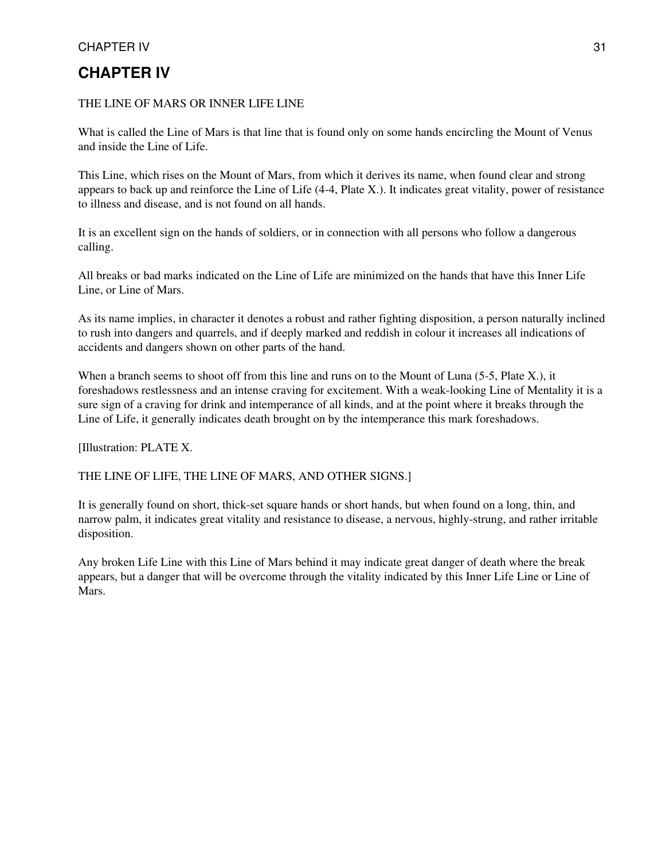## **CHAPTER IV**

#### THE LINE OF MARS OR INNER LIFE LINE

What is called the Line of Mars is that line that is found only on some hands encircling the Mount of Venus and inside the Line of Life.

This Line, which rises on the Mount of Mars, from which it derives its name, when found clear and strong appears to back up and reinforce the Line of Life (4-4, Plate X.). It indicates great vitality, power of resistance to illness and disease, and is not found on all hands.

It is an excellent sign on the hands of soldiers, or in connection with all persons who follow a dangerous calling.

All breaks or bad marks indicated on the Line of Life are minimized on the hands that have this Inner Life Line, or Line of Mars.

As its name implies, in character it denotes a robust and rather fighting disposition, a person naturally inclined to rush into dangers and quarrels, and if deeply marked and reddish in colour it increases all indications of accidents and dangers shown on other parts of the hand.

When a branch seems to shoot off from this line and runs on to the Mount of Luna (5-5, Plate X.), it foreshadows restlessness and an intense craving for excitement. With a weak-looking Line of Mentality it is a sure sign of a craving for drink and intemperance of all kinds, and at the point where it breaks through the Line of Life, it generally indicates death brought on by the intemperance this mark foreshadows.

[Illustration: PLATE X.

#### THE LINE OF LIFE, THE LINE OF MARS, AND OTHER SIGNS.]

It is generally found on short, thick-set square hands or short hands, but when found on a long, thin, and narrow palm, it indicates great vitality and resistance to disease, a nervous, highly-strung, and rather irritable disposition.

Any broken Life Line with this Line of Mars behind it may indicate great danger of death where the break appears, but a danger that will be overcome through the vitality indicated by this Inner Life Line or Line of Mars.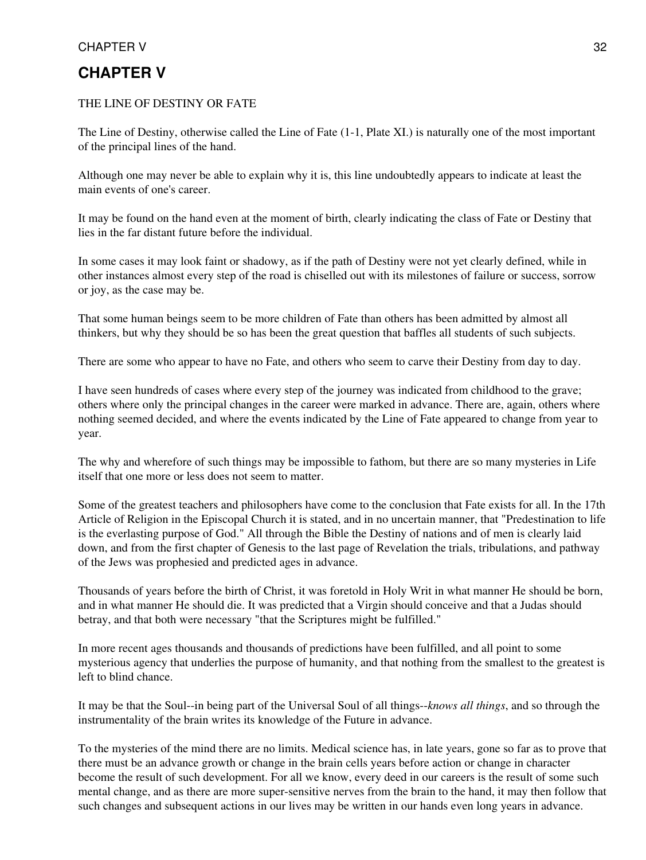# **CHAPTER V**

#### THE LINE OF DESTINY OR FATE

The Line of Destiny, otherwise called the Line of Fate (1-1, Plate XI.) is naturally one of the most important of the principal lines of the hand.

Although one may never be able to explain why it is, this line undoubtedly appears to indicate at least the main events of one's career.

It may be found on the hand even at the moment of birth, clearly indicating the class of Fate or Destiny that lies in the far distant future before the individual.

In some cases it may look faint or shadowy, as if the path of Destiny were not yet clearly defined, while in other instances almost every step of the road is chiselled out with its milestones of failure or success, sorrow or joy, as the case may be.

That some human beings seem to be more children of Fate than others has been admitted by almost all thinkers, but why they should be so has been the great question that baffles all students of such subjects.

There are some who appear to have no Fate, and others who seem to carve their Destiny from day to day.

I have seen hundreds of cases where every step of the journey was indicated from childhood to the grave; others where only the principal changes in the career were marked in advance. There are, again, others where nothing seemed decided, and where the events indicated by the Line of Fate appeared to change from year to year.

The why and wherefore of such things may be impossible to fathom, but there are so many mysteries in Life itself that one more or less does not seem to matter.

Some of the greatest teachers and philosophers have come to the conclusion that Fate exists for all. In the 17th Article of Religion in the Episcopal Church it is stated, and in no uncertain manner, that "Predestination to life is the everlasting purpose of God." All through the Bible the Destiny of nations and of men is clearly laid down, and from the first chapter of Genesis to the last page of Revelation the trials, tribulations, and pathway of the Jews was prophesied and predicted ages in advance.

Thousands of years before the birth of Christ, it was foretold in Holy Writ in what manner He should be born, and in what manner He should die. It was predicted that a Virgin should conceive and that a Judas should betray, and that both were necessary "that the Scriptures might be fulfilled."

In more recent ages thousands and thousands of predictions have been fulfilled, and all point to some mysterious agency that underlies the purpose of humanity, and that nothing from the smallest to the greatest is left to blind chance.

It may be that the Soul--in being part of the Universal Soul of all things--*knows all things*, and so through the instrumentality of the brain writes its knowledge of the Future in advance.

To the mysteries of the mind there are no limits. Medical science has, in late years, gone so far as to prove that there must be an advance growth or change in the brain cells years before action or change in character become the result of such development. For all we know, every deed in our careers is the result of some such mental change, and as there are more super-sensitive nerves from the brain to the hand, it may then follow that such changes and subsequent actions in our lives may be written in our hands even long years in advance.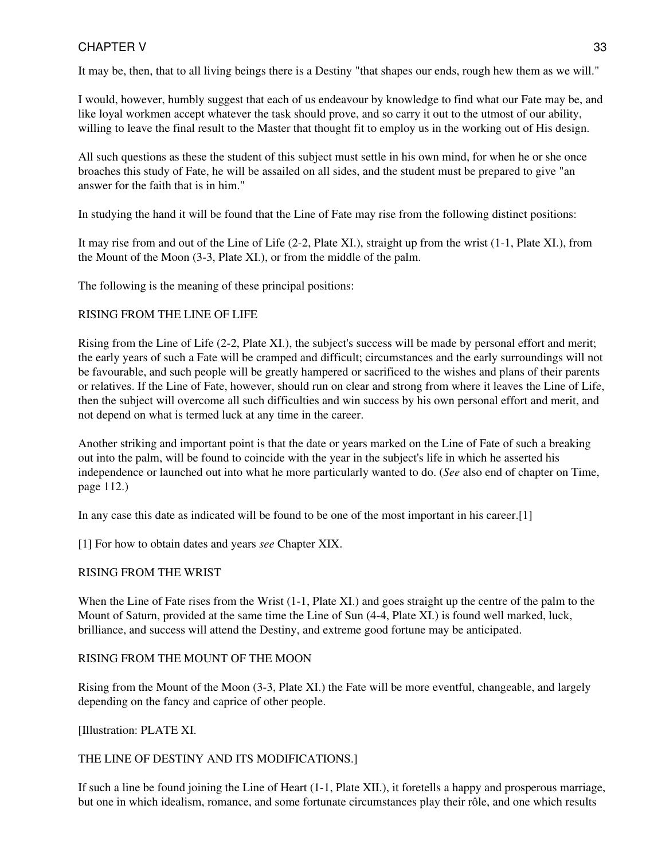It may be, then, that to all living beings there is a Destiny "that shapes our ends, rough hew them as we will."

I would, however, humbly suggest that each of us endeavour by knowledge to find what our Fate may be, and like loyal workmen accept whatever the task should prove, and so carry it out to the utmost of our ability, willing to leave the final result to the Master that thought fit to employ us in the working out of His design.

All such questions as these the student of this subject must settle in his own mind, for when he or she once broaches this study of Fate, he will be assailed on all sides, and the student must be prepared to give "an answer for the faith that is in him."

In studying the hand it will be found that the Line of Fate may rise from the following distinct positions:

It may rise from and out of the Line of Life (2-2, Plate XI.), straight up from the wrist (1-1, Plate XI.), from the Mount of the Moon (3-3, Plate XI.), or from the middle of the palm.

The following is the meaning of these principal positions:

#### RISING FROM THE LINE OF LIFE

Rising from the Line of Life (2-2, Plate XI.), the subject's success will be made by personal effort and merit; the early years of such a Fate will be cramped and difficult; circumstances and the early surroundings will not be favourable, and such people will be greatly hampered or sacrificed to the wishes and plans of their parents or relatives. If the Line of Fate, however, should run on clear and strong from where it leaves the Line of Life, then the subject will overcome all such difficulties and win success by his own personal effort and merit, and not depend on what is termed luck at any time in the career.

Another striking and important point is that the date or years marked on the Line of Fate of such a breaking out into the palm, will be found to coincide with the year in the subject's life in which he asserted his independence or launched out into what he more particularly wanted to do. (*See* also end of chapter on Time, page 112.)

In any case this date as indicated will be found to be one of the most important in his career.[1]

[1] For how to obtain dates and years *see* Chapter XIX.

#### RISING FROM THE WRIST

When the Line of Fate rises from the Wrist (1-1, Plate XI.) and goes straight up the centre of the palm to the Mount of Saturn, provided at the same time the Line of Sun (4-4, Plate XI.) is found well marked, luck, brilliance, and success will attend the Destiny, and extreme good fortune may be anticipated.

#### RISING FROM THE MOUNT OF THE MOON

Rising from the Mount of the Moon (3-3, Plate XI.) the Fate will be more eventful, changeable, and largely depending on the fancy and caprice of other people.

[Illustration: PLATE XI.

#### THE LINE OF DESTINY AND ITS MODIFICATIONS.]

If such a line be found joining the Line of Heart (1-1, Plate XII.), it foretells a happy and prosperous marriage, but one in which idealism, romance, and some fortunate circumstances play their rôle, and one which results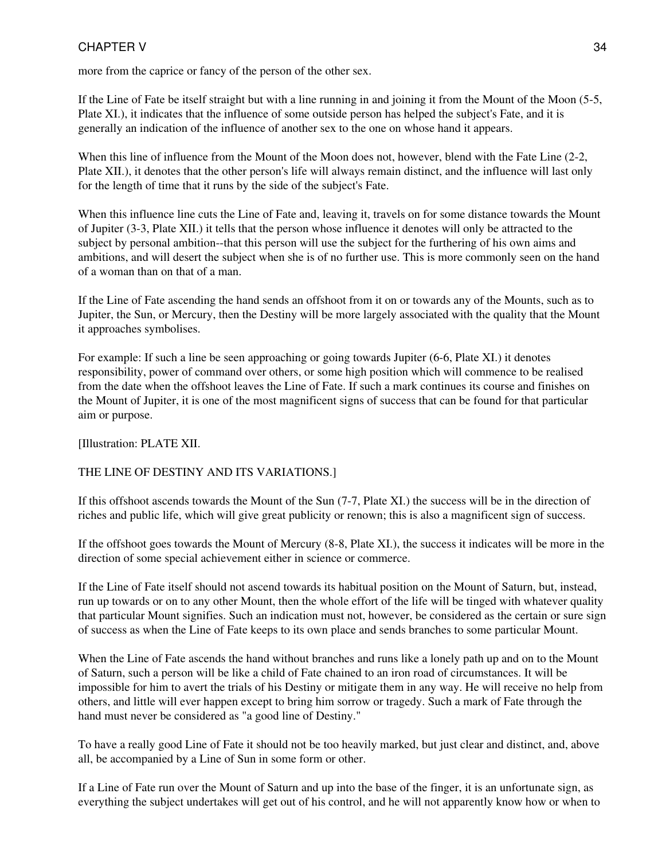more from the caprice or fancy of the person of the other sex.

If the Line of Fate be itself straight but with a line running in and joining it from the Mount of the Moon (5-5, Plate XI.), it indicates that the influence of some outside person has helped the subject's Fate, and it is generally an indication of the influence of another sex to the one on whose hand it appears.

When this line of influence from the Mount of the Moon does not, however, blend with the Fate Line (2-2, Plate XII.), it denotes that the other person's life will always remain distinct, and the influence will last only for the length of time that it runs by the side of the subject's Fate.

When this influence line cuts the Line of Fate and, leaving it, travels on for some distance towards the Mount of Jupiter (3-3, Plate XII.) it tells that the person whose influence it denotes will only be attracted to the subject by personal ambition--that this person will use the subject for the furthering of his own aims and ambitions, and will desert the subject when she is of no further use. This is more commonly seen on the hand of a woman than on that of a man.

If the Line of Fate ascending the hand sends an offshoot from it on or towards any of the Mounts, such as to Jupiter, the Sun, or Mercury, then the Destiny will be more largely associated with the quality that the Mount it approaches symbolises.

For example: If such a line be seen approaching or going towards Jupiter (6-6, Plate XI.) it denotes responsibility, power of command over others, or some high position which will commence to be realised from the date when the offshoot leaves the Line of Fate. If such a mark continues its course and finishes on the Mount of Jupiter, it is one of the most magnificent signs of success that can be found for that particular aim or purpose.

[Illustration: PLATE XII.

#### THE LINE OF DESTINY AND ITS VARIATIONS.]

If this offshoot ascends towards the Mount of the Sun (7-7, Plate XI.) the success will be in the direction of riches and public life, which will give great publicity or renown; this is also a magnificent sign of success.

If the offshoot goes towards the Mount of Mercury (8-8, Plate XI.), the success it indicates will be more in the direction of some special achievement either in science or commerce.

If the Line of Fate itself should not ascend towards its habitual position on the Mount of Saturn, but, instead, run up towards or on to any other Mount, then the whole effort of the life will be tinged with whatever quality that particular Mount signifies. Such an indication must not, however, be considered as the certain or sure sign of success as when the Line of Fate keeps to its own place and sends branches to some particular Mount.

When the Line of Fate ascends the hand without branches and runs like a lonely path up and on to the Mount of Saturn, such a person will be like a child of Fate chained to an iron road of circumstances. It will be impossible for him to avert the trials of his Destiny or mitigate them in any way. He will receive no help from others, and little will ever happen except to bring him sorrow or tragedy. Such a mark of Fate through the hand must never be considered as "a good line of Destiny."

To have a really good Line of Fate it should not be too heavily marked, but just clear and distinct, and, above all, be accompanied by a Line of Sun in some form or other.

If a Line of Fate run over the Mount of Saturn and up into the base of the finger, it is an unfortunate sign, as everything the subject undertakes will get out of his control, and he will not apparently know how or when to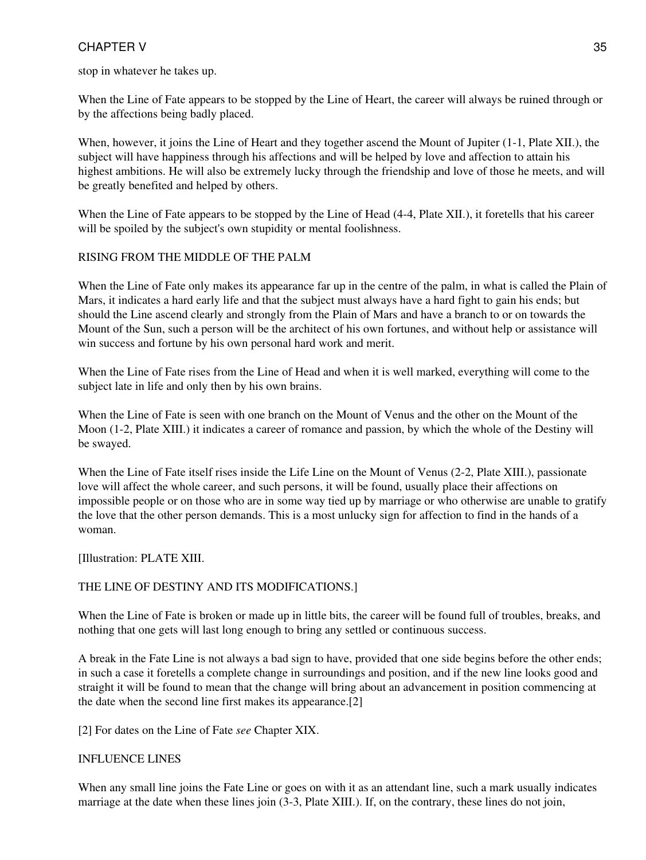stop in whatever he takes up.

When the Line of Fate appears to be stopped by the Line of Heart, the career will always be ruined through or by the affections being badly placed.

When, however, it joins the Line of Heart and they together ascend the Mount of Jupiter (1-1, Plate XII.), the subject will have happiness through his affections and will be helped by love and affection to attain his highest ambitions. He will also be extremely lucky through the friendship and love of those he meets, and will be greatly benefited and helped by others.

When the Line of Fate appears to be stopped by the Line of Head (4-4, Plate XII.), it foretells that his career will be spoiled by the subject's own stupidity or mental foolishness.

#### RISING FROM THE MIDDLE OF THE PALM

When the Line of Fate only makes its appearance far up in the centre of the palm, in what is called the Plain of Mars, it indicates a hard early life and that the subject must always have a hard fight to gain his ends; but should the Line ascend clearly and strongly from the Plain of Mars and have a branch to or on towards the Mount of the Sun, such a person will be the architect of his own fortunes, and without help or assistance will win success and fortune by his own personal hard work and merit.

When the Line of Fate rises from the Line of Head and when it is well marked, everything will come to the subject late in life and only then by his own brains.

When the Line of Fate is seen with one branch on the Mount of Venus and the other on the Mount of the Moon (1-2, Plate XIII.) it indicates a career of romance and passion, by which the whole of the Destiny will be swayed.

When the Line of Fate itself rises inside the Life Line on the Mount of Venus (2-2, Plate XIII.), passionate love will affect the whole career, and such persons, it will be found, usually place their affections on impossible people or on those who are in some way tied up by marriage or who otherwise are unable to gratify the love that the other person demands. This is a most unlucky sign for affection to find in the hands of a woman.

[Illustration: PLATE XIII.

#### THE LINE OF DESTINY AND ITS MODIFICATIONS.]

When the Line of Fate is broken or made up in little bits, the career will be found full of troubles, breaks, and nothing that one gets will last long enough to bring any settled or continuous success.

A break in the Fate Line is not always a bad sign to have, provided that one side begins before the other ends; in such a case it foretells a complete change in surroundings and position, and if the new line looks good and straight it will be found to mean that the change will bring about an advancement in position commencing at the date when the second line first makes its appearance.[2]

[2] For dates on the Line of Fate *see* Chapter XIX.

#### INFLUENCE LINES

When any small line joins the Fate Line or goes on with it as an attendant line, such a mark usually indicates marriage at the date when these lines join (3-3, Plate XIII.). If, on the contrary, these lines do not join,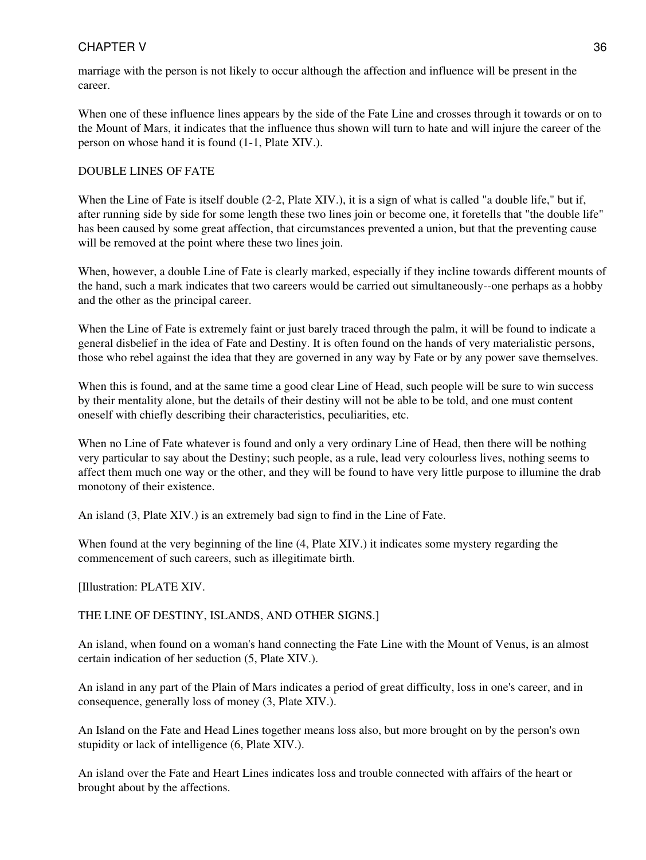marriage with the person is not likely to occur although the affection and influence will be present in the career.

When one of these influence lines appears by the side of the Fate Line and crosses through it towards or on to the Mount of Mars, it indicates that the influence thus shown will turn to hate and will injure the career of the person on whose hand it is found (1-1, Plate XIV.).

#### DOUBLE LINES OF FATE

When the Line of Fate is itself double (2-2, Plate XIV.), it is a sign of what is called "a double life," but if, after running side by side for some length these two lines join or become one, it foretells that "the double life" has been caused by some great affection, that circumstances prevented a union, but that the preventing cause will be removed at the point where these two lines join.

When, however, a double Line of Fate is clearly marked, especially if they incline towards different mounts of the hand, such a mark indicates that two careers would be carried out simultaneously--one perhaps as a hobby and the other as the principal career.

When the Line of Fate is extremely faint or just barely traced through the palm, it will be found to indicate a general disbelief in the idea of Fate and Destiny. It is often found on the hands of very materialistic persons, those who rebel against the idea that they are governed in any way by Fate or by any power save themselves.

When this is found, and at the same time a good clear Line of Head, such people will be sure to win success by their mentality alone, but the details of their destiny will not be able to be told, and one must content oneself with chiefly describing their characteristics, peculiarities, etc.

When no Line of Fate whatever is found and only a very ordinary Line of Head, then there will be nothing very particular to say about the Destiny; such people, as a rule, lead very colourless lives, nothing seems to affect them much one way or the other, and they will be found to have very little purpose to illumine the drab monotony of their existence.

An island (3, Plate XIV.) is an extremely bad sign to find in the Line of Fate.

When found at the very beginning of the line (4, Plate XIV.) it indicates some mystery regarding the commencement of such careers, such as illegitimate birth.

[Illustration: PLATE XIV.

THE LINE OF DESTINY, ISLANDS, AND OTHER SIGNS.]

An island, when found on a woman's hand connecting the Fate Line with the Mount of Venus, is an almost certain indication of her seduction (5, Plate XIV.).

An island in any part of the Plain of Mars indicates a period of great difficulty, loss in one's career, and in consequence, generally loss of money (3, Plate XIV.).

An Island on the Fate and Head Lines together means loss also, but more brought on by the person's own stupidity or lack of intelligence (6, Plate XIV.).

An island over the Fate and Heart Lines indicates loss and trouble connected with affairs of the heart or brought about by the affections.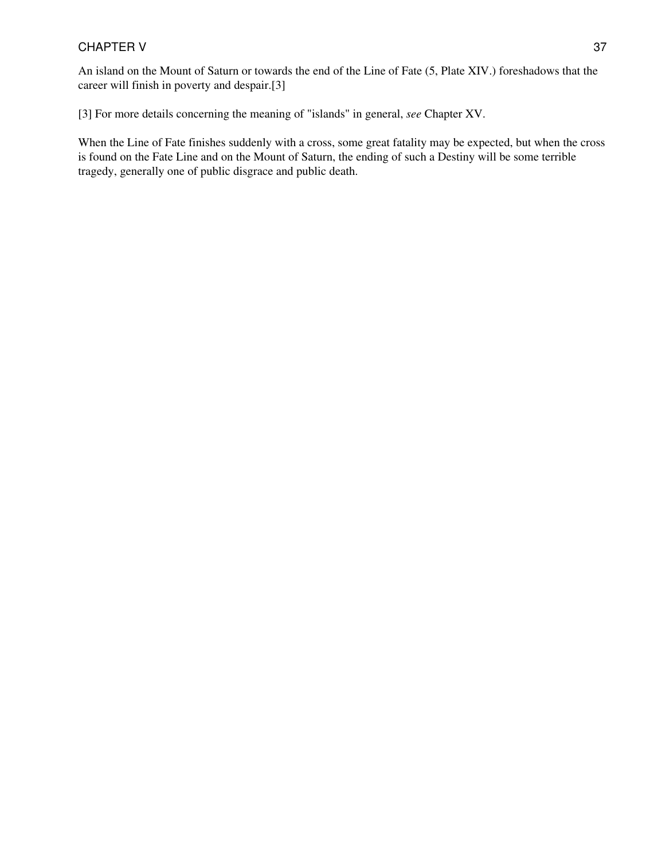#### CHAPTER V 37

An island on the Mount of Saturn or towards the end of the Line of Fate (5, Plate XIV.) foreshadows that the career will finish in poverty and despair.[3]

[3] For more details concerning the meaning of "islands" in general, *see* Chapter XV.

When the Line of Fate finishes suddenly with a cross, some great fatality may be expected, but when the cross is found on the Fate Line and on the Mount of Saturn, the ending of such a Destiny will be some terrible tragedy, generally one of public disgrace and public death.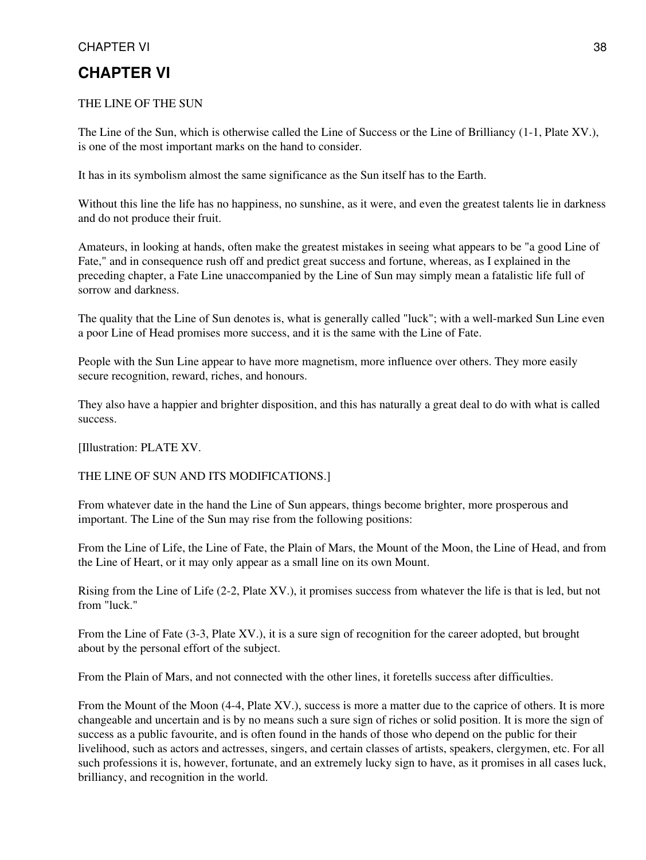#### CHAPTER VI 38

### **CHAPTER VI**

#### THE LINE OF THE SUN

The Line of the Sun, which is otherwise called the Line of Success or the Line of Brilliancy (1-1, Plate XV.), is one of the most important marks on the hand to consider.

It has in its symbolism almost the same significance as the Sun itself has to the Earth.

Without this line the life has no happiness, no sunshine, as it were, and even the greatest talents lie in darkness and do not produce their fruit.

Amateurs, in looking at hands, often make the greatest mistakes in seeing what appears to be "a good Line of Fate," and in consequence rush off and predict great success and fortune, whereas, as I explained in the preceding chapter, a Fate Line unaccompanied by the Line of Sun may simply mean a fatalistic life full of sorrow and darkness.

The quality that the Line of Sun denotes is, what is generally called "luck"; with a well-marked Sun Line even a poor Line of Head promises more success, and it is the same with the Line of Fate.

People with the Sun Line appear to have more magnetism, more influence over others. They more easily secure recognition, reward, riches, and honours.

They also have a happier and brighter disposition, and this has naturally a great deal to do with what is called success.

[Illustration: PLATE XV.

#### THE LINE OF SUN AND ITS MODIFICATIONS.]

From whatever date in the hand the Line of Sun appears, things become brighter, more prosperous and important. The Line of the Sun may rise from the following positions:

From the Line of Life, the Line of Fate, the Plain of Mars, the Mount of the Moon, the Line of Head, and from the Line of Heart, or it may only appear as a small line on its own Mount.

Rising from the Line of Life (2-2, Plate XV.), it promises success from whatever the life is that is led, but not from "luck."

From the Line of Fate (3-3, Plate XV.), it is a sure sign of recognition for the career adopted, but brought about by the personal effort of the subject.

From the Plain of Mars, and not connected with the other lines, it foretells success after difficulties.

From the Mount of the Moon (4-4, Plate XV.), success is more a matter due to the caprice of others. It is more changeable and uncertain and is by no means such a sure sign of riches or solid position. It is more the sign of success as a public favourite, and is often found in the hands of those who depend on the public for their livelihood, such as actors and actresses, singers, and certain classes of artists, speakers, clergymen, etc. For all such professions it is, however, fortunate, and an extremely lucky sign to have, as it promises in all cases luck, brilliancy, and recognition in the world.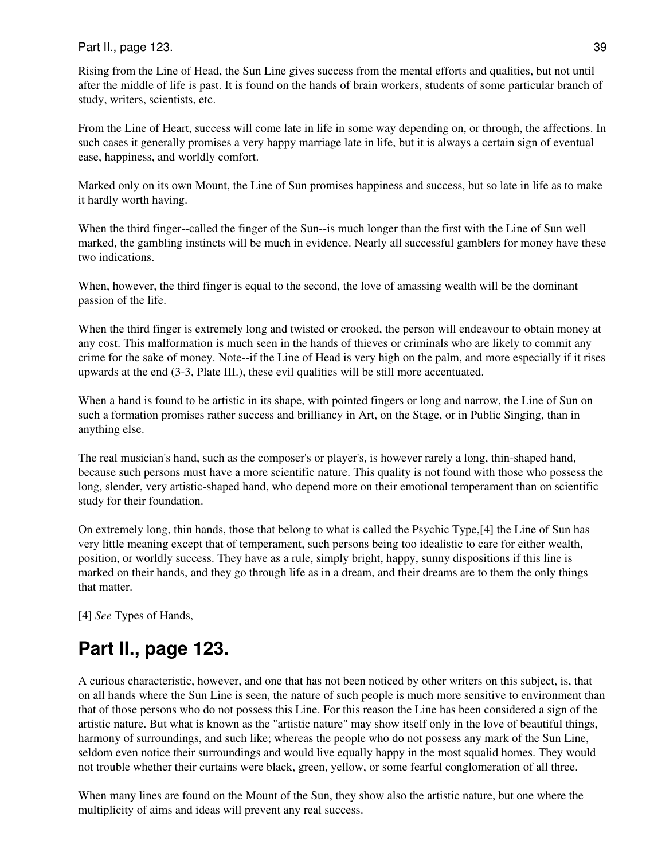#### Part II., page 123. 39

Rising from the Line of Head, the Sun Line gives success from the mental efforts and qualities, but not until after the middle of life is past. It is found on the hands of brain workers, students of some particular branch of study, writers, scientists, etc.

From the Line of Heart, success will come late in life in some way depending on, or through, the affections. In such cases it generally promises a very happy marriage late in life, but it is always a certain sign of eventual ease, happiness, and worldly comfort.

Marked only on its own Mount, the Line of Sun promises happiness and success, but so late in life as to make it hardly worth having.

When the third finger--called the finger of the Sun--is much longer than the first with the Line of Sun well marked, the gambling instincts will be much in evidence. Nearly all successful gamblers for money have these two indications.

When, however, the third finger is equal to the second, the love of amassing wealth will be the dominant passion of the life.

When the third finger is extremely long and twisted or crooked, the person will endeavour to obtain money at any cost. This malformation is much seen in the hands of thieves or criminals who are likely to commit any crime for the sake of money. Note--if the Line of Head is very high on the palm, and more especially if it rises upwards at the end (3-3, Plate III.), these evil qualities will be still more accentuated.

When a hand is found to be artistic in its shape, with pointed fingers or long and narrow, the Line of Sun on such a formation promises rather success and brilliancy in Art, on the Stage, or in Public Singing, than in anything else.

The real musician's hand, such as the composer's or player's, is however rarely a long, thin-shaped hand, because such persons must have a more scientific nature. This quality is not found with those who possess the long, slender, very artistic-shaped hand, who depend more on their emotional temperament than on scientific study for their foundation.

On extremely long, thin hands, those that belong to what is called the Psychic Type,[4] the Line of Sun has very little meaning except that of temperament, such persons being too idealistic to care for either wealth, position, or worldly success. They have as a rule, simply bright, happy, sunny dispositions if this line is marked on their hands, and they go through life as in a dream, and their dreams are to them the only things that matter.

[4] *See* Types of Hands,

# **Part II., page 123.**

A curious characteristic, however, and one that has not been noticed by other writers on this subject, is, that on all hands where the Sun Line is seen, the nature of such people is much more sensitive to environment than that of those persons who do not possess this Line. For this reason the Line has been considered a sign of the artistic nature. But what is known as the "artistic nature" may show itself only in the love of beautiful things, harmony of surroundings, and such like; whereas the people who do not possess any mark of the Sun Line, seldom even notice their surroundings and would live equally happy in the most squalid homes. They would not trouble whether their curtains were black, green, yellow, or some fearful conglomeration of all three.

When many lines are found on the Mount of the Sun, they show also the artistic nature, but one where the multiplicity of aims and ideas will prevent any real success.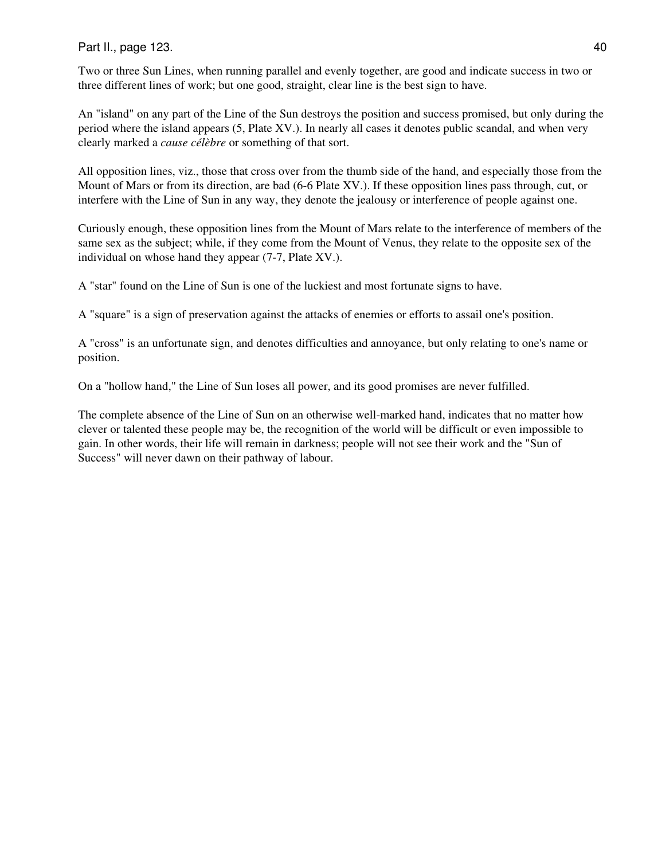Part II., page 123. 40

Two or three Sun Lines, when running parallel and evenly together, are good and indicate success in two or three different lines of work; but one good, straight, clear line is the best sign to have.

An "island" on any part of the Line of the Sun destroys the position and success promised, but only during the period where the island appears (5, Plate XV.). In nearly all cases it denotes public scandal, and when very clearly marked a *cause célèbre* or something of that sort.

All opposition lines, viz., those that cross over from the thumb side of the hand, and especially those from the Mount of Mars or from its direction, are bad (6-6 Plate XV.). If these opposition lines pass through, cut, or interfere with the Line of Sun in any way, they denote the jealousy or interference of people against one.

Curiously enough, these opposition lines from the Mount of Mars relate to the interference of members of the same sex as the subject; while, if they come from the Mount of Venus, they relate to the opposite sex of the individual on whose hand they appear (7-7, Plate XV.).

A "star" found on the Line of Sun is one of the luckiest and most fortunate signs to have.

A "square" is a sign of preservation against the attacks of enemies or efforts to assail one's position.

A "cross" is an unfortunate sign, and denotes difficulties and annoyance, but only relating to one's name or position.

On a "hollow hand," the Line of Sun loses all power, and its good promises are never fulfilled.

The complete absence of the Line of Sun on an otherwise well-marked hand, indicates that no matter how clever or talented these people may be, the recognition of the world will be difficult or even impossible to gain. In other words, their life will remain in darkness; people will not see their work and the "Sun of Success" will never dawn on their pathway of labour.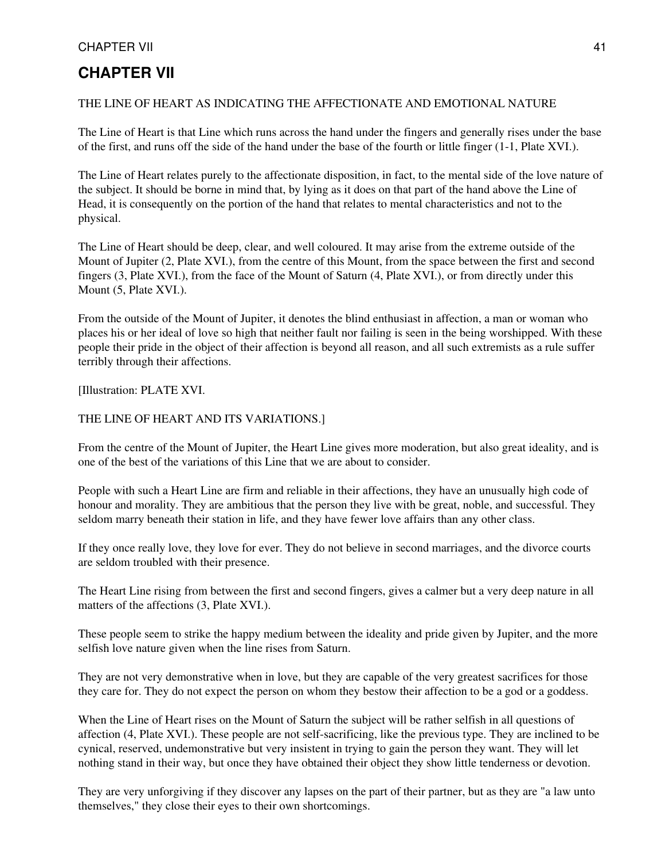#### CHAPTER VII 41

### **CHAPTER VII**

#### THE LINE OF HEART AS INDICATING THE AFFECTIONATE AND EMOTIONAL NATURE

The Line of Heart is that Line which runs across the hand under the fingers and generally rises under the base of the first, and runs off the side of the hand under the base of the fourth or little finger (1-1, Plate XVI.).

The Line of Heart relates purely to the affectionate disposition, in fact, to the mental side of the love nature of the subject. It should be borne in mind that, by lying as it does on that part of the hand above the Line of Head, it is consequently on the portion of the hand that relates to mental characteristics and not to the physical.

The Line of Heart should be deep, clear, and well coloured. It may arise from the extreme outside of the Mount of Jupiter (2, Plate XVI.), from the centre of this Mount, from the space between the first and second fingers (3, Plate XVI.), from the face of the Mount of Saturn (4, Plate XVI.), or from directly under this Mount (5, Plate XVI.).

From the outside of the Mount of Jupiter, it denotes the blind enthusiast in affection, a man or woman who places his or her ideal of love so high that neither fault nor failing is seen in the being worshipped. With these people their pride in the object of their affection is beyond all reason, and all such extremists as a rule suffer terribly through their affections.

[Illustration: PLATE XVI.

#### THE LINE OF HEART AND ITS VARIATIONS.]

From the centre of the Mount of Jupiter, the Heart Line gives more moderation, but also great ideality, and is one of the best of the variations of this Line that we are about to consider.

People with such a Heart Line are firm and reliable in their affections, they have an unusually high code of honour and morality. They are ambitious that the person they live with be great, noble, and successful. They seldom marry beneath their station in life, and they have fewer love affairs than any other class.

If they once really love, they love for ever. They do not believe in second marriages, and the divorce courts are seldom troubled with their presence.

The Heart Line rising from between the first and second fingers, gives a calmer but a very deep nature in all matters of the affections (3, Plate XVI.).

These people seem to strike the happy medium between the ideality and pride given by Jupiter, and the more selfish love nature given when the line rises from Saturn.

They are not very demonstrative when in love, but they are capable of the very greatest sacrifices for those they care for. They do not expect the person on whom they bestow their affection to be a god or a goddess.

When the Line of Heart rises on the Mount of Saturn the subject will be rather selfish in all questions of affection (4, Plate XVI.). These people are not self-sacrificing, like the previous type. They are inclined to be cynical, reserved, undemonstrative but very insistent in trying to gain the person they want. They will let nothing stand in their way, but once they have obtained their object they show little tenderness or devotion.

They are very unforgiving if they discover any lapses on the part of their partner, but as they are "a law unto themselves," they close their eyes to their own shortcomings.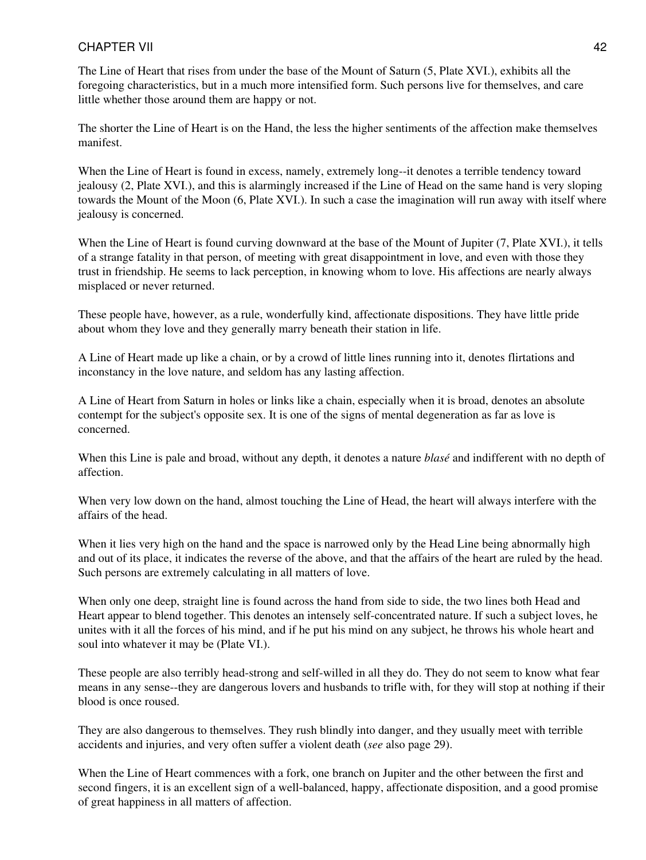#### CHAPTER VII 42

The Line of Heart that rises from under the base of the Mount of Saturn (5, Plate XVI.), exhibits all the foregoing characteristics, but in a much more intensified form. Such persons live for themselves, and care little whether those around them are happy or not.

The shorter the Line of Heart is on the Hand, the less the higher sentiments of the affection make themselves manifest.

When the Line of Heart is found in excess, namely, extremely long--it denotes a terrible tendency toward jealousy (2, Plate XVI.), and this is alarmingly increased if the Line of Head on the same hand is very sloping towards the Mount of the Moon (6, Plate XVI.). In such a case the imagination will run away with itself where jealousy is concerned.

When the Line of Heart is found curving downward at the base of the Mount of Jupiter (7, Plate XVI.), it tells of a strange fatality in that person, of meeting with great disappointment in love, and even with those they trust in friendship. He seems to lack perception, in knowing whom to love. His affections are nearly always misplaced or never returned.

These people have, however, as a rule, wonderfully kind, affectionate dispositions. They have little pride about whom they love and they generally marry beneath their station in life.

A Line of Heart made up like a chain, or by a crowd of little lines running into it, denotes flirtations and inconstancy in the love nature, and seldom has any lasting affection.

A Line of Heart from Saturn in holes or links like a chain, especially when it is broad, denotes an absolute contempt for the subject's opposite sex. It is one of the signs of mental degeneration as far as love is concerned.

When this Line is pale and broad, without any depth, it denotes a nature *blasé* and indifferent with no depth of affection.

When very low down on the hand, almost touching the Line of Head, the heart will always interfere with the affairs of the head.

When it lies very high on the hand and the space is narrowed only by the Head Line being abnormally high and out of its place, it indicates the reverse of the above, and that the affairs of the heart are ruled by the head. Such persons are extremely calculating in all matters of love.

When only one deep, straight line is found across the hand from side to side, the two lines both Head and Heart appear to blend together. This denotes an intensely self-concentrated nature. If such a subject loves, he unites with it all the forces of his mind, and if he put his mind on any subject, he throws his whole heart and soul into whatever it may be (Plate VI.).

These people are also terribly head-strong and self-willed in all they do. They do not seem to know what fear means in any sense--they are dangerous lovers and husbands to trifle with, for they will stop at nothing if their blood is once roused.

They are also dangerous to themselves. They rush blindly into danger, and they usually meet with terrible accidents and injuries, and very often suffer a violent death (*see* also page 29).

When the Line of Heart commences with a fork, one branch on Jupiter and the other between the first and second fingers, it is an excellent sign of a well-balanced, happy, affectionate disposition, and a good promise of great happiness in all matters of affection.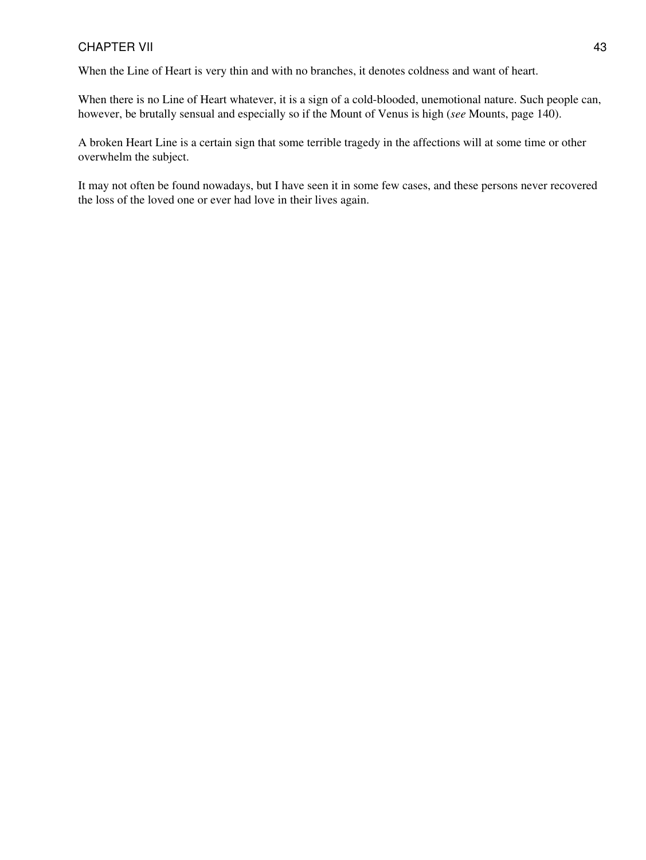#### CHAPTER VII 43

When the Line of Heart is very thin and with no branches, it denotes coldness and want of heart.

When there is no Line of Heart whatever, it is a sign of a cold-blooded, unemotional nature. Such people can, however, be brutally sensual and especially so if the Mount of Venus is high (*see* Mounts, page 140).

A broken Heart Line is a certain sign that some terrible tragedy in the affections will at some time or other overwhelm the subject.

It may not often be found nowadays, but I have seen it in some few cases, and these persons never recovered the loss of the loved one or ever had love in their lives again.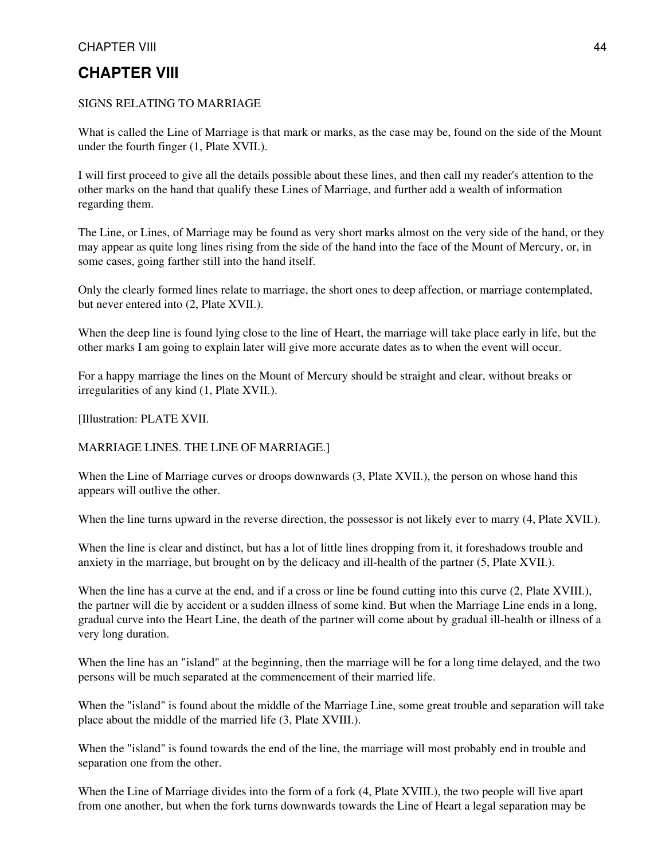#### CHAPTER VIII 44

### **CHAPTER VIII**

#### SIGNS RELATING TO MARRIAGE

What is called the Line of Marriage is that mark or marks, as the case may be, found on the side of the Mount under the fourth finger (1, Plate XVII.).

I will first proceed to give all the details possible about these lines, and then call my reader's attention to the other marks on the hand that qualify these Lines of Marriage, and further add a wealth of information regarding them.

The Line, or Lines, of Marriage may be found as very short marks almost on the very side of the hand, or they may appear as quite long lines rising from the side of the hand into the face of the Mount of Mercury, or, in some cases, going farther still into the hand itself.

Only the clearly formed lines relate to marriage, the short ones to deep affection, or marriage contemplated, but never entered into (2, Plate XVII.).

When the deep line is found lying close to the line of Heart, the marriage will take place early in life, but the other marks I am going to explain later will give more accurate dates as to when the event will occur.

For a happy marriage the lines on the Mount of Mercury should be straight and clear, without breaks or irregularities of any kind (1, Plate XVII.).

[Illustration: PLATE XVII.

#### MARRIAGE LINES. THE LINE OF MARRIAGE.]

When the Line of Marriage curves or droops downwards  $(3,$  Plate XVII.), the person on whose hand this appears will outlive the other.

When the line turns upward in the reverse direction, the possessor is not likely ever to marry (4, Plate XVII.).

When the line is clear and distinct, but has a lot of little lines dropping from it, it foreshadows trouble and anxiety in the marriage, but brought on by the delicacy and ill-health of the partner (5, Plate XVII.).

When the line has a curve at the end, and if a cross or line be found cutting into this curve  $(2,$  Plate XVIII.), the partner will die by accident or a sudden illness of some kind. But when the Marriage Line ends in a long, gradual curve into the Heart Line, the death of the partner will come about by gradual ill-health or illness of a very long duration.

When the line has an "island" at the beginning, then the marriage will be for a long time delayed, and the two persons will be much separated at the commencement of their married life.

When the "island" is found about the middle of the Marriage Line, some great trouble and separation will take place about the middle of the married life (3, Plate XVIII.).

When the "island" is found towards the end of the line, the marriage will most probably end in trouble and separation one from the other.

When the Line of Marriage divides into the form of a fork (4, Plate XVIII.), the two people will live apart from one another, but when the fork turns downwards towards the Line of Heart a legal separation may be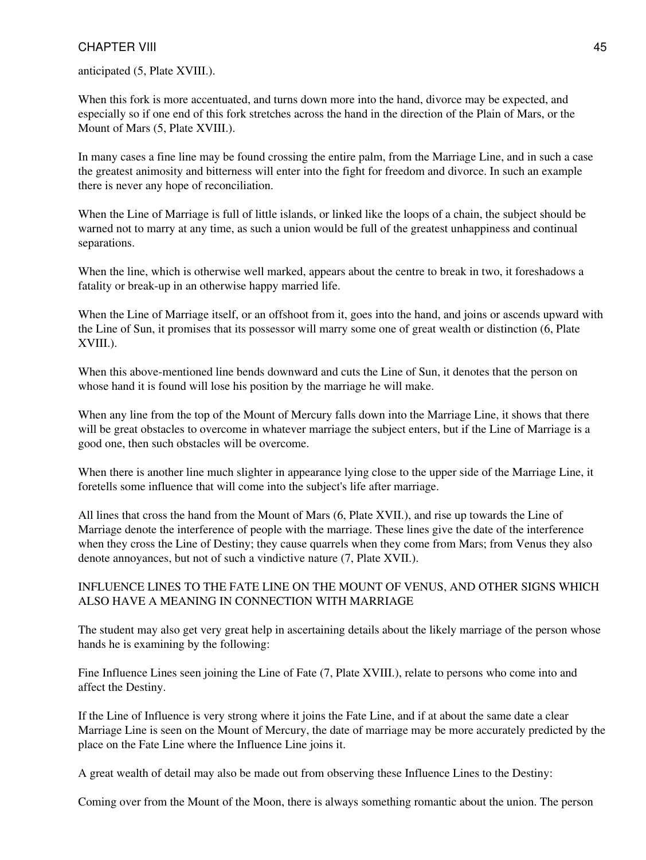#### CHAPTER VIII 45

anticipated (5, Plate XVIII.).

When this fork is more accentuated, and turns down more into the hand, divorce may be expected, and especially so if one end of this fork stretches across the hand in the direction of the Plain of Mars, or the Mount of Mars (5, Plate XVIII.).

In many cases a fine line may be found crossing the entire palm, from the Marriage Line, and in such a case the greatest animosity and bitterness will enter into the fight for freedom and divorce. In such an example there is never any hope of reconciliation.

When the Line of Marriage is full of little islands, or linked like the loops of a chain, the subject should be warned not to marry at any time, as such a union would be full of the greatest unhappiness and continual separations.

When the line, which is otherwise well marked, appears about the centre to break in two, it foreshadows a fatality or break-up in an otherwise happy married life.

When the Line of Marriage itself, or an offshoot from it, goes into the hand, and joins or ascends upward with the Line of Sun, it promises that its possessor will marry some one of great wealth or distinction (6, Plate XVIII.).

When this above-mentioned line bends downward and cuts the Line of Sun, it denotes that the person on whose hand it is found will lose his position by the marriage he will make.

When any line from the top of the Mount of Mercury falls down into the Marriage Line, it shows that there will be great obstacles to overcome in whatever marriage the subject enters, but if the Line of Marriage is a good one, then such obstacles will be overcome.

When there is another line much slighter in appearance lying close to the upper side of the Marriage Line, it foretells some influence that will come into the subject's life after marriage.

All lines that cross the hand from the Mount of Mars (6, Plate XVII.), and rise up towards the Line of Marriage denote the interference of people with the marriage. These lines give the date of the interference when they cross the Line of Destiny; they cause quarrels when they come from Mars; from Venus they also denote annoyances, but not of such a vindictive nature (7, Plate XVII.).

#### INFLUENCE LINES TO THE FATE LINE ON THE MOUNT OF VENUS, AND OTHER SIGNS WHICH ALSO HAVE A MEANING IN CONNECTION WITH MARRIAGE

The student may also get very great help in ascertaining details about the likely marriage of the person whose hands he is examining by the following:

Fine Influence Lines seen joining the Line of Fate  $(7,$  Plate XVIII.), relate to persons who come into and affect the Destiny.

If the Line of Influence is very strong where it joins the Fate Line, and if at about the same date a clear Marriage Line is seen on the Mount of Mercury, the date of marriage may be more accurately predicted by the place on the Fate Line where the Influence Line joins it.

A great wealth of detail may also be made out from observing these Influence Lines to the Destiny:

Coming over from the Mount of the Moon, there is always something romantic about the union. The person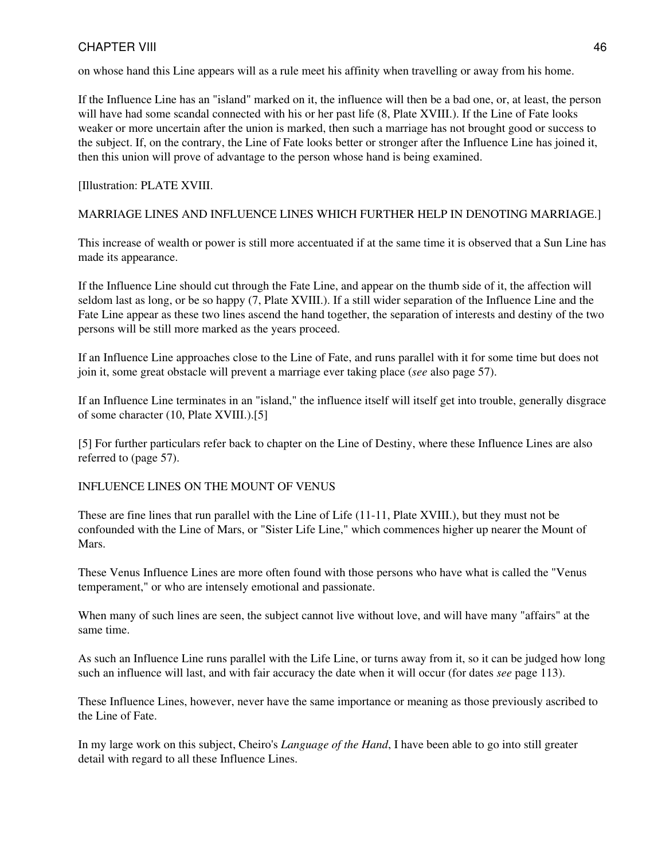#### CHAPTER VIII 46

on whose hand this Line appears will as a rule meet his affinity when travelling or away from his home.

If the Influence Line has an "island" marked on it, the influence will then be a bad one, or, at least, the person will have had some scandal connected with his or her past life  $(8,$  Plate XVIII.). If the Line of Fate looks weaker or more uncertain after the union is marked, then such a marriage has not brought good or success to the subject. If, on the contrary, the Line of Fate looks better or stronger after the Influence Line has joined it, then this union will prove of advantage to the person whose hand is being examined.

#### [Illustration: PLATE XVIII.

#### MARRIAGE LINES AND INFLUENCE LINES WHICH FURTHER HELP IN DENOTING MARRIAGE.]

This increase of wealth or power is still more accentuated if at the same time it is observed that a Sun Line has made its appearance.

If the Influence Line should cut through the Fate Line, and appear on the thumb side of it, the affection will seldom last as long, or be so happy (7, Plate XVIII.). If a still wider separation of the Influence Line and the Fate Line appear as these two lines ascend the hand together, the separation of interests and destiny of the two persons will be still more marked as the years proceed.

If an Influence Line approaches close to the Line of Fate, and runs parallel with it for some time but does not join it, some great obstacle will prevent a marriage ever taking place (*see* also page 57).

If an Influence Line terminates in an "island," the influence itself will itself get into trouble, generally disgrace of some character (10, Plate XVIII.).[5]

[5] For further particulars refer back to chapter on the Line of Destiny, where these Influence Lines are also referred to (page 57).

#### INFLUENCE LINES ON THE MOUNT OF VENUS

These are fine lines that run parallel with the Line of Life (11-11, Plate XVIII.), but they must not be confounded with the Line of Mars, or "Sister Life Line," which commences higher up nearer the Mount of Mars.

These Venus Influence Lines are more often found with those persons who have what is called the "Venus temperament," or who are intensely emotional and passionate.

When many of such lines are seen, the subject cannot live without love, and will have many "affairs" at the same time.

As such an Influence Line runs parallel with the Life Line, or turns away from it, so it can be judged how long such an influence will last, and with fair accuracy the date when it will occur (for dates *see* page 113).

These Influence Lines, however, never have the same importance or meaning as those previously ascribed to the Line of Fate.

In my large work on this subject, Cheiro's *Language of the Hand*, I have been able to go into still greater detail with regard to all these Influence Lines.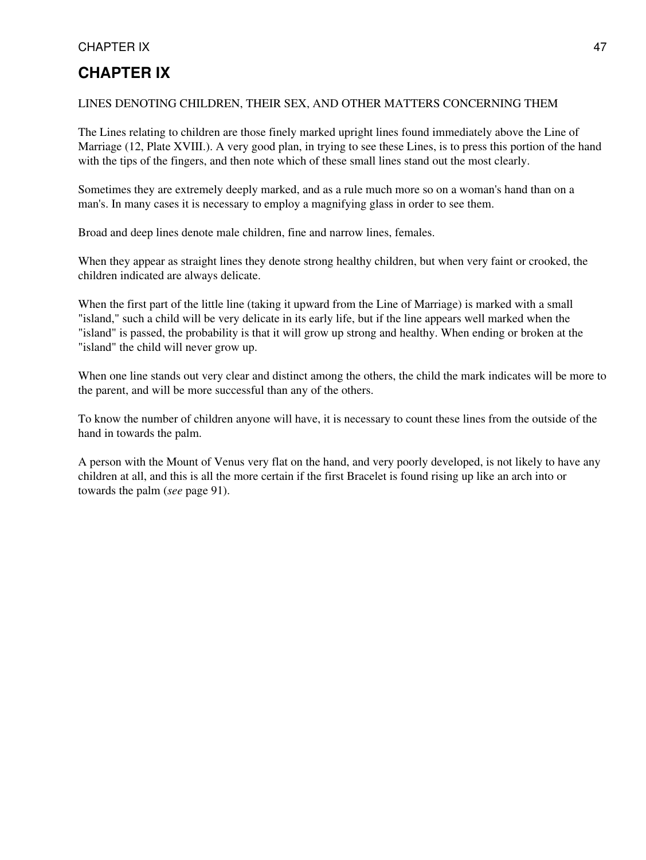#### CHAPTER IX 47

### **CHAPTER IX**

#### LINES DENOTING CHILDREN, THEIR SEX, AND OTHER MATTERS CONCERNING THEM

The Lines relating to children are those finely marked upright lines found immediately above the Line of Marriage (12, Plate XVIII.). A very good plan, in trying to see these Lines, is to press this portion of the hand with the tips of the fingers, and then note which of these small lines stand out the most clearly.

Sometimes they are extremely deeply marked, and as a rule much more so on a woman's hand than on a man's. In many cases it is necessary to employ a magnifying glass in order to see them.

Broad and deep lines denote male children, fine and narrow lines, females.

When they appear as straight lines they denote strong healthy children, but when very faint or crooked, the children indicated are always delicate.

When the first part of the little line (taking it upward from the Line of Marriage) is marked with a small "island," such a child will be very delicate in its early life, but if the line appears well marked when the "island" is passed, the probability is that it will grow up strong and healthy. When ending or broken at the "island" the child will never grow up.

When one line stands out very clear and distinct among the others, the child the mark indicates will be more to the parent, and will be more successful than any of the others.

To know the number of children anyone will have, it is necessary to count these lines from the outside of the hand in towards the palm.

A person with the Mount of Venus very flat on the hand, and very poorly developed, is not likely to have any children at all, and this is all the more certain if the first Bracelet is found rising up like an arch into or towards the palm (*see* page 91).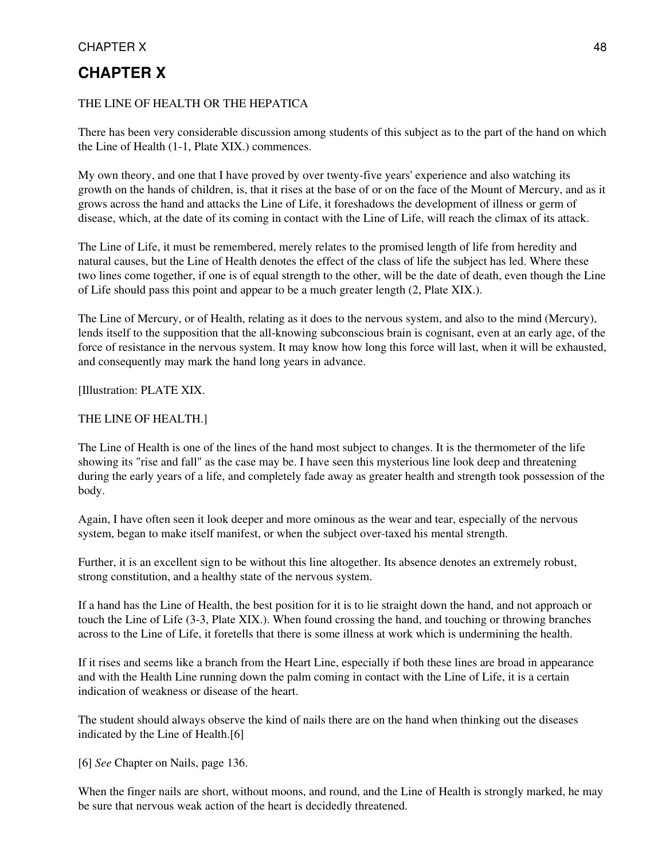## CHAPTER X 48

### **CHAPTER X**

#### THE LINE OF HEALTH OR THE HEPATICA

There has been very considerable discussion among students of this subject as to the part of the hand on which the Line of Health (1-1, Plate XIX.) commences.

My own theory, and one that I have proved by over twenty-five years' experience and also watching its growth on the hands of children, is, that it rises at the base of or on the face of the Mount of Mercury, and as it grows across the hand and attacks the Line of Life, it foreshadows the development of illness or germ of disease, which, at the date of its coming in contact with the Line of Life, will reach the climax of its attack.

The Line of Life, it must be remembered, merely relates to the promised length of life from heredity and natural causes, but the Line of Health denotes the effect of the class of life the subject has led. Where these two lines come together, if one is of equal strength to the other, will be the date of death, even though the Line of Life should pass this point and appear to be a much greater length (2, Plate XIX.).

The Line of Mercury, or of Health, relating as it does to the nervous system, and also to the mind (Mercury), lends itself to the supposition that the all-knowing subconscious brain is cognisant, even at an early age, of the force of resistance in the nervous system. It may know how long this force will last, when it will be exhausted, and consequently may mark the hand long years in advance.

[Illustration: PLATE XIX.

#### THE LINE OF HEALTH.]

The Line of Health is one of the lines of the hand most subject to changes. It is the thermometer of the life showing its "rise and fall" as the case may be. I have seen this mysterious line look deep and threatening during the early years of a life, and completely fade away as greater health and strength took possession of the body.

Again, I have often seen it look deeper and more ominous as the wear and tear, especially of the nervous system, began to make itself manifest, or when the subject over-taxed his mental strength.

Further, it is an excellent sign to be without this line altogether. Its absence denotes an extremely robust, strong constitution, and a healthy state of the nervous system.

If a hand has the Line of Health, the best position for it is to lie straight down the hand, and not approach or touch the Line of Life (3-3, Plate XIX.). When found crossing the hand, and touching or throwing branches across to the Line of Life, it foretells that there is some illness at work which is undermining the health.

If it rises and seems like a branch from the Heart Line, especially if both these lines are broad in appearance and with the Health Line running down the palm coming in contact with the Line of Life, it is a certain indication of weakness or disease of the heart.

The student should always observe the kind of nails there are on the hand when thinking out the diseases indicated by the Line of Health.[6]

[6] *See* Chapter on Nails, page 136.

When the finger nails are short, without moons, and round, and the Line of Health is strongly marked, he may be sure that nervous weak action of the heart is decidedly threatened.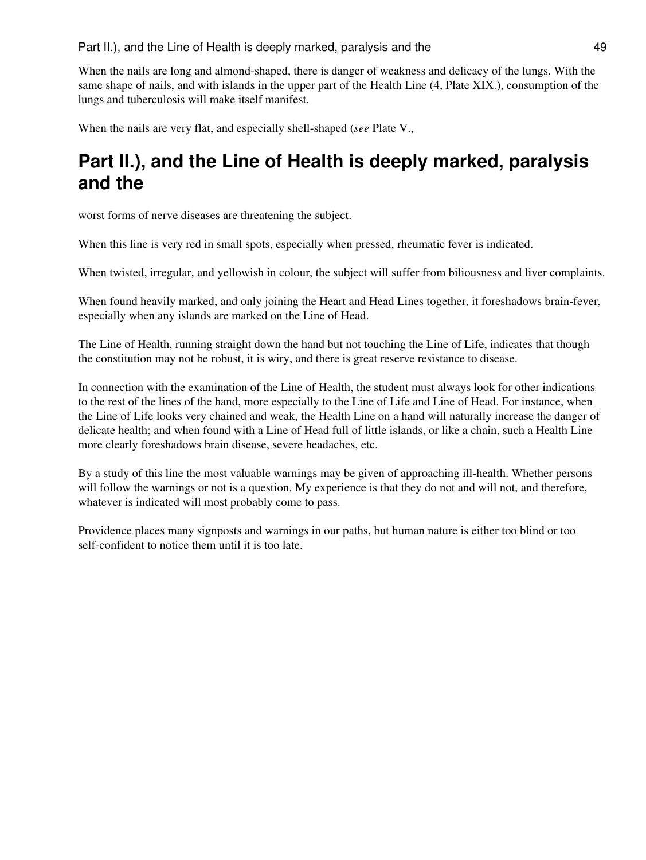Part II.), and the Line of Health is deeply marked, paralysis and the 49

When the nails are long and almond-shaped, there is danger of weakness and delicacy of the lungs. With the same shape of nails, and with islands in the upper part of the Health Line (4, Plate XIX.), consumption of the lungs and tuberculosis will make itself manifest.

When the nails are very flat, and especially shell-shaped (*see* Plate V.,

# **Part II.), and the Line of Health is deeply marked, paralysis and the**

worst forms of nerve diseases are threatening the subject.

When this line is very red in small spots, especially when pressed, rheumatic fever is indicated.

When twisted, irregular, and yellowish in colour, the subject will suffer from biliousness and liver complaints.

When found heavily marked, and only joining the Heart and Head Lines together, it foreshadows brain-fever, especially when any islands are marked on the Line of Head.

The Line of Health, running straight down the hand but not touching the Line of Life, indicates that though the constitution may not be robust, it is wiry, and there is great reserve resistance to disease.

In connection with the examination of the Line of Health, the student must always look for other indications to the rest of the lines of the hand, more especially to the Line of Life and Line of Head. For instance, when the Line of Life looks very chained and weak, the Health Line on a hand will naturally increase the danger of delicate health; and when found with a Line of Head full of little islands, or like a chain, such a Health Line more clearly foreshadows brain disease, severe headaches, etc.

By a study of this line the most valuable warnings may be given of approaching ill-health. Whether persons will follow the warnings or not is a question. My experience is that they do not and will not, and therefore, whatever is indicated will most probably come to pass.

Providence places many signposts and warnings in our paths, but human nature is either too blind or too self-confident to notice them until it is too late.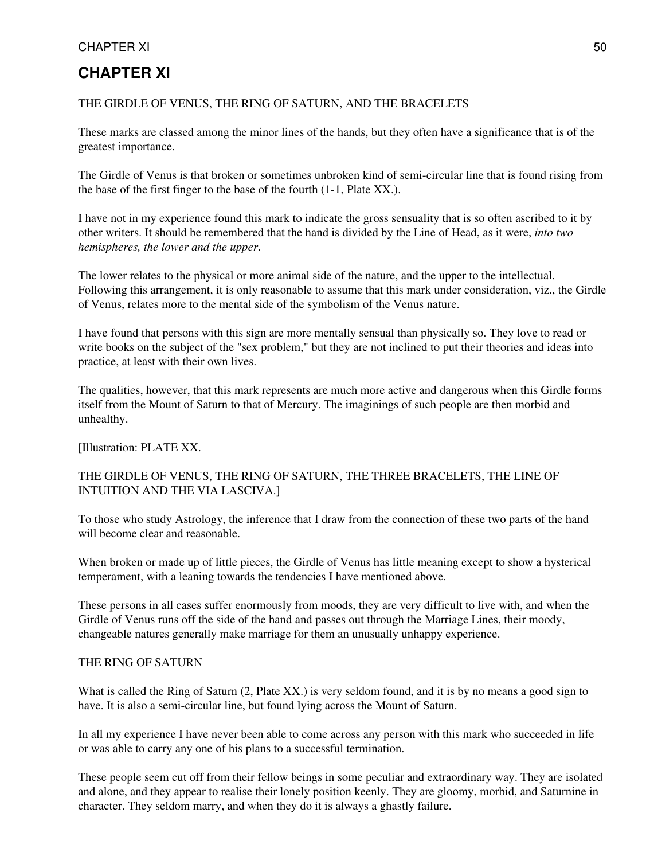#### CHAPTER XI 50

### **CHAPTER XI**

#### THE GIRDLE OF VENUS, THE RING OF SATURN, AND THE BRACELETS

These marks are classed among the minor lines of the hands, but they often have a significance that is of the greatest importance.

The Girdle of Venus is that broken or sometimes unbroken kind of semi-circular line that is found rising from the base of the first finger to the base of the fourth (1-1, Plate XX.).

I have not in my experience found this mark to indicate the gross sensuality that is so often ascribed to it by other writers. It should be remembered that the hand is divided by the Line of Head, as it were, *into two hemispheres, the lower and the upper*.

The lower relates to the physical or more animal side of the nature, and the upper to the intellectual. Following this arrangement, it is only reasonable to assume that this mark under consideration, viz., the Girdle of Venus, relates more to the mental side of the symbolism of the Venus nature.

I have found that persons with this sign are more mentally sensual than physically so. They love to read or write books on the subject of the "sex problem," but they are not inclined to put their theories and ideas into practice, at least with their own lives.

The qualities, however, that this mark represents are much more active and dangerous when this Girdle forms itself from the Mount of Saturn to that of Mercury. The imaginings of such people are then morbid and unhealthy.

[Illustration: PLATE XX.

#### THE GIRDLE OF VENUS, THE RING OF SATURN, THE THREE BRACELETS, THE LINE OF INTUITION AND THE VIA LASCIVA.]

To those who study Astrology, the inference that I draw from the connection of these two parts of the hand will become clear and reasonable.

When broken or made up of little pieces, the Girdle of Venus has little meaning except to show a hysterical temperament, with a leaning towards the tendencies I have mentioned above.

These persons in all cases suffer enormously from moods, they are very difficult to live with, and when the Girdle of Venus runs off the side of the hand and passes out through the Marriage Lines, their moody, changeable natures generally make marriage for them an unusually unhappy experience.

#### THE RING OF SATURN

What is called the Ring of Saturn (2, Plate XX.) is very seldom found, and it is by no means a good sign to have. It is also a semi-circular line, but found lying across the Mount of Saturn.

In all my experience I have never been able to come across any person with this mark who succeeded in life or was able to carry any one of his plans to a successful termination.

These people seem cut off from their fellow beings in some peculiar and extraordinary way. They are isolated and alone, and they appear to realise their lonely position keenly. They are gloomy, morbid, and Saturnine in character. They seldom marry, and when they do it is always a ghastly failure.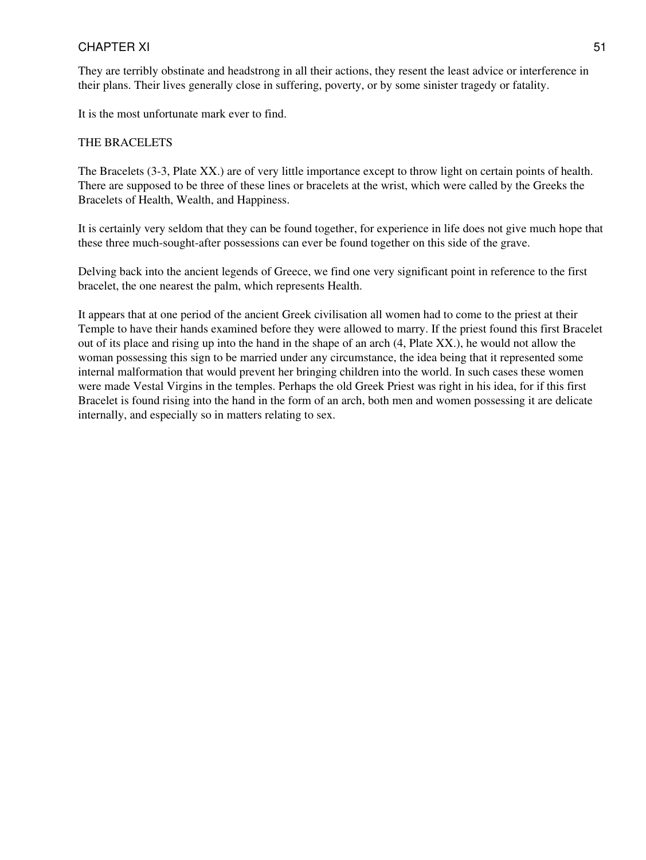#### CHAPTER XI 51

They are terribly obstinate and headstrong in all their actions, they resent the least advice or interference in their plans. Their lives generally close in suffering, poverty, or by some sinister tragedy or fatality.

It is the most unfortunate mark ever to find.

#### THE BRACELETS

The Bracelets (3-3, Plate XX.) are of very little importance except to throw light on certain points of health. There are supposed to be three of these lines or bracelets at the wrist, which were called by the Greeks the Bracelets of Health, Wealth, and Happiness.

It is certainly very seldom that they can be found together, for experience in life does not give much hope that these three much-sought-after possessions can ever be found together on this side of the grave.

Delving back into the ancient legends of Greece, we find one very significant point in reference to the first bracelet, the one nearest the palm, which represents Health.

It appears that at one period of the ancient Greek civilisation all women had to come to the priest at their Temple to have their hands examined before they were allowed to marry. If the priest found this first Bracelet out of its place and rising up into the hand in the shape of an arch (4, Plate XX.), he would not allow the woman possessing this sign to be married under any circumstance, the idea being that it represented some internal malformation that would prevent her bringing children into the world. In such cases these women were made Vestal Virgins in the temples. Perhaps the old Greek Priest was right in his idea, for if this first Bracelet is found rising into the hand in the form of an arch, both men and women possessing it are delicate internally, and especially so in matters relating to sex.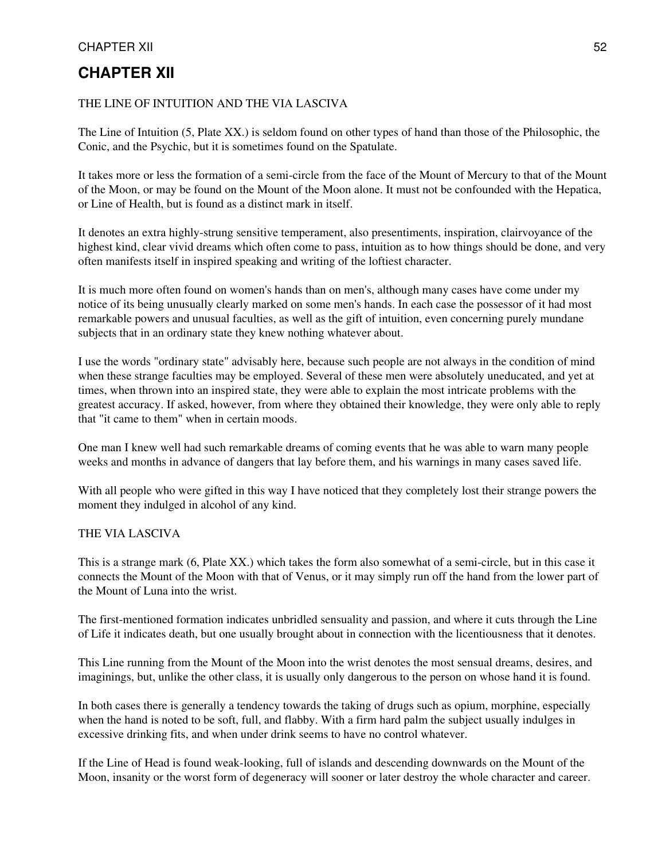#### CHAPTER XII 52

### **CHAPTER XII**

#### THE LINE OF INTUITION AND THE VIA LASCIVA

The Line of Intuition (5, Plate XX.) is seldom found on other types of hand than those of the Philosophic, the Conic, and the Psychic, but it is sometimes found on the Spatulate.

It takes more or less the formation of a semi-circle from the face of the Mount of Mercury to that of the Mount of the Moon, or may be found on the Mount of the Moon alone. It must not be confounded with the Hepatica, or Line of Health, but is found as a distinct mark in itself.

It denotes an extra highly-strung sensitive temperament, also presentiments, inspiration, clairvoyance of the highest kind, clear vivid dreams which often come to pass, intuition as to how things should be done, and very often manifests itself in inspired speaking and writing of the loftiest character.

It is much more often found on women's hands than on men's, although many cases have come under my notice of its being unusually clearly marked on some men's hands. In each case the possessor of it had most remarkable powers and unusual faculties, as well as the gift of intuition, even concerning purely mundane subjects that in an ordinary state they knew nothing whatever about.

I use the words "ordinary state" advisably here, because such people are not always in the condition of mind when these strange faculties may be employed. Several of these men were absolutely uneducated, and yet at times, when thrown into an inspired state, they were able to explain the most intricate problems with the greatest accuracy. If asked, however, from where they obtained their knowledge, they were only able to reply that "it came to them" when in certain moods.

One man I knew well had such remarkable dreams of coming events that he was able to warn many people weeks and months in advance of dangers that lay before them, and his warnings in many cases saved life.

With all people who were gifted in this way I have noticed that they completely lost their strange powers the moment they indulged in alcohol of any kind.

#### THE VIA LASCIVA

This is a strange mark (6, Plate XX.) which takes the form also somewhat of a semi-circle, but in this case it connects the Mount of the Moon with that of Venus, or it may simply run off the hand from the lower part of the Mount of Luna into the wrist.

The first-mentioned formation indicates unbridled sensuality and passion, and where it cuts through the Line of Life it indicates death, but one usually brought about in connection with the licentiousness that it denotes.

This Line running from the Mount of the Moon into the wrist denotes the most sensual dreams, desires, and imaginings, but, unlike the other class, it is usually only dangerous to the person on whose hand it is found.

In both cases there is generally a tendency towards the taking of drugs such as opium, morphine, especially when the hand is noted to be soft, full, and flabby. With a firm hard palm the subject usually indulges in excessive drinking fits, and when under drink seems to have no control whatever.

If the Line of Head is found weak-looking, full of islands and descending downwards on the Mount of the Moon, insanity or the worst form of degeneracy will sooner or later destroy the whole character and career.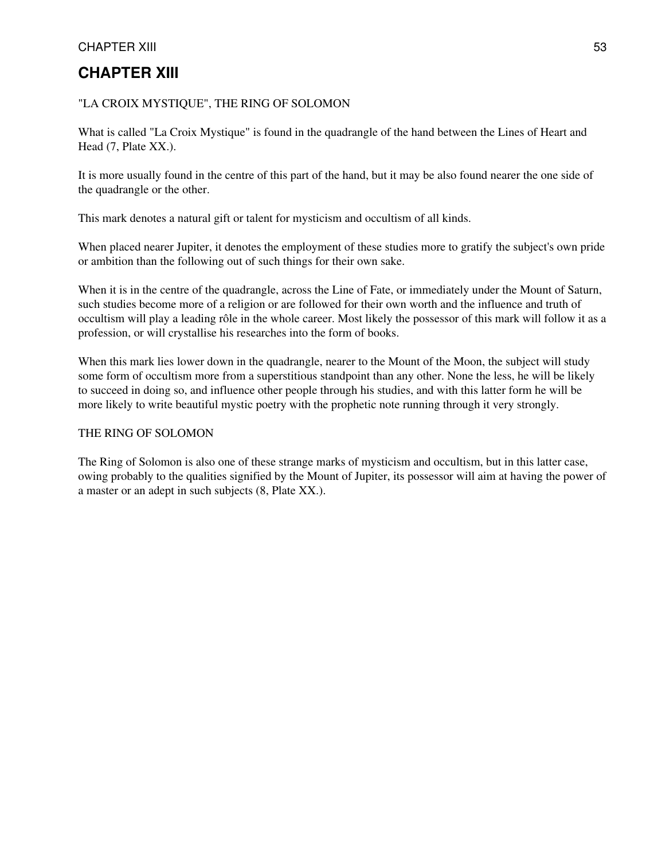#### CHAPTER XIII 53

### **CHAPTER XIII**

#### "LA CROIX MYSTIQUE", THE RING OF SOLOMON

What is called "La Croix Mystique" is found in the quadrangle of the hand between the Lines of Heart and Head (7, Plate XX.).

It is more usually found in the centre of this part of the hand, but it may be also found nearer the one side of the quadrangle or the other.

This mark denotes a natural gift or talent for mysticism and occultism of all kinds.

When placed nearer Jupiter, it denotes the employment of these studies more to gratify the subject's own pride or ambition than the following out of such things for their own sake.

When it is in the centre of the quadrangle, across the Line of Fate, or immediately under the Mount of Saturn, such studies become more of a religion or are followed for their own worth and the influence and truth of occultism will play a leading rôle in the whole career. Most likely the possessor of this mark will follow it as a profession, or will crystallise his researches into the form of books.

When this mark lies lower down in the quadrangle, nearer to the Mount of the Moon, the subject will study some form of occultism more from a superstitious standpoint than any other. None the less, he will be likely to succeed in doing so, and influence other people through his studies, and with this latter form he will be more likely to write beautiful mystic poetry with the prophetic note running through it very strongly.

#### THE RING OF SOLOMON

The Ring of Solomon is also one of these strange marks of mysticism and occultism, but in this latter case, owing probably to the qualities signified by the Mount of Jupiter, its possessor will aim at having the power of a master or an adept in such subjects (8, Plate XX.).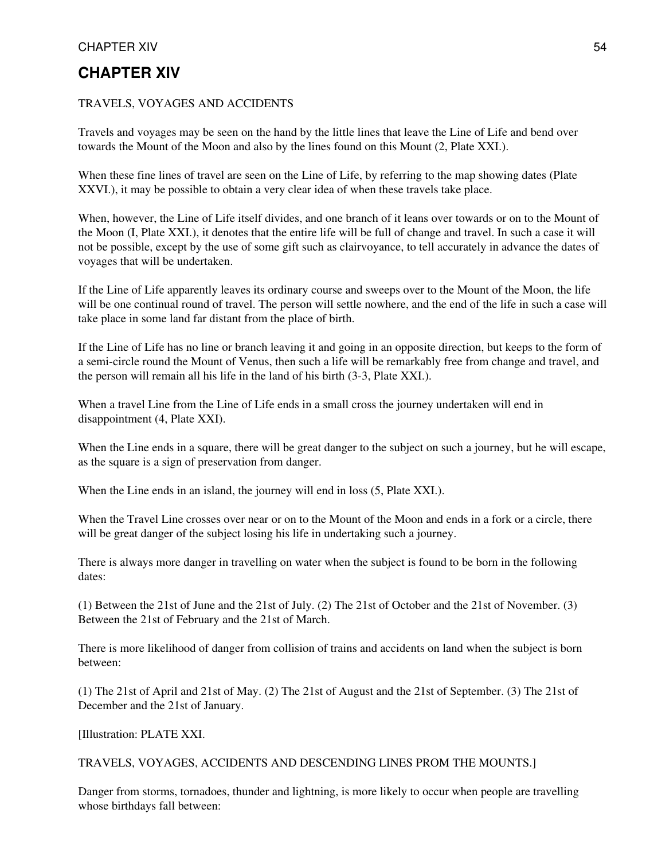#### CHAPTER XIV 54

### **CHAPTER XIV**

#### TRAVELS, VOYAGES AND ACCIDENTS

Travels and voyages may be seen on the hand by the little lines that leave the Line of Life and bend over towards the Mount of the Moon and also by the lines found on this Mount (2, Plate XXI.).

When these fine lines of travel are seen on the Line of Life, by referring to the map showing dates (Plate XXVI.), it may be possible to obtain a very clear idea of when these travels take place.

When, however, the Line of Life itself divides, and one branch of it leans over towards or on to the Mount of the Moon (I, Plate XXI.), it denotes that the entire life will be full of change and travel. In such a case it will not be possible, except by the use of some gift such as clairvoyance, to tell accurately in advance the dates of voyages that will be undertaken.

If the Line of Life apparently leaves its ordinary course and sweeps over to the Mount of the Moon, the life will be one continual round of travel. The person will settle nowhere, and the end of the life in such a case will take place in some land far distant from the place of birth.

If the Line of Life has no line or branch leaving it and going in an opposite direction, but keeps to the form of a semi-circle round the Mount of Venus, then such a life will be remarkably free from change and travel, and the person will remain all his life in the land of his birth (3-3, Plate XXI.).

When a travel Line from the Line of Life ends in a small cross the journey undertaken will end in disappointment (4, Plate XXI).

When the Line ends in a square, there will be great danger to the subject on such a journey, but he will escape, as the square is a sign of preservation from danger.

When the Line ends in an island, the journey will end in loss  $(5, Plate XXI)$ .

When the Travel Line crosses over near or on to the Mount of the Moon and ends in a fork or a circle, there will be great danger of the subject losing his life in undertaking such a journey.

There is always more danger in travelling on water when the subject is found to be born in the following dates:

(1) Between the 21st of June and the 21st of July. (2) The 21st of October and the 21st of November. (3) Between the 21st of February and the 21st of March.

There is more likelihood of danger from collision of trains and accidents on land when the subject is born between:

(1) The 21st of April and 21st of May. (2) The 21st of August and the 21st of September. (3) The 21st of December and the 21st of January.

[Illustration: PLATE XXI.

#### TRAVELS, VOYAGES, ACCIDENTS AND DESCENDING LINES PROM THE MOUNTS.]

Danger from storms, tornadoes, thunder and lightning, is more likely to occur when people are travelling whose birthdays fall between: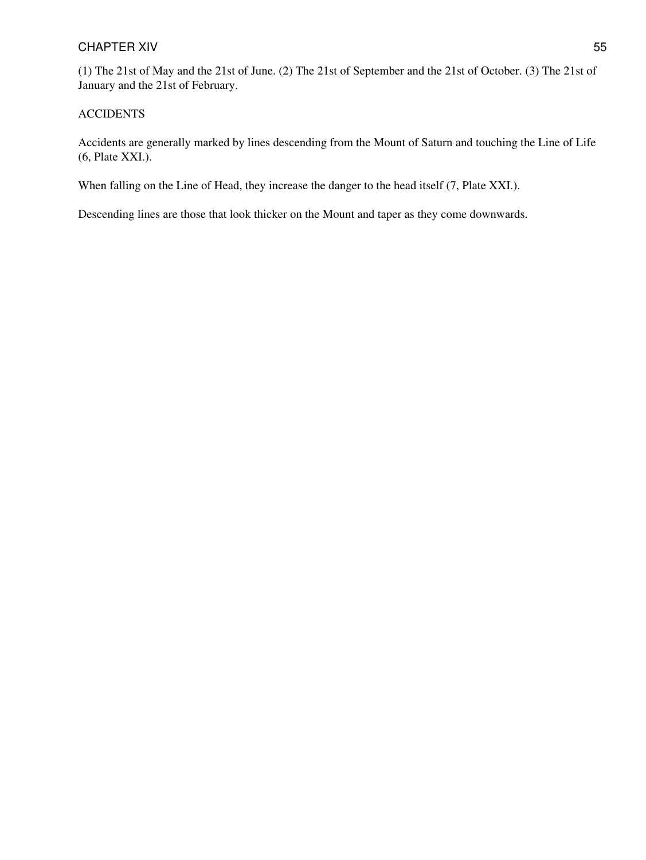#### CHAPTER XIV 55

(1) The 21st of May and the 21st of June. (2) The 21st of September and the 21st of October. (3) The 21st of January and the 21st of February.

#### ACCIDENTS

Accidents are generally marked by lines descending from the Mount of Saturn and touching the Line of Life (6, Plate XXI.).

When falling on the Line of Head, they increase the danger to the head itself  $(7,$  Plate XXI.).

Descending lines are those that look thicker on the Mount and taper as they come downwards.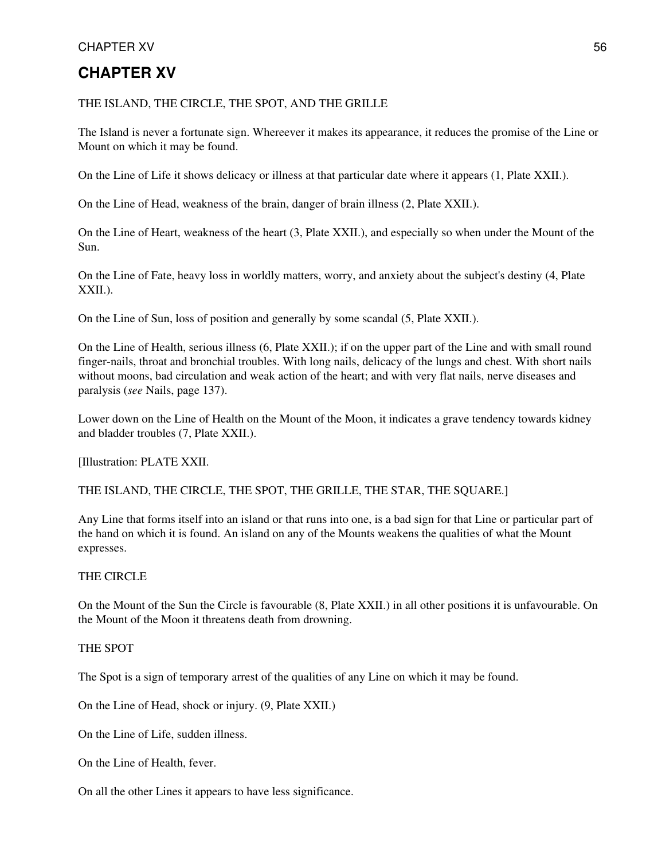#### CHAPTER XV 56

### **CHAPTER XV**

THE ISLAND, THE CIRCLE, THE SPOT, AND THE GRILLE

The Island is never a fortunate sign. Whereever it makes its appearance, it reduces the promise of the Line or Mount on which it may be found.

On the Line of Life it shows delicacy or illness at that particular date where it appears (1, Plate XXII.).

On the Line of Head, weakness of the brain, danger of brain illness (2, Plate XXII.).

On the Line of Heart, weakness of the heart (3, Plate XXII.), and especially so when under the Mount of the Sun.

On the Line of Fate, heavy loss in worldly matters, worry, and anxiety about the subject's destiny (4, Plate XXII.).

On the Line of Sun, loss of position and generally by some scandal (5, Plate XXII.).

On the Line of Health, serious illness (6, Plate XXII.); if on the upper part of the Line and with small round finger-nails, throat and bronchial troubles. With long nails, delicacy of the lungs and chest. With short nails without moons, bad circulation and weak action of the heart; and with very flat nails, nerve diseases and paralysis (*see* Nails, page 137).

Lower down on the Line of Health on the Mount of the Moon, it indicates a grave tendency towards kidney and bladder troubles (7, Plate XXII.).

[Illustration: PLATE XXII.

THE ISLAND, THE CIRCLE, THE SPOT, THE GRILLE, THE STAR, THE SQUARE.]

Any Line that forms itself into an island or that runs into one, is a bad sign for that Line or particular part of the hand on which it is found. An island on any of the Mounts weakens the qualities of what the Mount expresses.

#### THE CIRCLE

On the Mount of the Sun the Circle is favourable (8, Plate XXII.) in all other positions it is unfavourable. On the Mount of the Moon it threatens death from drowning.

#### THE SPOT

The Spot is a sign of temporary arrest of the qualities of any Line on which it may be found.

On the Line of Head, shock or injury. (9, Plate XXII.)

On the Line of Life, sudden illness.

On the Line of Health, fever.

On all the other Lines it appears to have less significance.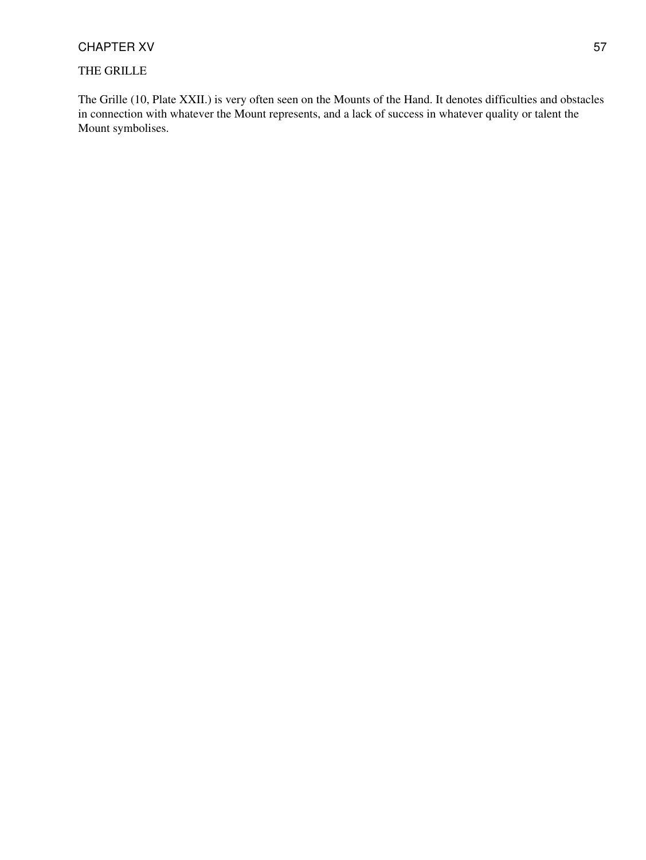#### CHAPTER XV 57

#### THE GRILLE

The Grille (10, Plate XXII.) is very often seen on the Mounts of the Hand. It denotes difficulties and obstacles in connection with whatever the Mount represents, and a lack of success in whatever quality or talent the Mount symbolises.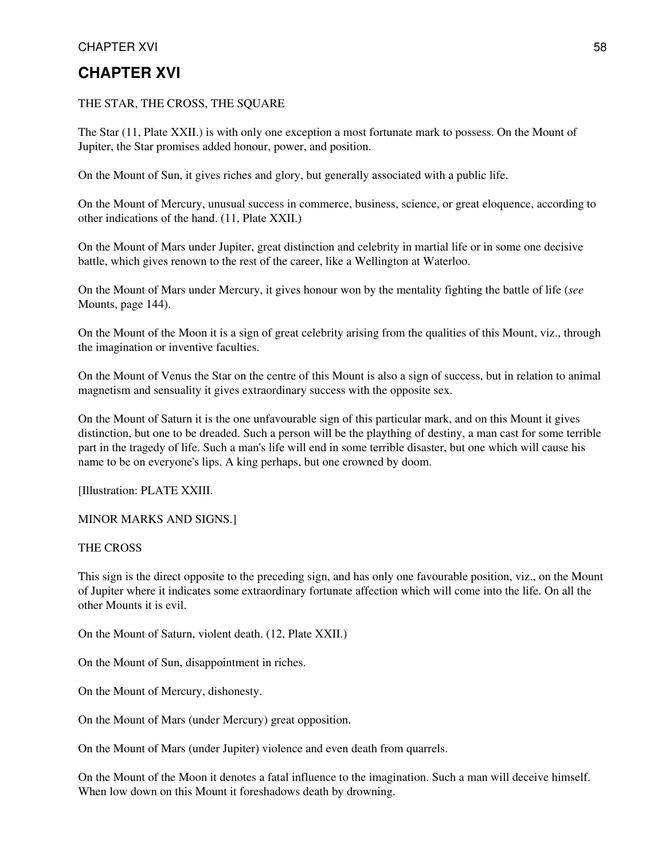#### CHAPTER XVI 58

### **CHAPTER XVI**

#### THE STAR, THE CROSS, THE SQUARE

The Star (11, Plate XXII.) is with only one exception a most fortunate mark to possess. On the Mount of Jupiter, the Star promises added honour, power, and position.

On the Mount of Sun, it gives riches and glory, but generally associated with a public life.

On the Mount of Mercury, unusual success in commerce, business, science, or great eloquence, according to other indications of the hand. (11, Plate XXII.)

On the Mount of Mars under Jupiter, great distinction and celebrity in martial life or in some one decisive battle, which gives renown to the rest of the career, like a Wellington at Waterloo.

On the Mount of Mars under Mercury, it gives honour won by the mentality fighting the battle of life (*see* Mounts, page 144).

On the Mount of the Moon it is a sign of great celebrity arising from the qualities of this Mount, viz., through the imagination or inventive faculties.

On the Mount of Venus the Star on the centre of this Mount is also a sign of success, but in relation to animal magnetism and sensuality it gives extraordinary success with the opposite sex.

On the Mount of Saturn it is the one unfavourable sign of this particular mark, and on this Mount it gives distinction, but one to be dreaded. Such a person will be the plaything of destiny, a man cast for some terrible part in the tragedy of life. Such a man's life will end in some terrible disaster, but one which will cause his name to be on everyone's lips. A king perhaps, but one crowned by doom.

[Illustration: PLATE XXIII.

MINOR MARKS AND SIGNS.]

THE CROSS

This sign is the direct opposite to the preceding sign, and has only one favourable position, viz., on the Mount of Jupiter where it indicates some extraordinary fortunate affection which will come into the life. On all the other Mounts it is evil.

On the Mount of Saturn, violent death. (12, Plate XXII.)

On the Mount of Sun, disappointment in riches.

On the Mount of Mercury, dishonesty.

On the Mount of Mars (under Mercury) great opposition.

On the Mount of Mars (under Jupiter) violence and even death from quarrels.

On the Mount of the Moon it denotes a fatal influence to the imagination. Such a man will deceive himself. When low down on this Mount it foreshadows death by drowning.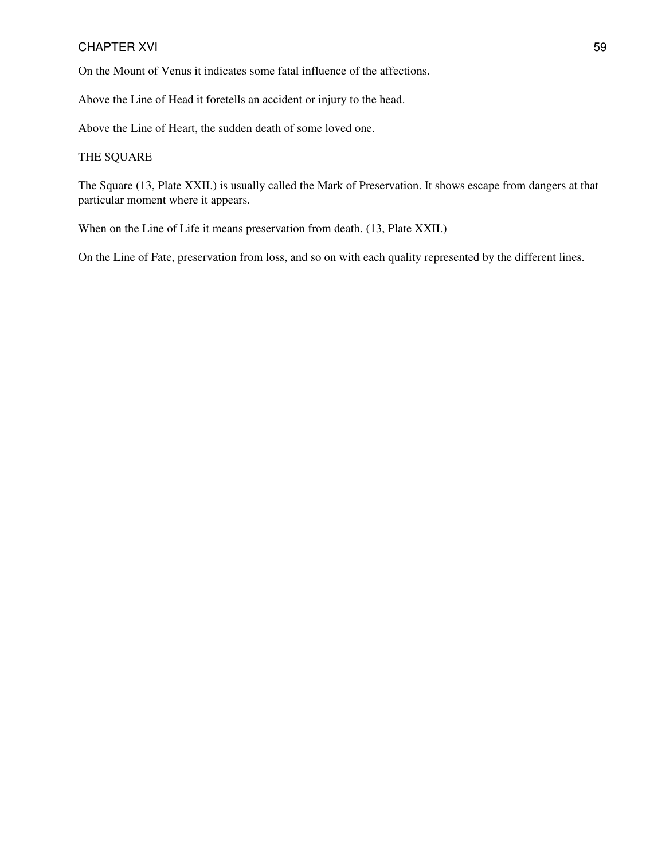#### CHAPTER XVI 59

On the Mount of Venus it indicates some fatal influence of the affections.

Above the Line of Head it foretells an accident or injury to the head.

Above the Line of Heart, the sudden death of some loved one.

#### THE SQUARE

The Square (13, Plate XXII.) is usually called the Mark of Preservation. It shows escape from dangers at that particular moment where it appears.

When on the Line of Life it means preservation from death. (13, Plate XXII.)

On the Line of Fate, preservation from loss, and so on with each quality represented by the different lines.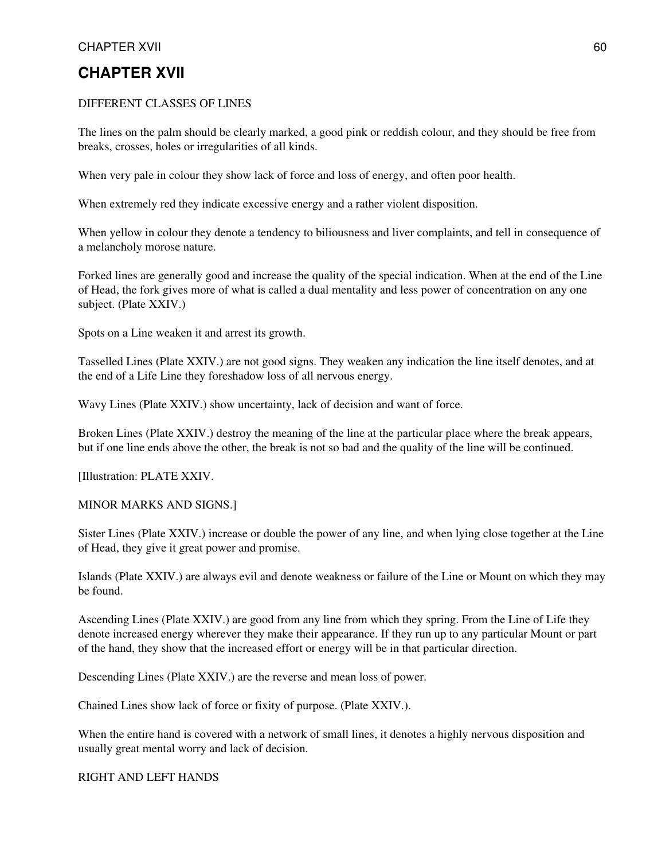#### CHAPTER XVII 60

### **CHAPTER XVII**

#### DIFFERENT CLASSES OF LINES

The lines on the palm should be clearly marked, a good pink or reddish colour, and they should be free from breaks, crosses, holes or irregularities of all kinds.

When very pale in colour they show lack of force and loss of energy, and often poor health.

When extremely red they indicate excessive energy and a rather violent disposition.

When yellow in colour they denote a tendency to biliousness and liver complaints, and tell in consequence of a melancholy morose nature.

Forked lines are generally good and increase the quality of the special indication. When at the end of the Line of Head, the fork gives more of what is called a dual mentality and less power of concentration on any one subject. (Plate XXIV.)

Spots on a Line weaken it and arrest its growth.

Tasselled Lines (Plate XXIV.) are not good signs. They weaken any indication the line itself denotes, and at the end of a Life Line they foreshadow loss of all nervous energy.

Wavy Lines (Plate XXIV.) show uncertainty, lack of decision and want of force.

Broken Lines (Plate XXIV.) destroy the meaning of the line at the particular place where the break appears, but if one line ends above the other, the break is not so bad and the quality of the line will be continued.

[Illustration: PLATE XXIV.

#### MINOR MARKS AND SIGNS.]

Sister Lines (Plate XXIV.) increase or double the power of any line, and when lying close together at the Line of Head, they give it great power and promise.

Islands (Plate XXIV.) are always evil and denote weakness or failure of the Line or Mount on which they may be found.

Ascending Lines (Plate XXIV.) are good from any line from which they spring. From the Line of Life they denote increased energy wherever they make their appearance. If they run up to any particular Mount or part of the hand, they show that the increased effort or energy will be in that particular direction.

Descending Lines (Plate XXIV.) are the reverse and mean loss of power.

Chained Lines show lack of force or fixity of purpose. (Plate XXIV.).

When the entire hand is covered with a network of small lines, it denotes a highly nervous disposition and usually great mental worry and lack of decision.

RIGHT AND LEFT HANDS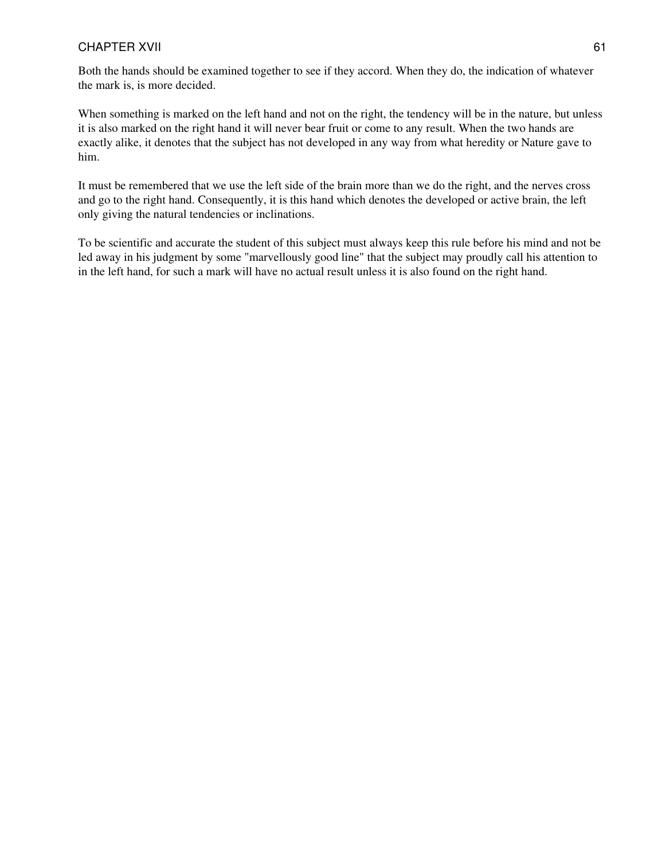#### CHAPTER XVII 61

Both the hands should be examined together to see if they accord. When they do, the indication of whatever the mark is, is more decided.

When something is marked on the left hand and not on the right, the tendency will be in the nature, but unless it is also marked on the right hand it will never bear fruit or come to any result. When the two hands are exactly alike, it denotes that the subject has not developed in any way from what heredity or Nature gave to him.

It must be remembered that we use the left side of the brain more than we do the right, and the nerves cross and go to the right hand. Consequently, it is this hand which denotes the developed or active brain, the left only giving the natural tendencies or inclinations.

To be scientific and accurate the student of this subject must always keep this rule before his mind and not be led away in his judgment by some "marvellously good line" that the subject may proudly call his attention to in the left hand, for such a mark will have no actual result unless it is also found on the right hand.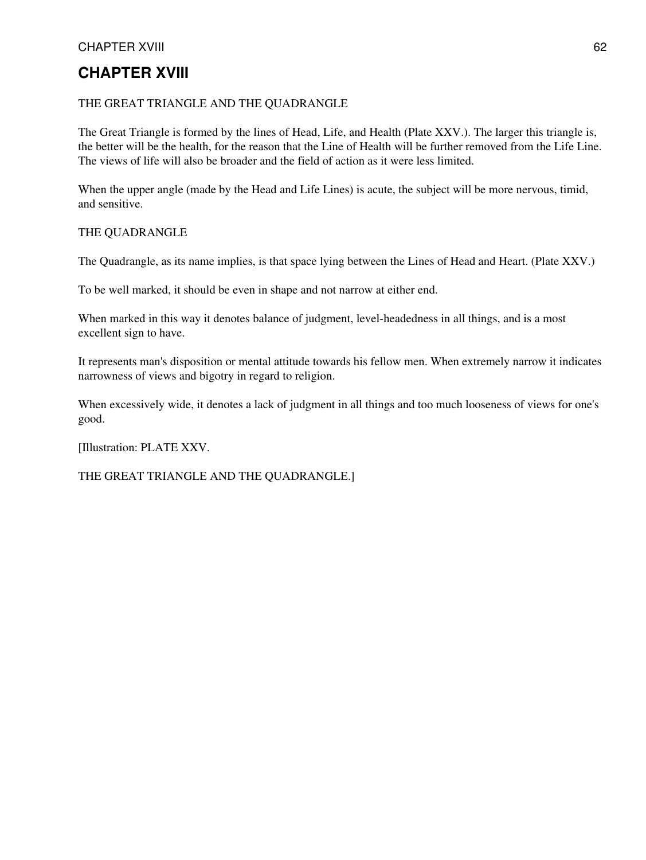#### CHAPTER XVIII 62

### **CHAPTER XVIII**

#### THE GREAT TRIANGLE AND THE QUADRANGLE

The Great Triangle is formed by the lines of Head, Life, and Health (Plate XXV.). The larger this triangle is, the better will be the health, for the reason that the Line of Health will be further removed from the Life Line. The views of life will also be broader and the field of action as it were less limited.

When the upper angle (made by the Head and Life Lines) is acute, the subject will be more nervous, timid, and sensitive.

#### THE QUADRANGLE

The Quadrangle, as its name implies, is that space lying between the Lines of Head and Heart. (Plate XXV.)

To be well marked, it should be even in shape and not narrow at either end.

When marked in this way it denotes balance of judgment, level-headedness in all things, and is a most excellent sign to have.

It represents man's disposition or mental attitude towards his fellow men. When extremely narrow it indicates narrowness of views and bigotry in regard to religion.

When excessively wide, it denotes a lack of judgment in all things and too much looseness of views for one's good.

[Illustration: PLATE XXV.

THE GREAT TRIANGLE AND THE QUADRANGLE.]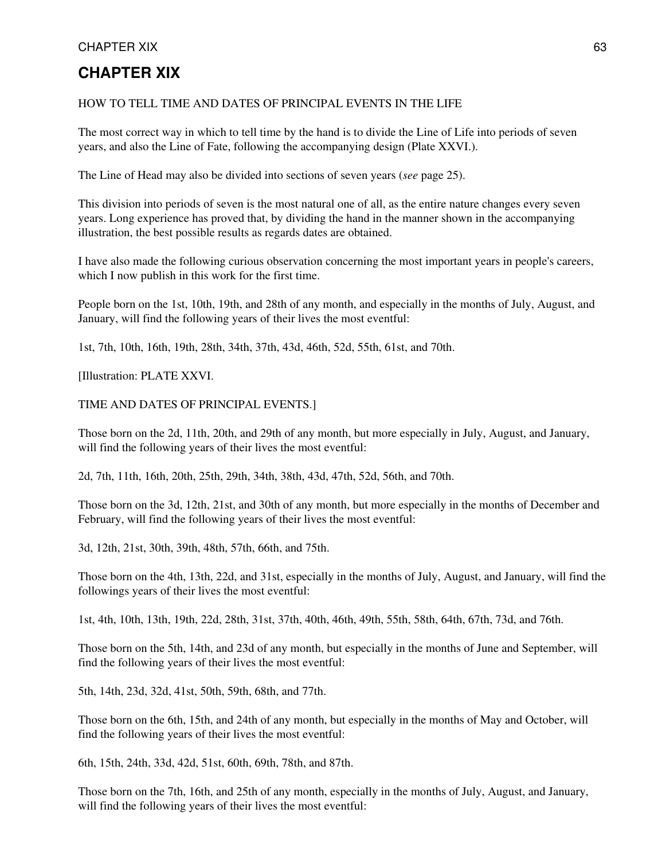#### CHAPTER XIX 63

### **CHAPTER XIX**

#### HOW TO TELL TIME AND DATES OF PRINCIPAL EVENTS IN THE LIFE

The most correct way in which to tell time by the hand is to divide the Line of Life into periods of seven years, and also the Line of Fate, following the accompanying design (Plate XXVI.).

The Line of Head may also be divided into sections of seven years (*see* page 25).

This division into periods of seven is the most natural one of all, as the entire nature changes every seven years. Long experience has proved that, by dividing the hand in the manner shown in the accompanying illustration, the best possible results as regards dates are obtained.

I have also made the following curious observation concerning the most important years in people's careers, which I now publish in this work for the first time.

People born on the 1st, 10th, 19th, and 28th of any month, and especially in the months of July, August, and January, will find the following years of their lives the most eventful:

1st, 7th, 10th, 16th, 19th, 28th, 34th, 37th, 43d, 46th, 52d, 55th, 61st, and 70th.

[Illustration: PLATE XXVI.

#### TIME AND DATES OF PRINCIPAL EVENTS.]

Those born on the 2d, 11th, 20th, and 29th of any month, but more especially in July, August, and January, will find the following years of their lives the most eventful:

2d, 7th, 11th, 16th, 20th, 25th, 29th, 34th, 38th, 43d, 47th, 52d, 56th, and 70th.

Those born on the 3d, 12th, 21st, and 30th of any month, but more especially in the months of December and February, will find the following years of their lives the most eventful:

3d, 12th, 21st, 30th, 39th, 48th, 57th, 66th, and 75th.

Those born on the 4th, 13th, 22d, and 31st, especially in the months of July, August, and January, will find the followings years of their lives the most eventful:

1st, 4th, 10th, 13th, 19th, 22d, 28th, 31st, 37th, 40th, 46th, 49th, 55th, 58th, 64th, 67th, 73d, and 76th.

Those born on the 5th, 14th, and 23d of any month, but especially in the months of June and September, will find the following years of their lives the most eventful:

5th, 14th, 23d, 32d, 41st, 50th, 59th, 68th, and 77th.

Those born on the 6th, 15th, and 24th of any month, but especially in the months of May and October, will find the following years of their lives the most eventful:

6th, 15th, 24th, 33d, 42d, 51st, 60th, 69th, 78th, and 87th.

Those born on the 7th, 16th, and 25th of any month, especially in the months of July, August, and January, will find the following years of their lives the most eventful: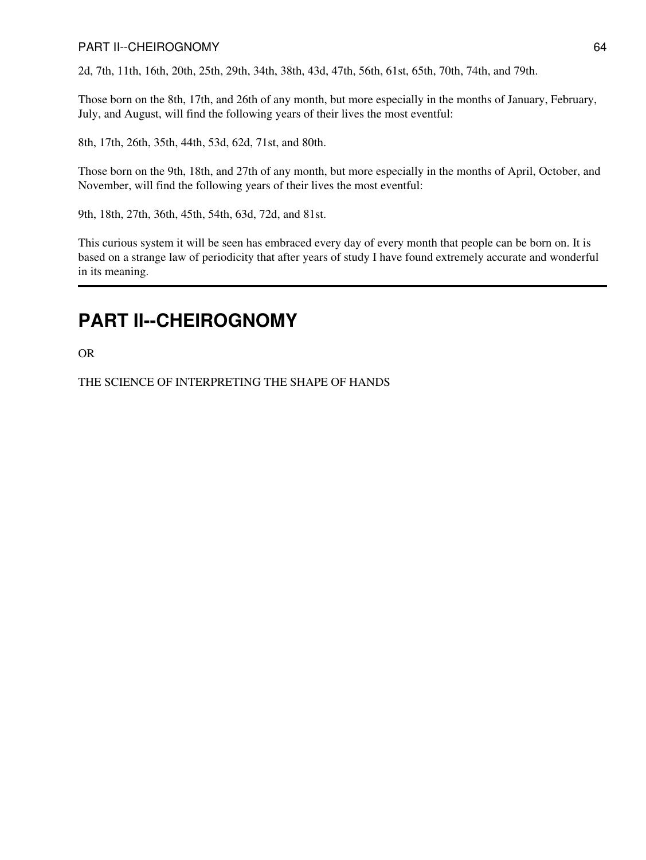#### PART II--CHEIROGNOMY 64

2d, 7th, 11th, 16th, 20th, 25th, 29th, 34th, 38th, 43d, 47th, 56th, 61st, 65th, 70th, 74th, and 79th.

Those born on the 8th, 17th, and 26th of any month, but more especially in the months of January, February, July, and August, will find the following years of their lives the most eventful:

8th, 17th, 26th, 35th, 44th, 53d, 62d, 71st, and 80th.

Those born on the 9th, 18th, and 27th of any month, but more especially in the months of April, October, and November, will find the following years of their lives the most eventful:

9th, 18th, 27th, 36th, 45th, 54th, 63d, 72d, and 81st.

This curious system it will be seen has embraced every day of every month that people can be born on. It is based on a strange law of periodicity that after years of study I have found extremely accurate and wonderful in its meaning.

## **PART II--CHEIROGNOMY**

OR

THE SCIENCE OF INTERPRETING THE SHAPE OF HANDS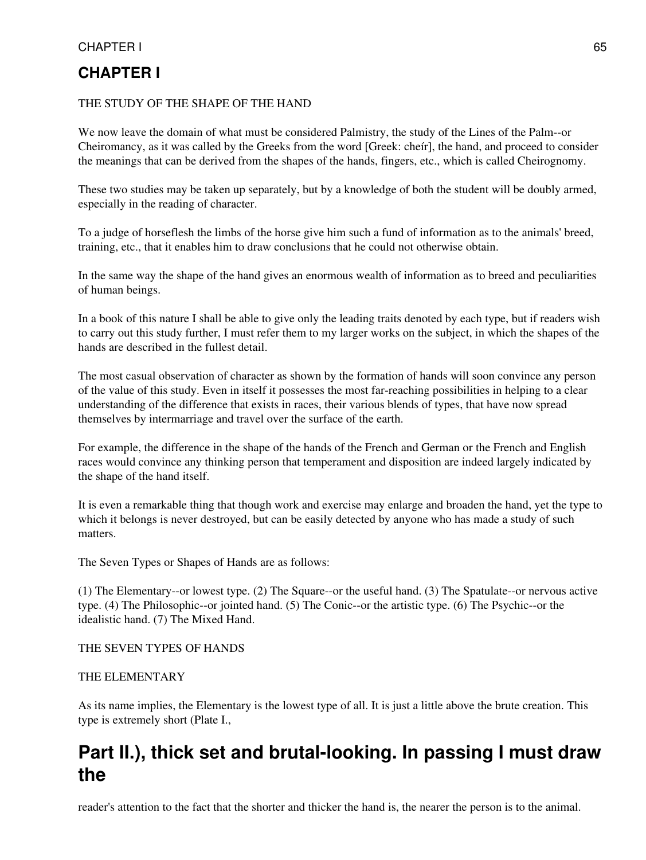## **CHAPTER I**

#### THE STUDY OF THE SHAPE OF THE HAND

We now leave the domain of what must be considered Palmistry, the study of the Lines of the Palm--or Cheiromancy, as it was called by the Greeks from the word [Greek: cheír], the hand, and proceed to consider the meanings that can be derived from the shapes of the hands, fingers, etc., which is called Cheirognomy.

These two studies may be taken up separately, but by a knowledge of both the student will be doubly armed, especially in the reading of character.

To a judge of horseflesh the limbs of the horse give him such a fund of information as to the animals' breed, training, etc., that it enables him to draw conclusions that he could not otherwise obtain.

In the same way the shape of the hand gives an enormous wealth of information as to breed and peculiarities of human beings.

In a book of this nature I shall be able to give only the leading traits denoted by each type, but if readers wish to carry out this study further, I must refer them to my larger works on the subject, in which the shapes of the hands are described in the fullest detail.

The most casual observation of character as shown by the formation of hands will soon convince any person of the value of this study. Even in itself it possesses the most far-reaching possibilities in helping to a clear understanding of the difference that exists in races, their various blends of types, that have now spread themselves by intermarriage and travel over the surface of the earth.

For example, the difference in the shape of the hands of the French and German or the French and English races would convince any thinking person that temperament and disposition are indeed largely indicated by the shape of the hand itself.

It is even a remarkable thing that though work and exercise may enlarge and broaden the hand, yet the type to which it belongs is never destroyed, but can be easily detected by anyone who has made a study of such matters.

The Seven Types or Shapes of Hands are as follows:

(1) The Elementary--or lowest type. (2) The Square--or the useful hand. (3) The Spatulate--or nervous active type. (4) The Philosophic--or jointed hand. (5) The Conic--or the artistic type. (6) The Psychic--or the idealistic hand. (7) The Mixed Hand.

#### THE SEVEN TYPES OF HANDS

#### THE ELEMENTARY

As its name implies, the Elementary is the lowest type of all. It is just a little above the brute creation. This type is extremely short (Plate I.,

## **Part II.), thick set and brutal-looking. In passing I must draw the**

reader's attention to the fact that the shorter and thicker the hand is, the nearer the person is to the animal.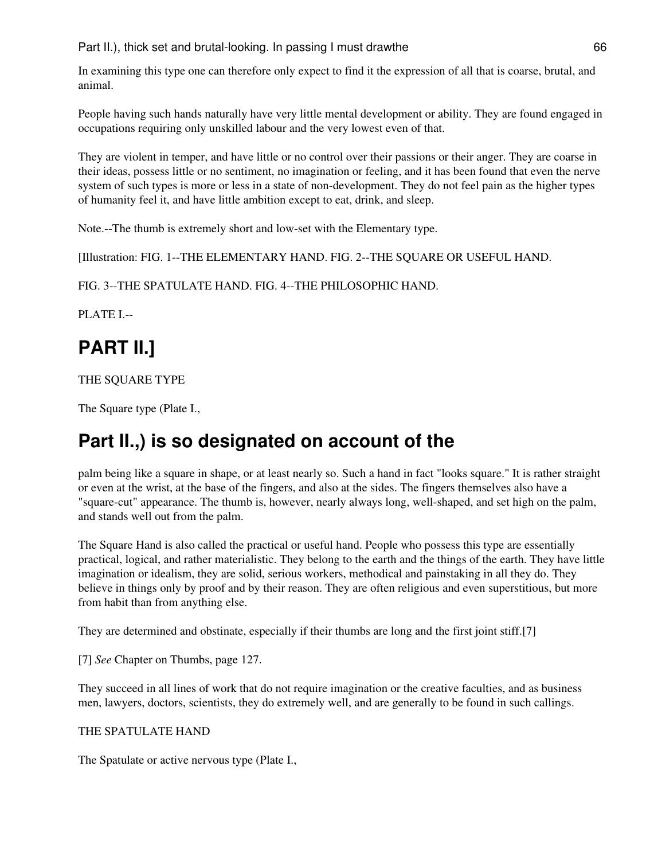#### Part II.), thick set and brutal-looking. In passing I must drawthe 66

In examining this type one can therefore only expect to find it the expression of all that is coarse, brutal, and animal.

People having such hands naturally have very little mental development or ability. They are found engaged in occupations requiring only unskilled labour and the very lowest even of that.

They are violent in temper, and have little or no control over their passions or their anger. They are coarse in their ideas, possess little or no sentiment, no imagination or feeling, and it has been found that even the nerve system of such types is more or less in a state of non-development. They do not feel pain as the higher types of humanity feel it, and have little ambition except to eat, drink, and sleep.

Note.--The thumb is extremely short and low-set with the Elementary type.

[Illustration: FIG. 1--THE ELEMENTARY HAND. FIG. 2--THE SQUARE OR USEFUL HAND.

#### FIG. 3--THE SPATULATE HAND. FIG. 4--THE PHILOSOPHIC HAND.

PLATE I.--

# **PART II.]**

THE SQUARE TYPE

The Square type (Plate I.,

## **Part II.,) is so designated on account of the**

palm being like a square in shape, or at least nearly so. Such a hand in fact "looks square." It is rather straight or even at the wrist, at the base of the fingers, and also at the sides. The fingers themselves also have a "square-cut" appearance. The thumb is, however, nearly always long, well-shaped, and set high on the palm, and stands well out from the palm.

The Square Hand is also called the practical or useful hand. People who possess this type are essentially practical, logical, and rather materialistic. They belong to the earth and the things of the earth. They have little imagination or idealism, they are solid, serious workers, methodical and painstaking in all they do. They believe in things only by proof and by their reason. They are often religious and even superstitious, but more from habit than from anything else.

They are determined and obstinate, especially if their thumbs are long and the first joint stiff.[7]

[7] *See* Chapter on Thumbs, page 127.

They succeed in all lines of work that do not require imagination or the creative faculties, and as business men, lawyers, doctors, scientists, they do extremely well, and are generally to be found in such callings.

#### THE SPATULATE HAND

The Spatulate or active nervous type (Plate I.,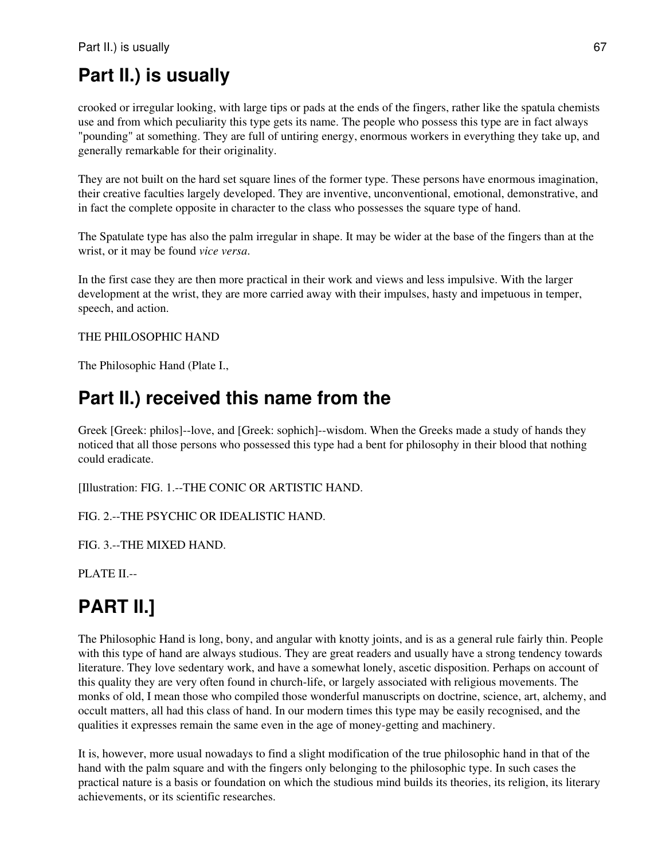# **Part II.) is usually**

crooked or irregular looking, with large tips or pads at the ends of the fingers, rather like the spatula chemists use and from which peculiarity this type gets its name. The people who possess this type are in fact always "pounding" at something. They are full of untiring energy, enormous workers in everything they take up, and generally remarkable for their originality.

They are not built on the hard set square lines of the former type. These persons have enormous imagination, their creative faculties largely developed. They are inventive, unconventional, emotional, demonstrative, and in fact the complete opposite in character to the class who possesses the square type of hand.

The Spatulate type has also the palm irregular in shape. It may be wider at the base of the fingers than at the wrist, or it may be found *vice versa*.

In the first case they are then more practical in their work and views and less impulsive. With the larger development at the wrist, they are more carried away with their impulses, hasty and impetuous in temper, speech, and action.

#### THE PHILOSOPHIC HAND

The Philosophic Hand (Plate I.,

## **Part II.) received this name from the**

Greek [Greek: philos]--love, and [Greek: sophich]--wisdom. When the Greeks made a study of hands they noticed that all those persons who possessed this type had a bent for philosophy in their blood that nothing could eradicate.

[Illustration: FIG. 1.--THE CONIC OR ARTISTIC HAND.

FIG. 2.--THE PSYCHIC OR IDEALISTIC HAND.

FIG. 3.--THE MIXED HAND.

PLATE II.--

# **PART II.]**

The Philosophic Hand is long, bony, and angular with knotty joints, and is as a general rule fairly thin. People with this type of hand are always studious. They are great readers and usually have a strong tendency towards literature. They love sedentary work, and have a somewhat lonely, ascetic disposition. Perhaps on account of this quality they are very often found in church-life, or largely associated with religious movements. The monks of old, I mean those who compiled those wonderful manuscripts on doctrine, science, art, alchemy, and occult matters, all had this class of hand. In our modern times this type may be easily recognised, and the qualities it expresses remain the same even in the age of money-getting and machinery.

It is, however, more usual nowadays to find a slight modification of the true philosophic hand in that of the hand with the palm square and with the fingers only belonging to the philosophic type. In such cases the practical nature is a basis or foundation on which the studious mind builds its theories, its religion, its literary achievements, or its scientific researches.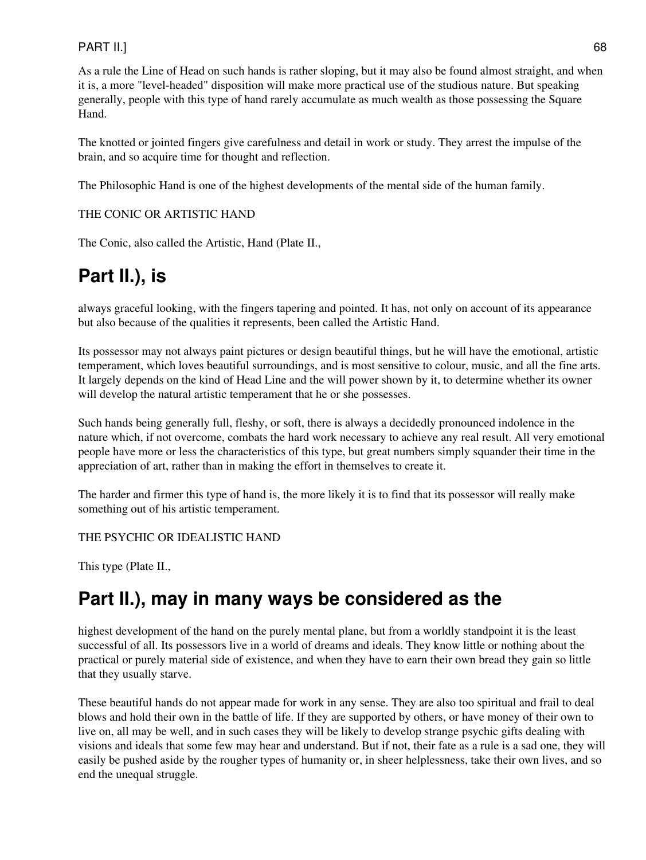#### PART II.] 68

As a rule the Line of Head on such hands is rather sloping, but it may also be found almost straight, and when it is, a more "level-headed" disposition will make more practical use of the studious nature. But speaking generally, people with this type of hand rarely accumulate as much wealth as those possessing the Square Hand.

The knotted or jointed fingers give carefulness and detail in work or study. They arrest the impulse of the brain, and so acquire time for thought and reflection.

The Philosophic Hand is one of the highest developments of the mental side of the human family.

#### THE CONIC OR ARTISTIC HAND

The Conic, also called the Artistic, Hand (Plate II.,

# **Part II.), is**

always graceful looking, with the fingers tapering and pointed. It has, not only on account of its appearance but also because of the qualities it represents, been called the Artistic Hand.

Its possessor may not always paint pictures or design beautiful things, but he will have the emotional, artistic temperament, which loves beautiful surroundings, and is most sensitive to colour, music, and all the fine arts. It largely depends on the kind of Head Line and the will power shown by it, to determine whether its owner will develop the natural artistic temperament that he or she possesses.

Such hands being generally full, fleshy, or soft, there is always a decidedly pronounced indolence in the nature which, if not overcome, combats the hard work necessary to achieve any real result. All very emotional people have more or less the characteristics of this type, but great numbers simply squander their time in the appreciation of art, rather than in making the effort in themselves to create it.

The harder and firmer this type of hand is, the more likely it is to find that its possessor will really make something out of his artistic temperament.

THE PSYCHIC OR IDEALISTIC HAND

This type (Plate II.,

## **Part II.), may in many ways be considered as the**

highest development of the hand on the purely mental plane, but from a worldly standpoint it is the least successful of all. Its possessors live in a world of dreams and ideals. They know little or nothing about the practical or purely material side of existence, and when they have to earn their own bread they gain so little that they usually starve.

These beautiful hands do not appear made for work in any sense. They are also too spiritual and frail to deal blows and hold their own in the battle of life. If they are supported by others, or have money of their own to live on, all may be well, and in such cases they will be likely to develop strange psychic gifts dealing with visions and ideals that some few may hear and understand. But if not, their fate as a rule is a sad one, they will easily be pushed aside by the rougher types of humanity or, in sheer helplessness, take their own lives, and so end the unequal struggle.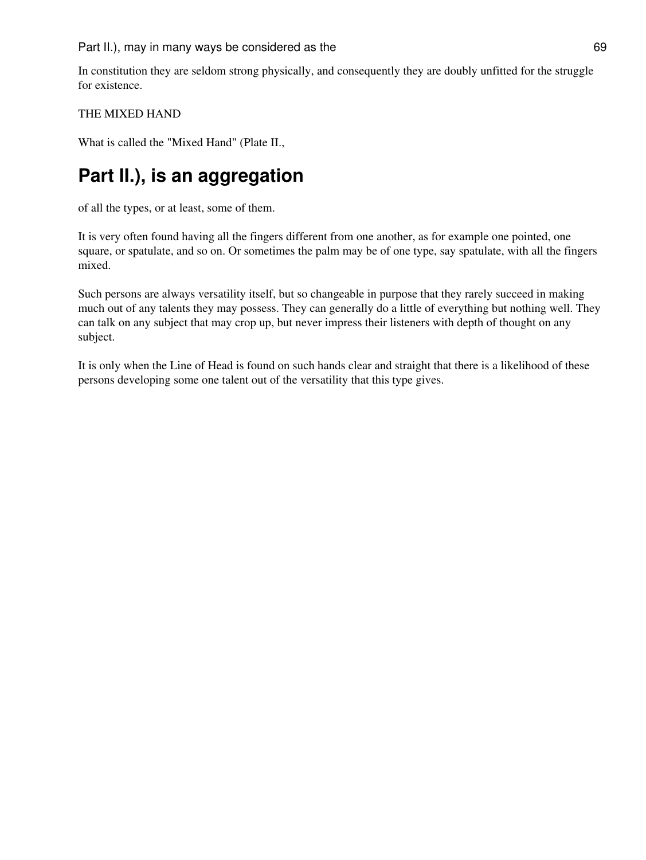In constitution they are seldom strong physically, and consequently they are doubly unfitted for the struggle for existence.

#### THE MIXED HAND

What is called the "Mixed Hand" (Plate II.,

# **Part II.), is an aggregation**

of all the types, or at least, some of them.

It is very often found having all the fingers different from one another, as for example one pointed, one square, or spatulate, and so on. Or sometimes the palm may be of one type, say spatulate, with all the fingers mixed.

Such persons are always versatility itself, but so changeable in purpose that they rarely succeed in making much out of any talents they may possess. They can generally do a little of everything but nothing well. They can talk on any subject that may crop up, but never impress their listeners with depth of thought on any subject.

It is only when the Line of Head is found on such hands clear and straight that there is a likelihood of these persons developing some one talent out of the versatility that this type gives.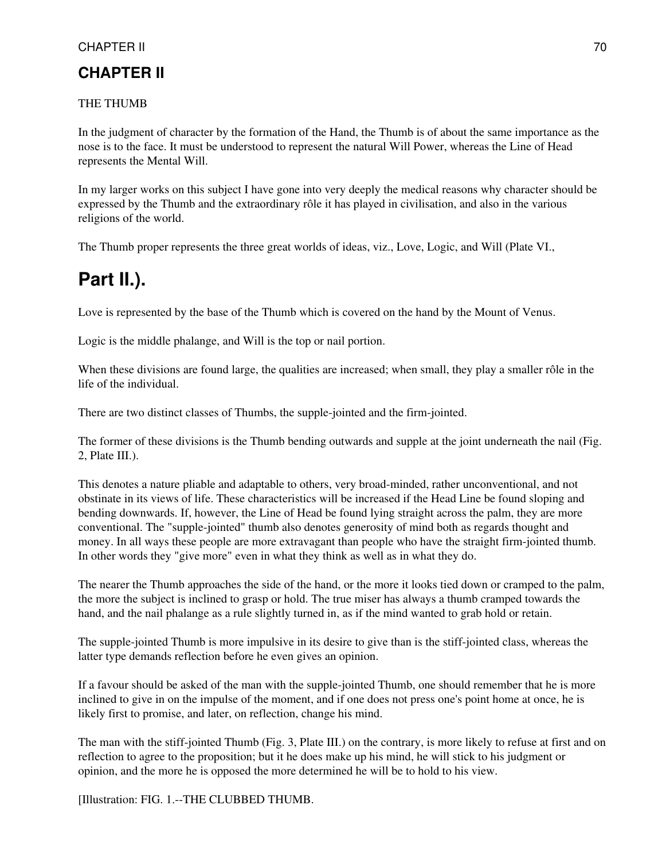## **CHAPTER II**

#### THE THUMB

In the judgment of character by the formation of the Hand, the Thumb is of about the same importance as the nose is to the face. It must be understood to represent the natural Will Power, whereas the Line of Head represents the Mental Will.

In my larger works on this subject I have gone into very deeply the medical reasons why character should be expressed by the Thumb and the extraordinary rôle it has played in civilisation, and also in the various religions of the world.

The Thumb proper represents the three great worlds of ideas, viz., Love, Logic, and Will (Plate VI.,

## **Part II.).**

Love is represented by the base of the Thumb which is covered on the hand by the Mount of Venus.

Logic is the middle phalange, and Will is the top or nail portion.

When these divisions are found large, the qualities are increased; when small, they play a smaller rôle in the life of the individual.

There are two distinct classes of Thumbs, the supple-jointed and the firm-jointed.

The former of these divisions is the Thumb bending outwards and supple at the joint underneath the nail (Fig. 2, Plate III.).

This denotes a nature pliable and adaptable to others, very broad-minded, rather unconventional, and not obstinate in its views of life. These characteristics will be increased if the Head Line be found sloping and bending downwards. If, however, the Line of Head be found lying straight across the palm, they are more conventional. The "supple-jointed" thumb also denotes generosity of mind both as regards thought and money. In all ways these people are more extravagant than people who have the straight firm-jointed thumb. In other words they "give more" even in what they think as well as in what they do.

The nearer the Thumb approaches the side of the hand, or the more it looks tied down or cramped to the palm, the more the subject is inclined to grasp or hold. The true miser has always a thumb cramped towards the hand, and the nail phalange as a rule slightly turned in, as if the mind wanted to grab hold or retain.

The supple-jointed Thumb is more impulsive in its desire to give than is the stiff-jointed class, whereas the latter type demands reflection before he even gives an opinion.

If a favour should be asked of the man with the supple-jointed Thumb, one should remember that he is more inclined to give in on the impulse of the moment, and if one does not press one's point home at once, he is likely first to promise, and later, on reflection, change his mind.

The man with the stiff-jointed Thumb (Fig. 3, Plate III.) on the contrary, is more likely to refuse at first and on reflection to agree to the proposition; but it he does make up his mind, he will stick to his judgment or opinion, and the more he is opposed the more determined he will be to hold to his view.

[Illustration: FIG. 1.--THE CLUBBED THUMB.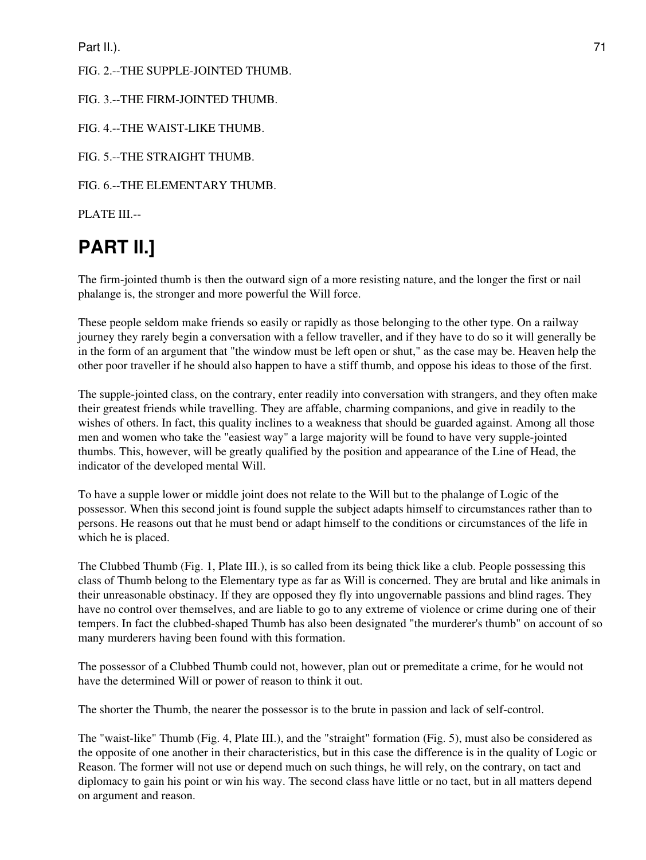Part II.). 21

#### FIG. 2.--THE SUPPLE-JOINTED THUMB.

#### FIG. 3.--THE FIRM-JOINTED THUMB.

FIG. 4.--THE WAIST-LIKE THUMB.

FIG. 5.--THE STRAIGHT THUMB.

FIG. 6.--THE ELEMENTARY THUMB.

PLATE III.--

# **PART II.]**

The firm-jointed thumb is then the outward sign of a more resisting nature, and the longer the first or nail phalange is, the stronger and more powerful the Will force.

These people seldom make friends so easily or rapidly as those belonging to the other type. On a railway journey they rarely begin a conversation with a fellow traveller, and if they have to do so it will generally be in the form of an argument that "the window must be left open or shut," as the case may be. Heaven help the other poor traveller if he should also happen to have a stiff thumb, and oppose his ideas to those of the first.

The supple-jointed class, on the contrary, enter readily into conversation with strangers, and they often make their greatest friends while travelling. They are affable, charming companions, and give in readily to the wishes of others. In fact, this quality inclines to a weakness that should be guarded against. Among all those men and women who take the "easiest way" a large majority will be found to have very supple-jointed thumbs. This, however, will be greatly qualified by the position and appearance of the Line of Head, the indicator of the developed mental Will.

To have a supple lower or middle joint does not relate to the Will but to the phalange of Logic of the possessor. When this second joint is found supple the subject adapts himself to circumstances rather than to persons. He reasons out that he must bend or adapt himself to the conditions or circumstances of the life in which he is placed.

The Clubbed Thumb (Fig. 1, Plate III.), is so called from its being thick like a club. People possessing this class of Thumb belong to the Elementary type as far as Will is concerned. They are brutal and like animals in their unreasonable obstinacy. If they are opposed they fly into ungovernable passions and blind rages. They have no control over themselves, and are liable to go to any extreme of violence or crime during one of their tempers. In fact the clubbed-shaped Thumb has also been designated "the murderer's thumb" on account of so many murderers having been found with this formation.

The possessor of a Clubbed Thumb could not, however, plan out or premeditate a crime, for he would not have the determined Will or power of reason to think it out.

The shorter the Thumb, the nearer the possessor is to the brute in passion and lack of self-control.

The "waist-like" Thumb (Fig. 4, Plate III.), and the "straight" formation (Fig. 5), must also be considered as the opposite of one another in their characteristics, but in this case the difference is in the quality of Logic or Reason. The former will not use or depend much on such things, he will rely, on the contrary, on tact and diplomacy to gain his point or win his way. The second class have little or no tact, but in all matters depend on argument and reason.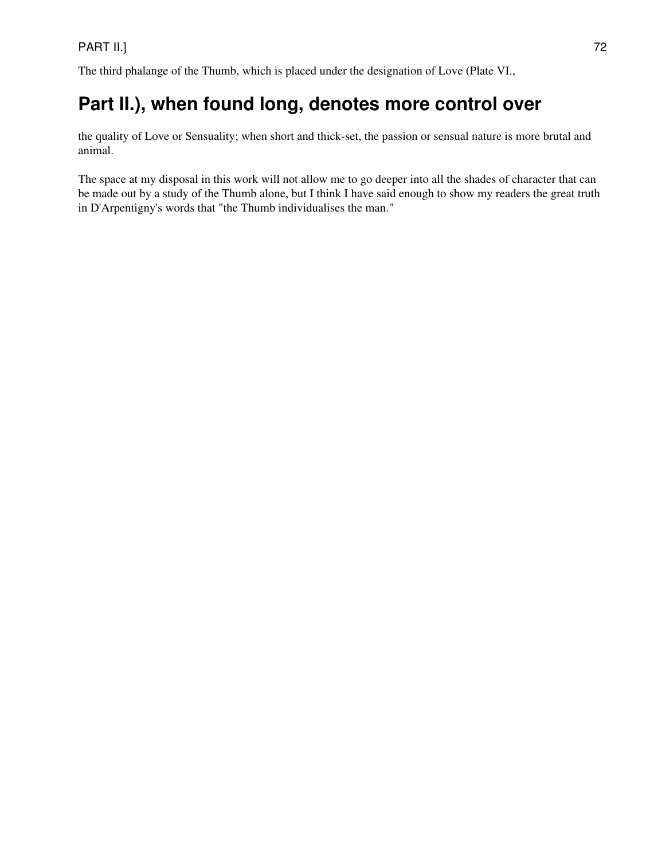The third phalange of the Thumb, which is placed under the designation of Love (Plate VI.,

# **Part II.), when found long, denotes more control over**

the quality of Love or Sensuality; when short and thick-set, the passion or sensual nature is more brutal and animal.

The space at my disposal in this work will not allow me to go deeper into all the shades of character that can be made out by a study of the Thumb alone, but I think I have said enough to show my readers the great truth in D'Arpentigny's words that "the Thumb individualises the man."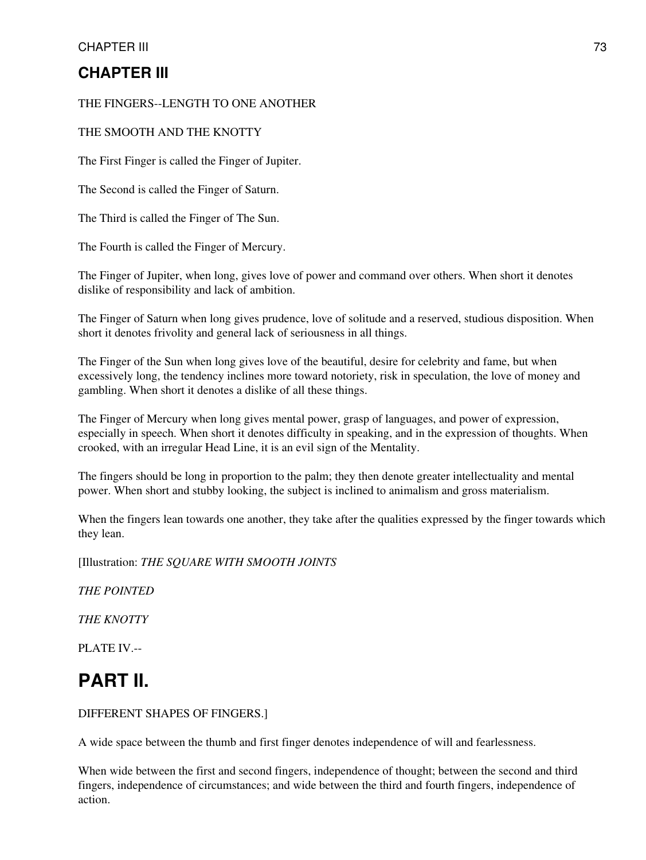## **CHAPTER III**

### THE FINGERS--LENGTH TO ONE ANOTHER

### THE SMOOTH AND THE KNOTTY

The First Finger is called the Finger of Jupiter.

The Second is called the Finger of Saturn.

The Third is called the Finger of The Sun.

The Fourth is called the Finger of Mercury.

The Finger of Jupiter, when long, gives love of power and command over others. When short it denotes dislike of responsibility and lack of ambition.

The Finger of Saturn when long gives prudence, love of solitude and a reserved, studious disposition. When short it denotes frivolity and general lack of seriousness in all things.

The Finger of the Sun when long gives love of the beautiful, desire for celebrity and fame, but when excessively long, the tendency inclines more toward notoriety, risk in speculation, the love of money and gambling. When short it denotes a dislike of all these things.

The Finger of Mercury when long gives mental power, grasp of languages, and power of expression, especially in speech. When short it denotes difficulty in speaking, and in the expression of thoughts. When crooked, with an irregular Head Line, it is an evil sign of the Mentality.

The fingers should be long in proportion to the palm; they then denote greater intellectuality and mental power. When short and stubby looking, the subject is inclined to animalism and gross materialism.

When the fingers lean towards one another, they take after the qualities expressed by the finger towards which they lean.

[Illustration: *THE SQUARE WITH SMOOTH JOINTS*

*THE POINTED*

*THE KNOTTY*

PLATE IV.--

# **PART II.**

### DIFFERENT SHAPES OF FINGERS.]

A wide space between the thumb and first finger denotes independence of will and fearlessness.

When wide between the first and second fingers, independence of thought; between the second and third fingers, independence of circumstances; and wide between the third and fourth fingers, independence of action.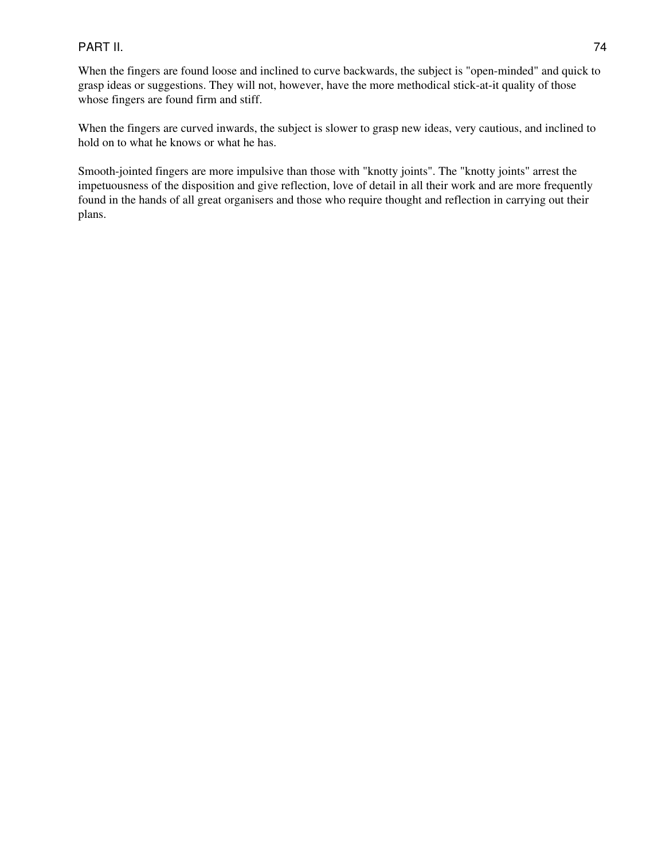### PART II. 74

When the fingers are found loose and inclined to curve backwards, the subject is "open-minded" and quick to grasp ideas or suggestions. They will not, however, have the more methodical stick-at-it quality of those whose fingers are found firm and stiff.

When the fingers are curved inwards, the subject is slower to grasp new ideas, very cautious, and inclined to hold on to what he knows or what he has.

Smooth-jointed fingers are more impulsive than those with "knotty joints". The "knotty joints" arrest the impetuousness of the disposition and give reflection, love of detail in all their work and are more frequently found in the hands of all great organisers and those who require thought and reflection in carrying out their plans.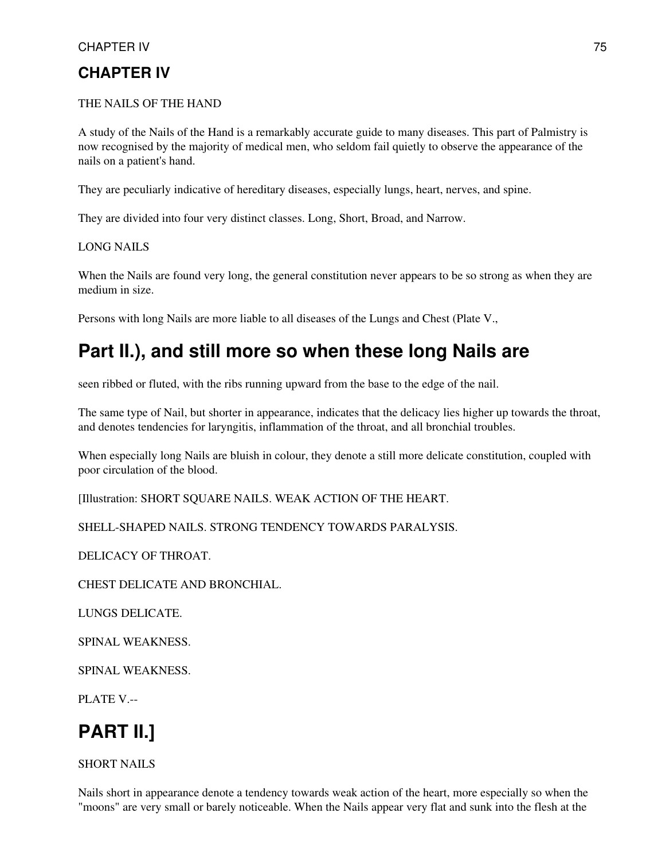## **CHAPTER IV**

### THE NAILS OF THE HAND

A study of the Nails of the Hand is a remarkably accurate guide to many diseases. This part of Palmistry is now recognised by the majority of medical men, who seldom fail quietly to observe the appearance of the nails on a patient's hand.

They are peculiarly indicative of hereditary diseases, especially lungs, heart, nerves, and spine.

They are divided into four very distinct classes. Long, Short, Broad, and Narrow.

LONG NAILS

When the Nails are found very long, the general constitution never appears to be so strong as when they are medium in size.

Persons with long Nails are more liable to all diseases of the Lungs and Chest (Plate V.,

## **Part II.), and still more so when these long Nails are**

seen ribbed or fluted, with the ribs running upward from the base to the edge of the nail.

The same type of Nail, but shorter in appearance, indicates that the delicacy lies higher up towards the throat, and denotes tendencies for laryngitis, inflammation of the throat, and all bronchial troubles.

When especially long Nails are bluish in colour, they denote a still more delicate constitution, coupled with poor circulation of the blood.

[Illustration: SHORT SQUARE NAILS. WEAK ACTION OF THE HEART.

SHELL-SHAPED NAILS. STRONG TENDENCY TOWARDS PARALYSIS.

DELICACY OF THROAT.

CHEST DELICATE AND BRONCHIAL.

LUNGS DELICATE.

SPINAL WEAKNESS.

SPINAL WEAKNESS.

PLATE V.--

# **PART II.]**

### SHORT NAILS

Nails short in appearance denote a tendency towards weak action of the heart, more especially so when the "moons" are very small or barely noticeable. When the Nails appear very flat and sunk into the flesh at the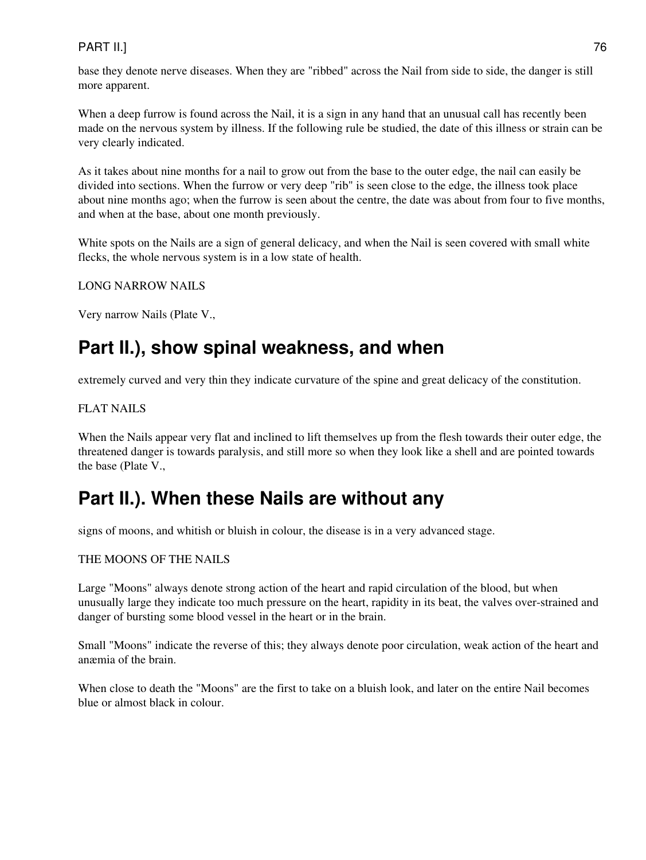### PART II.] 76

base they denote nerve diseases. When they are "ribbed" across the Nail from side to side, the danger is still more apparent.

When a deep furrow is found across the Nail, it is a sign in any hand that an unusual call has recently been made on the nervous system by illness. If the following rule be studied, the date of this illness or strain can be very clearly indicated.

As it takes about nine months for a nail to grow out from the base to the outer edge, the nail can easily be divided into sections. When the furrow or very deep "rib" is seen close to the edge, the illness took place about nine months ago; when the furrow is seen about the centre, the date was about from four to five months, and when at the base, about one month previously.

White spots on the Nails are a sign of general delicacy, and when the Nail is seen covered with small white flecks, the whole nervous system is in a low state of health.

### LONG NARROW NAILS

Very narrow Nails (Plate V.,

# **Part II.), show spinal weakness, and when**

extremely curved and very thin they indicate curvature of the spine and great delicacy of the constitution.

### FLAT NAILS

When the Nails appear very flat and inclined to lift themselves up from the flesh towards their outer edge, the threatened danger is towards paralysis, and still more so when they look like a shell and are pointed towards the base (Plate V.,

# **Part II.). When these Nails are without any**

signs of moons, and whitish or bluish in colour, the disease is in a very advanced stage.

### THE MOONS OF THE NAILS

Large "Moons" always denote strong action of the heart and rapid circulation of the blood, but when unusually large they indicate too much pressure on the heart, rapidity in its beat, the valves over-strained and danger of bursting some blood vessel in the heart or in the brain.

Small "Moons" indicate the reverse of this; they always denote poor circulation, weak action of the heart and anæmia of the brain.

When close to death the "Moons" are the first to take on a bluish look, and later on the entire Nail becomes blue or almost black in colour.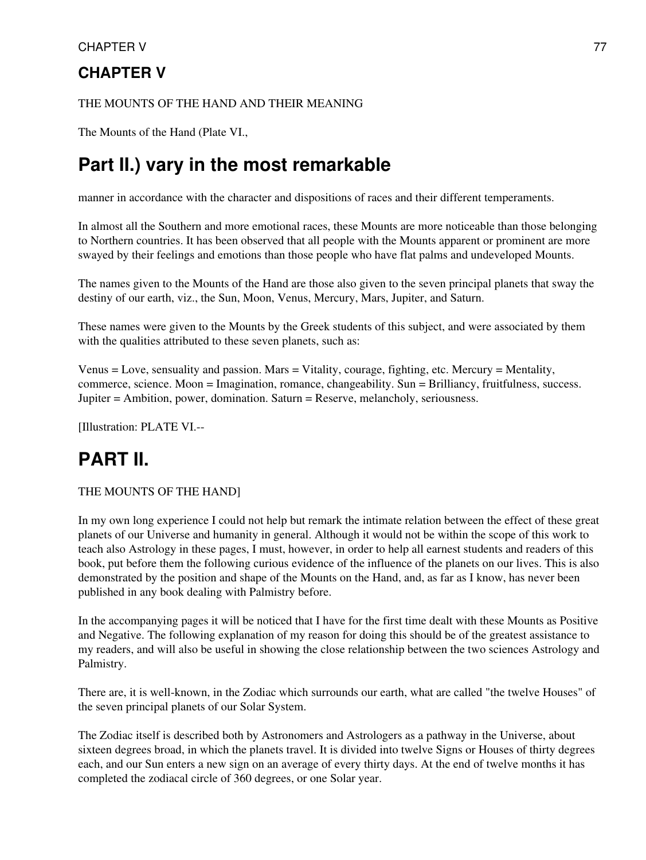### CHAPTER V 77

## **CHAPTER V**

### THE MOUNTS OF THE HAND AND THEIR MEANING

The Mounts of the Hand (Plate VI.,

## **Part II.) vary in the most remarkable**

manner in accordance with the character and dispositions of races and their different temperaments.

In almost all the Southern and more emotional races, these Mounts are more noticeable than those belonging to Northern countries. It has been observed that all people with the Mounts apparent or prominent are more swayed by their feelings and emotions than those people who have flat palms and undeveloped Mounts.

The names given to the Mounts of the Hand are those also given to the seven principal planets that sway the destiny of our earth, viz., the Sun, Moon, Venus, Mercury, Mars, Jupiter, and Saturn.

These names were given to the Mounts by the Greek students of this subject, and were associated by them with the qualities attributed to these seven planets, such as:

Venus = Love, sensuality and passion. Mars = Vitality, courage, fighting, etc. Mercury = Mentality, commerce, science. Moon = Imagination, romance, changeability. Sun = Brilliancy, fruitfulness, success. Jupiter = Ambition, power, domination. Saturn = Reserve, melancholy, seriousness.

[Illustration: PLATE VI.--

# **PART II.**

### THE MOUNTS OF THE HAND]

In my own long experience I could not help but remark the intimate relation between the effect of these great planets of our Universe and humanity in general. Although it would not be within the scope of this work to teach also Astrology in these pages, I must, however, in order to help all earnest students and readers of this book, put before them the following curious evidence of the influence of the planets on our lives. This is also demonstrated by the position and shape of the Mounts on the Hand, and, as far as I know, has never been published in any book dealing with Palmistry before.

In the accompanying pages it will be noticed that I have for the first time dealt with these Mounts as Positive and Negative. The following explanation of my reason for doing this should be of the greatest assistance to my readers, and will also be useful in showing the close relationship between the two sciences Astrology and Palmistry.

There are, it is well-known, in the Zodiac which surrounds our earth, what are called "the twelve Houses" of the seven principal planets of our Solar System.

The Zodiac itself is described both by Astronomers and Astrologers as a pathway in the Universe, about sixteen degrees broad, in which the planets travel. It is divided into twelve Signs or Houses of thirty degrees each, and our Sun enters a new sign on an average of every thirty days. At the end of twelve months it has completed the zodiacal circle of 360 degrees, or one Solar year.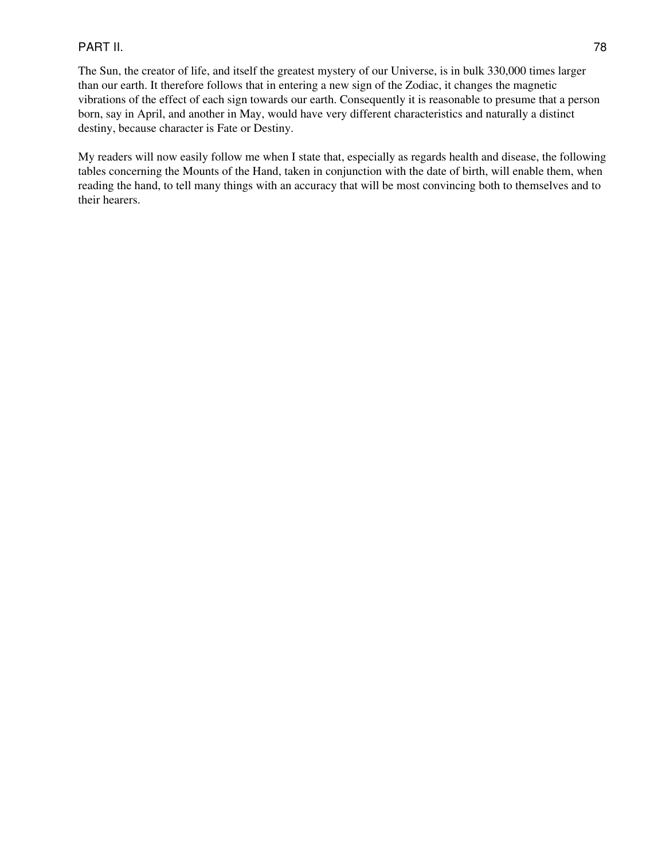### PART II. 78

The Sun, the creator of life, and itself the greatest mystery of our Universe, is in bulk 330,000 times larger than our earth. It therefore follows that in entering a new sign of the Zodiac, it changes the magnetic vibrations of the effect of each sign towards our earth. Consequently it is reasonable to presume that a person born, say in April, and another in May, would have very different characteristics and naturally a distinct destiny, because character is Fate or Destiny.

My readers will now easily follow me when I state that, especially as regards health and disease, the following tables concerning the Mounts of the Hand, taken in conjunction with the date of birth, will enable them, when reading the hand, to tell many things with an accuracy that will be most convincing both to themselves and to their hearers.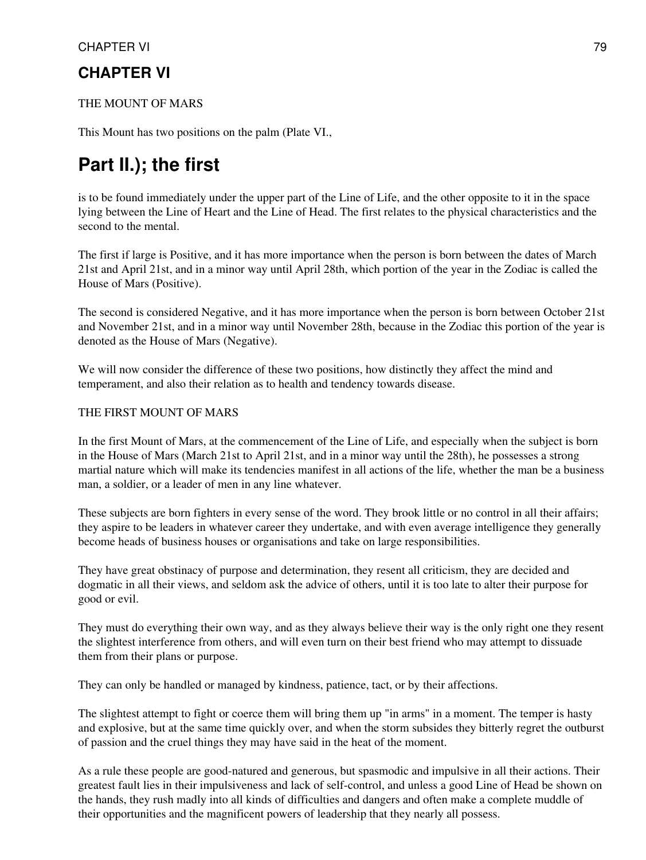### CHAPTER VI 79

### **CHAPTER VI**

### THE MOUNT OF MARS

This Mount has two positions on the palm (Plate VI.,

# **Part II.); the first**

is to be found immediately under the upper part of the Line of Life, and the other opposite to it in the space lying between the Line of Heart and the Line of Head. The first relates to the physical characteristics and the second to the mental.

The first if large is Positive, and it has more importance when the person is born between the dates of March 21st and April 21st, and in a minor way until April 28th, which portion of the year in the Zodiac is called the House of Mars (Positive).

The second is considered Negative, and it has more importance when the person is born between October 21st and November 21st, and in a minor way until November 28th, because in the Zodiac this portion of the year is denoted as the House of Mars (Negative).

We will now consider the difference of these two positions, how distinctly they affect the mind and temperament, and also their relation as to health and tendency towards disease.

### THE FIRST MOUNT OF MARS

In the first Mount of Mars, at the commencement of the Line of Life, and especially when the subject is born in the House of Mars (March 21st to April 21st, and in a minor way until the 28th), he possesses a strong martial nature which will make its tendencies manifest in all actions of the life, whether the man be a business man, a soldier, or a leader of men in any line whatever.

These subjects are born fighters in every sense of the word. They brook little or no control in all their affairs; they aspire to be leaders in whatever career they undertake, and with even average intelligence they generally become heads of business houses or organisations and take on large responsibilities.

They have great obstinacy of purpose and determination, they resent all criticism, they are decided and dogmatic in all their views, and seldom ask the advice of others, until it is too late to alter their purpose for good or evil.

They must do everything their own way, and as they always believe their way is the only right one they resent the slightest interference from others, and will even turn on their best friend who may attempt to dissuade them from their plans or purpose.

They can only be handled or managed by kindness, patience, tact, or by their affections.

The slightest attempt to fight or coerce them will bring them up "in arms" in a moment. The temper is hasty and explosive, but at the same time quickly over, and when the storm subsides they bitterly regret the outburst of passion and the cruel things they may have said in the heat of the moment.

As a rule these people are good-natured and generous, but spasmodic and impulsive in all their actions. Their greatest fault lies in their impulsiveness and lack of self-control, and unless a good Line of Head be shown on the hands, they rush madly into all kinds of difficulties and dangers and often make a complete muddle of their opportunities and the magnificent powers of leadership that they nearly all possess.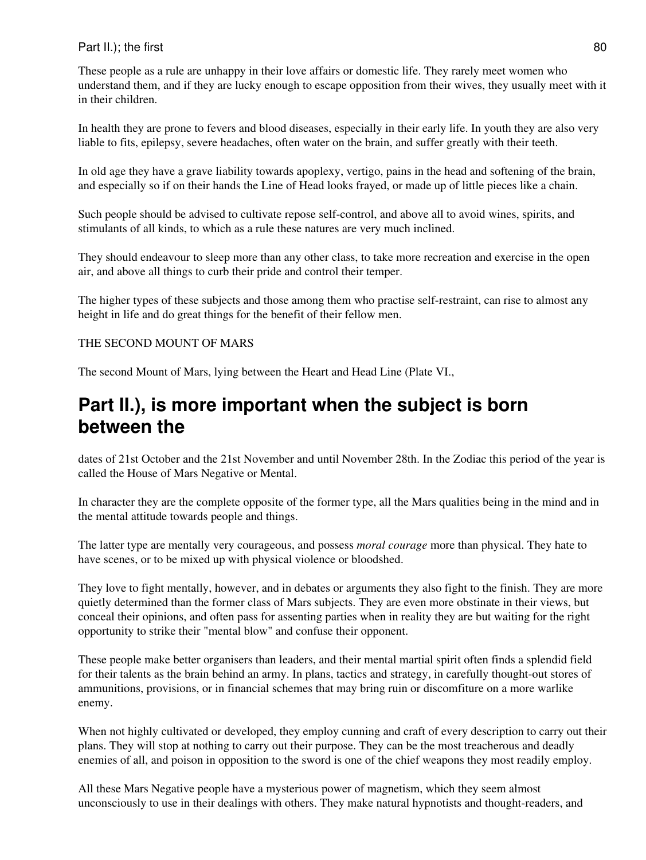### Part II.); the first 80

These people as a rule are unhappy in their love affairs or domestic life. They rarely meet women who understand them, and if they are lucky enough to escape opposition from their wives, they usually meet with it in their children.

In health they are prone to fevers and blood diseases, especially in their early life. In youth they are also very liable to fits, epilepsy, severe headaches, often water on the brain, and suffer greatly with their teeth.

In old age they have a grave liability towards apoplexy, vertigo, pains in the head and softening of the brain, and especially so if on their hands the Line of Head looks frayed, or made up of little pieces like a chain.

Such people should be advised to cultivate repose self-control, and above all to avoid wines, spirits, and stimulants of all kinds, to which as a rule these natures are very much inclined.

They should endeavour to sleep more than any other class, to take more recreation and exercise in the open air, and above all things to curb their pride and control their temper.

The higher types of these subjects and those among them who practise self-restraint, can rise to almost any height in life and do great things for the benefit of their fellow men.

### THE SECOND MOUNT OF MARS

The second Mount of Mars, lying between the Heart and Head Line (Plate VI.,

## **Part II.), is more important when the subject is born between the**

dates of 21st October and the 21st November and until November 28th. In the Zodiac this period of the year is called the House of Mars Negative or Mental.

In character they are the complete opposite of the former type, all the Mars qualities being in the mind and in the mental attitude towards people and things.

The latter type are mentally very courageous, and possess *moral courage* more than physical. They hate to have scenes, or to be mixed up with physical violence or bloodshed.

They love to fight mentally, however, and in debates or arguments they also fight to the finish. They are more quietly determined than the former class of Mars subjects. They are even more obstinate in their views, but conceal their opinions, and often pass for assenting parties when in reality they are but waiting for the right opportunity to strike their "mental blow" and confuse their opponent.

These people make better organisers than leaders, and their mental martial spirit often finds a splendid field for their talents as the brain behind an army. In plans, tactics and strategy, in carefully thought-out stores of ammunitions, provisions, or in financial schemes that may bring ruin or discomfiture on a more warlike enemy.

When not highly cultivated or developed, they employ cunning and craft of every description to carry out their plans. They will stop at nothing to carry out their purpose. They can be the most treacherous and deadly enemies of all, and poison in opposition to the sword is one of the chief weapons they most readily employ.

All these Mars Negative people have a mysterious power of magnetism, which they seem almost unconsciously to use in their dealings with others. They make natural hypnotists and thought-readers, and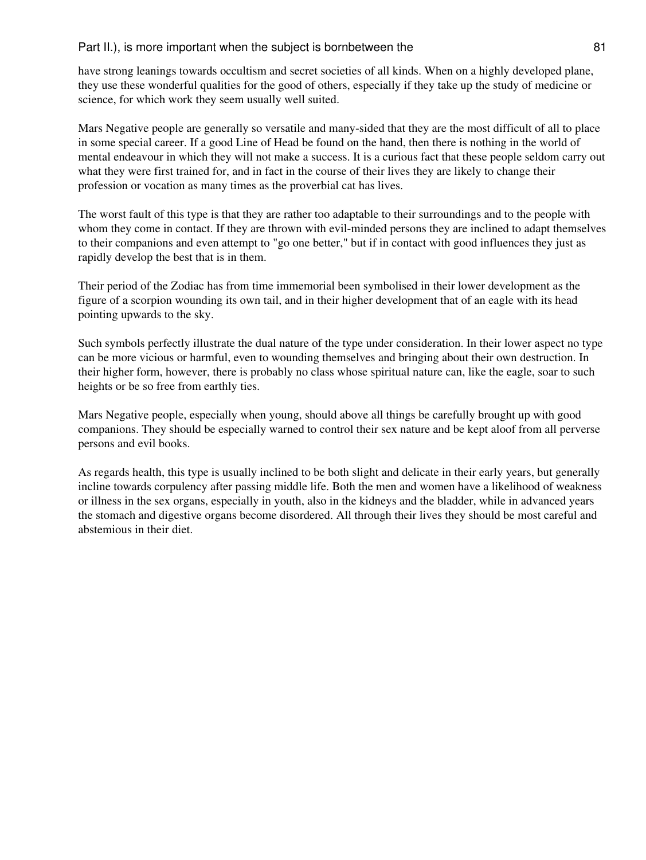### Part II.), is more important when the subject is bornbetween the 81

have strong leanings towards occultism and secret societies of all kinds. When on a highly developed plane, they use these wonderful qualities for the good of others, especially if they take up the study of medicine or science, for which work they seem usually well suited.

Mars Negative people are generally so versatile and many-sided that they are the most difficult of all to place in some special career. If a good Line of Head be found on the hand, then there is nothing in the world of mental endeavour in which they will not make a success. It is a curious fact that these people seldom carry out what they were first trained for, and in fact in the course of their lives they are likely to change their profession or vocation as many times as the proverbial cat has lives.

The worst fault of this type is that they are rather too adaptable to their surroundings and to the people with whom they come in contact. If they are thrown with evil-minded persons they are inclined to adapt themselves to their companions and even attempt to "go one better," but if in contact with good influences they just as rapidly develop the best that is in them.

Their period of the Zodiac has from time immemorial been symbolised in their lower development as the figure of a scorpion wounding its own tail, and in their higher development that of an eagle with its head pointing upwards to the sky.

Such symbols perfectly illustrate the dual nature of the type under consideration. In their lower aspect no type can be more vicious or harmful, even to wounding themselves and bringing about their own destruction. In their higher form, however, there is probably no class whose spiritual nature can, like the eagle, soar to such heights or be so free from earthly ties.

Mars Negative people, especially when young, should above all things be carefully brought up with good companions. They should be especially warned to control their sex nature and be kept aloof from all perverse persons and evil books.

As regards health, this type is usually inclined to be both slight and delicate in their early years, but generally incline towards corpulency after passing middle life. Both the men and women have a likelihood of weakness or illness in the sex organs, especially in youth, also in the kidneys and the bladder, while in advanced years the stomach and digestive organs become disordered. All through their lives they should be most careful and abstemious in their diet.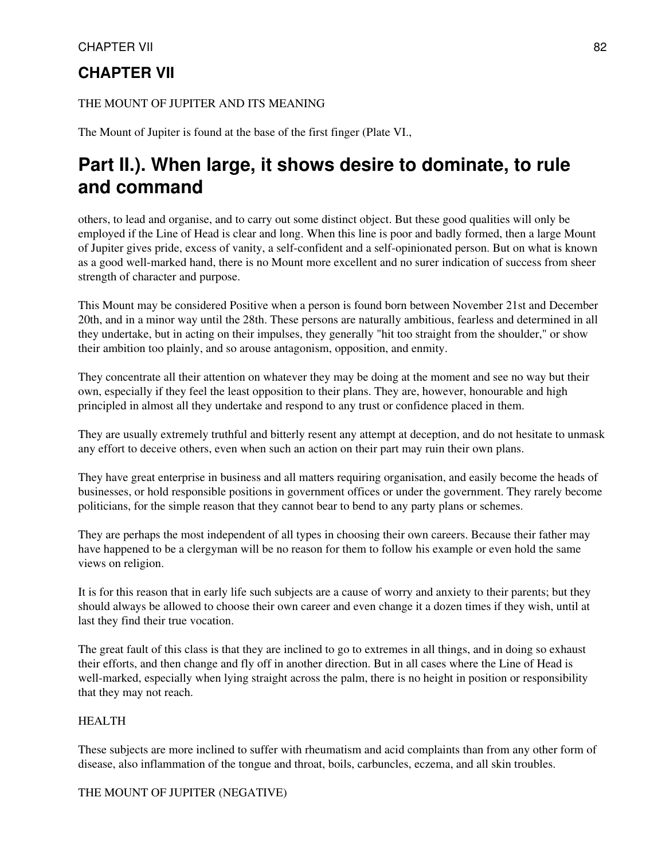### CHAPTER VII 82

## **CHAPTER VII**

### THE MOUNT OF JUPITER AND ITS MEANING

The Mount of Jupiter is found at the base of the first finger (Plate VI.,

# **Part II.). When large, it shows desire to dominate, to rule and command**

others, to lead and organise, and to carry out some distinct object. But these good qualities will only be employed if the Line of Head is clear and long. When this line is poor and badly formed, then a large Mount of Jupiter gives pride, excess of vanity, a self-confident and a self-opinionated person. But on what is known as a good well-marked hand, there is no Mount more excellent and no surer indication of success from sheer strength of character and purpose.

This Mount may be considered Positive when a person is found born between November 21st and December 20th, and in a minor way until the 28th. These persons are naturally ambitious, fearless and determined in all they undertake, but in acting on their impulses, they generally "hit too straight from the shoulder," or show their ambition too plainly, and so arouse antagonism, opposition, and enmity.

They concentrate all their attention on whatever they may be doing at the moment and see no way but their own, especially if they feel the least opposition to their plans. They are, however, honourable and high principled in almost all they undertake and respond to any trust or confidence placed in them.

They are usually extremely truthful and bitterly resent any attempt at deception, and do not hesitate to unmask any effort to deceive others, even when such an action on their part may ruin their own plans.

They have great enterprise in business and all matters requiring organisation, and easily become the heads of businesses, or hold responsible positions in government offices or under the government. They rarely become politicians, for the simple reason that they cannot bear to bend to any party plans or schemes.

They are perhaps the most independent of all types in choosing their own careers. Because their father may have happened to be a clergyman will be no reason for them to follow his example or even hold the same views on religion.

It is for this reason that in early life such subjects are a cause of worry and anxiety to their parents; but they should always be allowed to choose their own career and even change it a dozen times if they wish, until at last they find their true vocation.

The great fault of this class is that they are inclined to go to extremes in all things, and in doing so exhaust their efforts, and then change and fly off in another direction. But in all cases where the Line of Head is well-marked, especially when lying straight across the palm, there is no height in position or responsibility that they may not reach.

### HEALTH

These subjects are more inclined to suffer with rheumatism and acid complaints than from any other form of disease, also inflammation of the tongue and throat, boils, carbuncles, eczema, and all skin troubles.

### THE MOUNT OF JUPITER (NEGATIVE)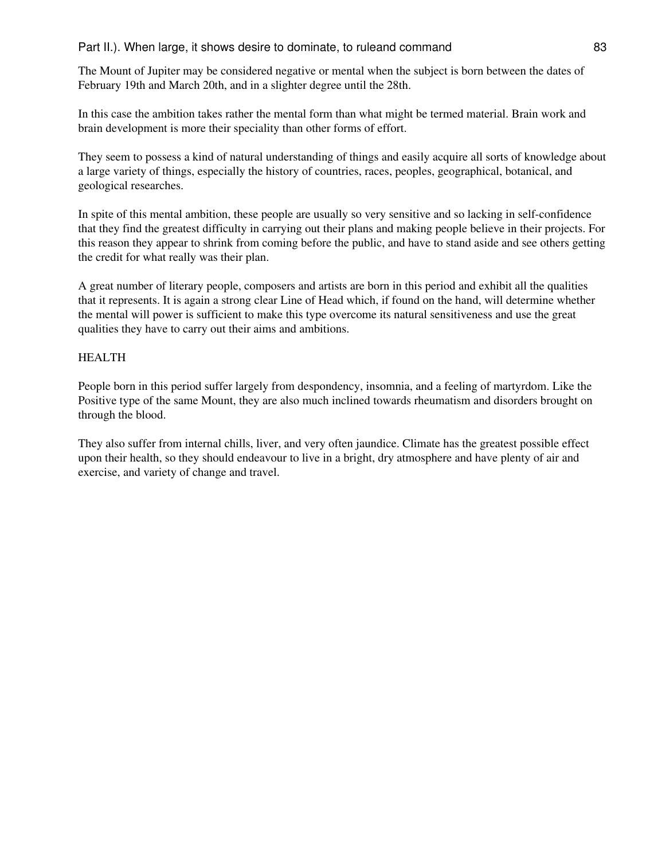### Part II.). When large, it shows desire to dominate, to ruleand command 83

The Mount of Jupiter may be considered negative or mental when the subject is born between the dates of February 19th and March 20th, and in a slighter degree until the 28th.

In this case the ambition takes rather the mental form than what might be termed material. Brain work and brain development is more their speciality than other forms of effort.

They seem to possess a kind of natural understanding of things and easily acquire all sorts of knowledge about a large variety of things, especially the history of countries, races, peoples, geographical, botanical, and geological researches.

In spite of this mental ambition, these people are usually so very sensitive and so lacking in self-confidence that they find the greatest difficulty in carrying out their plans and making people believe in their projects. For this reason they appear to shrink from coming before the public, and have to stand aside and see others getting the credit for what really was their plan.

A great number of literary people, composers and artists are born in this period and exhibit all the qualities that it represents. It is again a strong clear Line of Head which, if found on the hand, will determine whether the mental will power is sufficient to make this type overcome its natural sensitiveness and use the great qualities they have to carry out their aims and ambitions.

### HEALTH

People born in this period suffer largely from despondency, insomnia, and a feeling of martyrdom. Like the Positive type of the same Mount, they are also much inclined towards rheumatism and disorders brought on through the blood.

They also suffer from internal chills, liver, and very often jaundice. Climate has the greatest possible effect upon their health, so they should endeavour to live in a bright, dry atmosphere and have plenty of air and exercise, and variety of change and travel.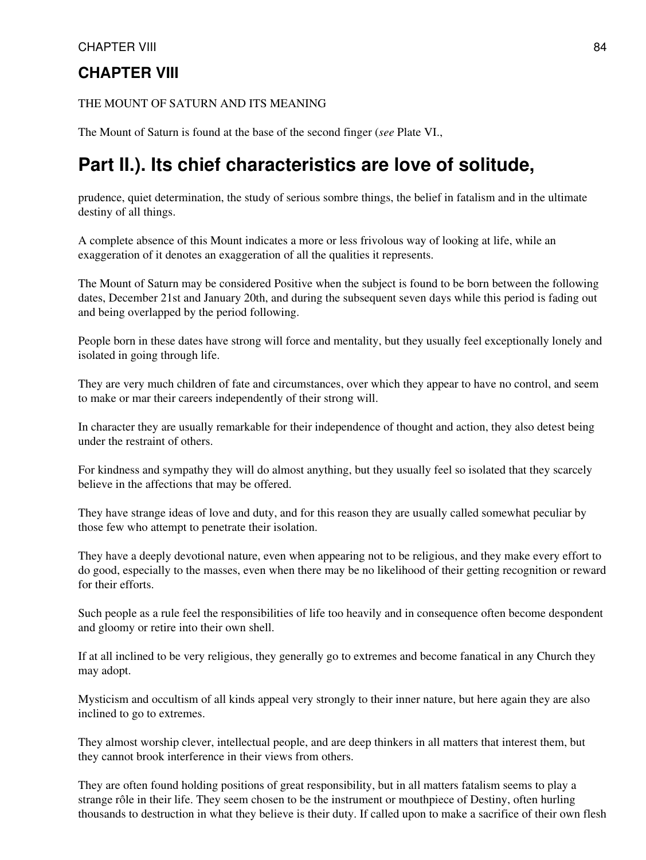### THE MOUNT OF SATURN AND ITS MEANING

The Mount of Saturn is found at the base of the second finger (*see* Plate VI.,

# **Part II.). Its chief characteristics are love of solitude,**

prudence, quiet determination, the study of serious sombre things, the belief in fatalism and in the ultimate destiny of all things.

A complete absence of this Mount indicates a more or less frivolous way of looking at life, while an exaggeration of it denotes an exaggeration of all the qualities it represents.

The Mount of Saturn may be considered Positive when the subject is found to be born between the following dates, December 21st and January 20th, and during the subsequent seven days while this period is fading out and being overlapped by the period following.

People born in these dates have strong will force and mentality, but they usually feel exceptionally lonely and isolated in going through life.

They are very much children of fate and circumstances, over which they appear to have no control, and seem to make or mar their careers independently of their strong will.

In character they are usually remarkable for their independence of thought and action, they also detest being under the restraint of others.

For kindness and sympathy they will do almost anything, but they usually feel so isolated that they scarcely believe in the affections that may be offered.

They have strange ideas of love and duty, and for this reason they are usually called somewhat peculiar by those few who attempt to penetrate their isolation.

They have a deeply devotional nature, even when appearing not to be religious, and they make every effort to do good, especially to the masses, even when there may be no likelihood of their getting recognition or reward for their efforts.

Such people as a rule feel the responsibilities of life too heavily and in consequence often become despondent and gloomy or retire into their own shell.

If at all inclined to be very religious, they generally go to extremes and become fanatical in any Church they may adopt.

Mysticism and occultism of all kinds appeal very strongly to their inner nature, but here again they are also inclined to go to extremes.

They almost worship clever, intellectual people, and are deep thinkers in all matters that interest them, but they cannot brook interference in their views from others.

They are often found holding positions of great responsibility, but in all matters fatalism seems to play a strange rôle in their life. They seem chosen to be the instrument or mouthpiece of Destiny, often hurling thousands to destruction in what they believe is their duty. If called upon to make a sacrifice of their own flesh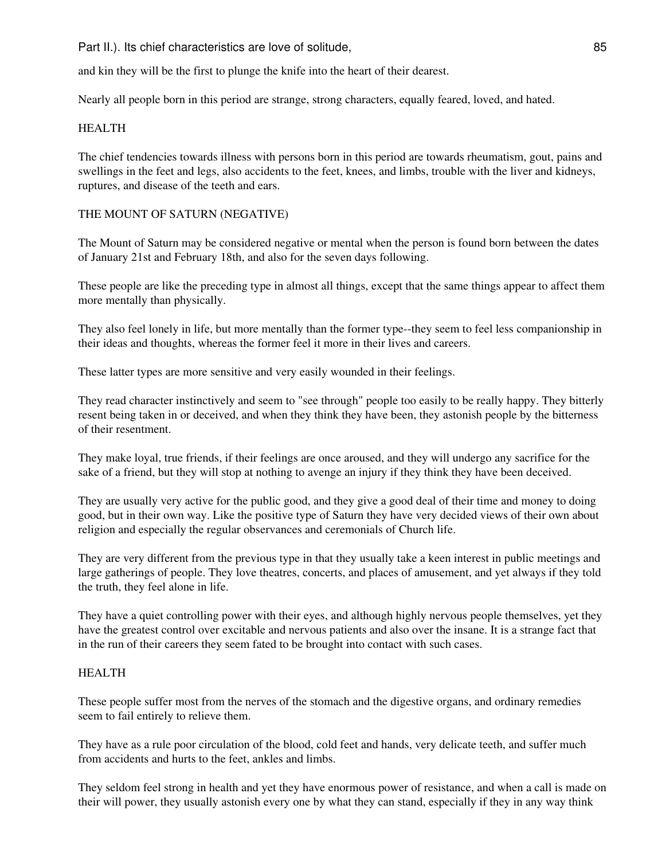Part II.). Its chief characteristics are love of solitude, 85

and kin they will be the first to plunge the knife into the heart of their dearest.

Nearly all people born in this period are strange, strong characters, equally feared, loved, and hated.

### HEALTH

The chief tendencies towards illness with persons born in this period are towards rheumatism, gout, pains and swellings in the feet and legs, also accidents to the feet, knees, and limbs, trouble with the liver and kidneys, ruptures, and disease of the teeth and ears.

### THE MOUNT OF SATURN (NEGATIVE)

The Mount of Saturn may be considered negative or mental when the person is found born between the dates of January 21st and February 18th, and also for the seven days following.

These people are like the preceding type in almost all things, except that the same things appear to affect them more mentally than physically.

They also feel lonely in life, but more mentally than the former type--they seem to feel less companionship in their ideas and thoughts, whereas the former feel it more in their lives and careers.

These latter types are more sensitive and very easily wounded in their feelings.

They read character instinctively and seem to "see through" people too easily to be really happy. They bitterly resent being taken in or deceived, and when they think they have been, they astonish people by the bitterness of their resentment.

They make loyal, true friends, if their feelings are once aroused, and they will undergo any sacrifice for the sake of a friend, but they will stop at nothing to avenge an injury if they think they have been deceived.

They are usually very active for the public good, and they give a good deal of their time and money to doing good, but in their own way. Like the positive type of Saturn they have very decided views of their own about religion and especially the regular observances and ceremonials of Church life.

They are very different from the previous type in that they usually take a keen interest in public meetings and large gatherings of people. They love theatres, concerts, and places of amusement, and yet always if they told the truth, they feel alone in life.

They have a quiet controlling power with their eyes, and although highly nervous people themselves, yet they have the greatest control over excitable and nervous patients and also over the insane. It is a strange fact that in the run of their careers they seem fated to be brought into contact with such cases.

#### HEALTH

These people suffer most from the nerves of the stomach and the digestive organs, and ordinary remedies seem to fail entirely to relieve them.

They have as a rule poor circulation of the blood, cold feet and hands, very delicate teeth, and suffer much from accidents and hurts to the feet, ankles and limbs.

They seldom feel strong in health and yet they have enormous power of resistance, and when a call is made on their will power, they usually astonish every one by what they can stand, especially if they in any way think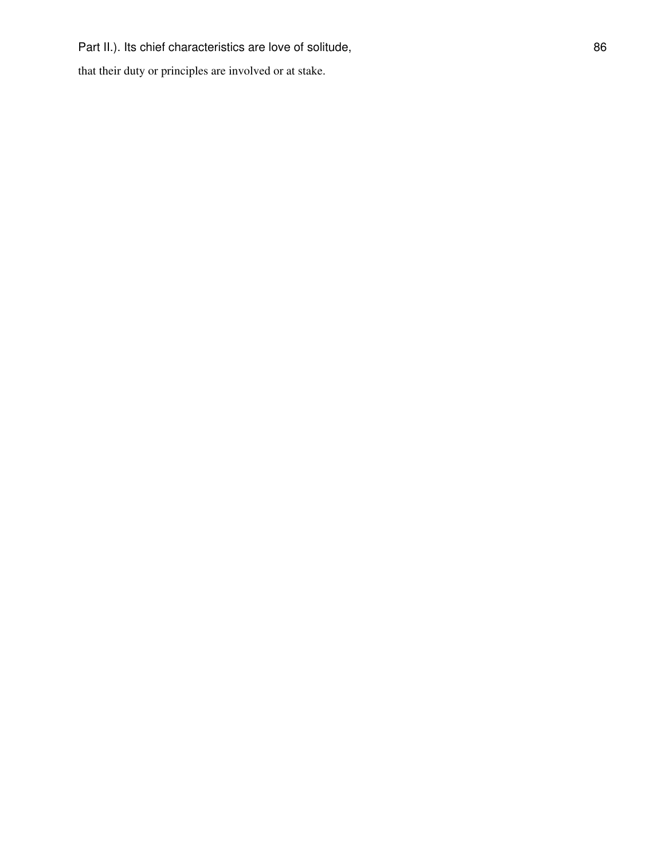that their duty or principles are involved or at stake.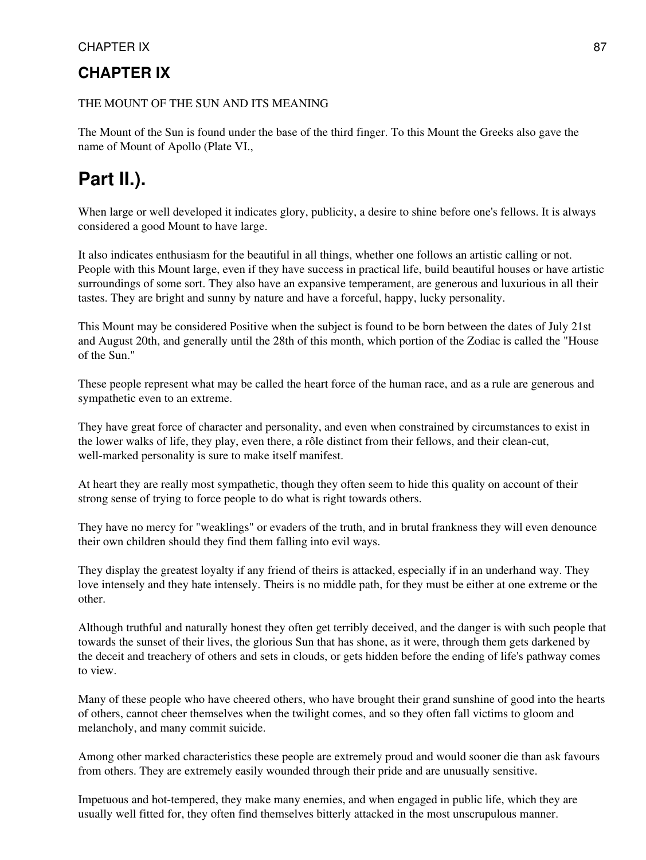### CHAPTER IX 87

## **CHAPTER IX**

### THE MOUNT OF THE SUN AND ITS MEANING

The Mount of the Sun is found under the base of the third finger. To this Mount the Greeks also gave the name of Mount of Apollo (Plate VI.,

# **Part II.).**

When large or well developed it indicates glory, publicity, a desire to shine before one's fellows. It is always considered a good Mount to have large.

It also indicates enthusiasm for the beautiful in all things, whether one follows an artistic calling or not. People with this Mount large, even if they have success in practical life, build beautiful houses or have artistic surroundings of some sort. They also have an expansive temperament, are generous and luxurious in all their tastes. They are bright and sunny by nature and have a forceful, happy, lucky personality.

This Mount may be considered Positive when the subject is found to be born between the dates of July 21st and August 20th, and generally until the 28th of this month, which portion of the Zodiac is called the "House of the Sun."

These people represent what may be called the heart force of the human race, and as a rule are generous and sympathetic even to an extreme.

They have great force of character and personality, and even when constrained by circumstances to exist in the lower walks of life, they play, even there, a rôle distinct from their fellows, and their clean-cut, well-marked personality is sure to make itself manifest.

At heart they are really most sympathetic, though they often seem to hide this quality on account of their strong sense of trying to force people to do what is right towards others.

They have no mercy for "weaklings" or evaders of the truth, and in brutal frankness they will even denounce their own children should they find them falling into evil ways.

They display the greatest loyalty if any friend of theirs is attacked, especially if in an underhand way. They love intensely and they hate intensely. Theirs is no middle path, for they must be either at one extreme or the other.

Although truthful and naturally honest they often get terribly deceived, and the danger is with such people that towards the sunset of their lives, the glorious Sun that has shone, as it were, through them gets darkened by the deceit and treachery of others and sets in clouds, or gets hidden before the ending of life's pathway comes to view.

Many of these people who have cheered others, who have brought their grand sunshine of good into the hearts of others, cannot cheer themselves when the twilight comes, and so they often fall victims to gloom and melancholy, and many commit suicide.

Among other marked characteristics these people are extremely proud and would sooner die than ask favours from others. They are extremely easily wounded through their pride and are unusually sensitive.

Impetuous and hot-tempered, they make many enemies, and when engaged in public life, which they are usually well fitted for, they often find themselves bitterly attacked in the most unscrupulous manner.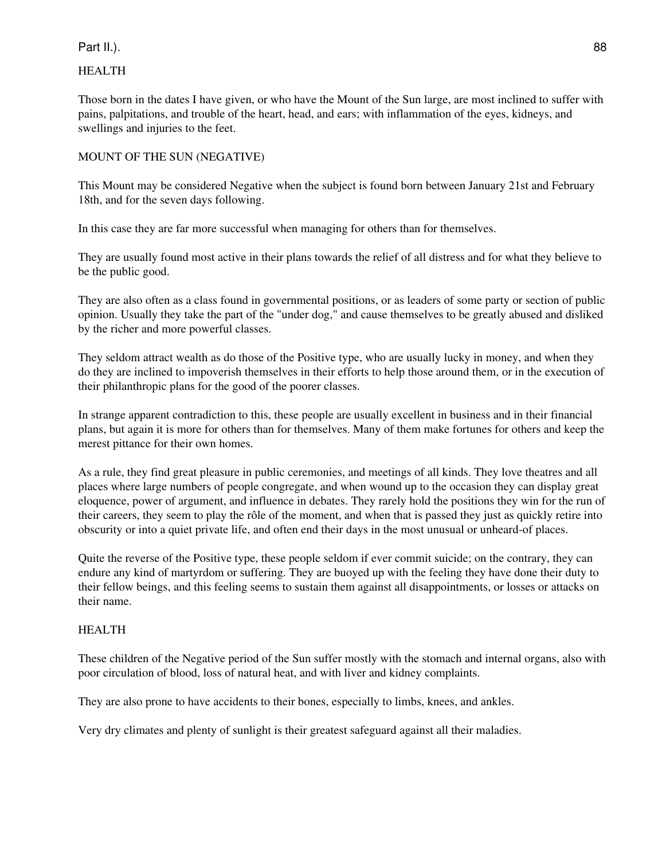### Part II.). 88

### HEALTH

Those born in the dates I have given, or who have the Mount of the Sun large, are most inclined to suffer with pains, palpitations, and trouble of the heart, head, and ears; with inflammation of the eyes, kidneys, and swellings and injuries to the feet.

### MOUNT OF THE SUN (NEGATIVE)

This Mount may be considered Negative when the subject is found born between January 21st and February 18th, and for the seven days following.

In this case they are far more successful when managing for others than for themselves.

They are usually found most active in their plans towards the relief of all distress and for what they believe to be the public good.

They are also often as a class found in governmental positions, or as leaders of some party or section of public opinion. Usually they take the part of the "under dog," and cause themselves to be greatly abused and disliked by the richer and more powerful classes.

They seldom attract wealth as do those of the Positive type, who are usually lucky in money, and when they do they are inclined to impoverish themselves in their efforts to help those around them, or in the execution of their philanthropic plans for the good of the poorer classes.

In strange apparent contradiction to this, these people are usually excellent in business and in their financial plans, but again it is more for others than for themselves. Many of them make fortunes for others and keep the merest pittance for their own homes.

As a rule, they find great pleasure in public ceremonies, and meetings of all kinds. They love theatres and all places where large numbers of people congregate, and when wound up to the occasion they can display great eloquence, power of argument, and influence in debates. They rarely hold the positions they win for the run of their careers, they seem to play the rôle of the moment, and when that is passed they just as quickly retire into obscurity or into a quiet private life, and often end their days in the most unusual or unheard-of places.

Quite the reverse of the Positive type, these people seldom if ever commit suicide; on the contrary, they can endure any kind of martyrdom or suffering. They are buoyed up with the feeling they have done their duty to their fellow beings, and this feeling seems to sustain them against all disappointments, or losses or attacks on their name.

### HEALTH

These children of the Negative period of the Sun suffer mostly with the stomach and internal organs, also with poor circulation of blood, loss of natural heat, and with liver and kidney complaints.

They are also prone to have accidents to their bones, especially to limbs, knees, and ankles.

Very dry climates and plenty of sunlight is their greatest safeguard against all their maladies.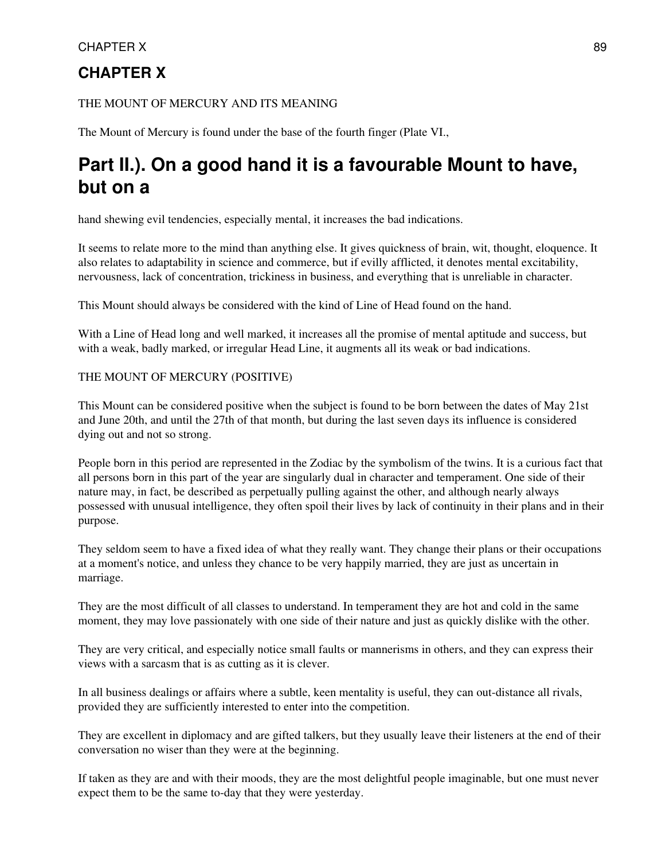### CHAPTER X 89

## **CHAPTER X**

### THE MOUNT OF MERCURY AND ITS MEANING

The Mount of Mercury is found under the base of the fourth finger (Plate VI.,

# **Part II.). On a good hand it is a favourable Mount to have, but on a**

hand shewing evil tendencies, especially mental, it increases the bad indications.

It seems to relate more to the mind than anything else. It gives quickness of brain, wit, thought, eloquence. It also relates to adaptability in science and commerce, but if evilly afflicted, it denotes mental excitability, nervousness, lack of concentration, trickiness in business, and everything that is unreliable in character.

This Mount should always be considered with the kind of Line of Head found on the hand.

With a Line of Head long and well marked, it increases all the promise of mental aptitude and success, but with a weak, badly marked, or irregular Head Line, it augments all its weak or bad indications.

### THE MOUNT OF MERCURY (POSITIVE)

This Mount can be considered positive when the subject is found to be born between the dates of May 21st and June 20th, and until the 27th of that month, but during the last seven days its influence is considered dying out and not so strong.

People born in this period are represented in the Zodiac by the symbolism of the twins. It is a curious fact that all persons born in this part of the year are singularly dual in character and temperament. One side of their nature may, in fact, be described as perpetually pulling against the other, and although nearly always possessed with unusual intelligence, they often spoil their lives by lack of continuity in their plans and in their purpose.

They seldom seem to have a fixed idea of what they really want. They change their plans or their occupations at a moment's notice, and unless they chance to be very happily married, they are just as uncertain in marriage.

They are the most difficult of all classes to understand. In temperament they are hot and cold in the same moment, they may love passionately with one side of their nature and just as quickly dislike with the other.

They are very critical, and especially notice small faults or mannerisms in others, and they can express their views with a sarcasm that is as cutting as it is clever.

In all business dealings or affairs where a subtle, keen mentality is useful, they can out-distance all rivals, provided they are sufficiently interested to enter into the competition.

They are excellent in diplomacy and are gifted talkers, but they usually leave their listeners at the end of their conversation no wiser than they were at the beginning.

If taken as they are and with their moods, they are the most delightful people imaginable, but one must never expect them to be the same to-day that they were yesterday.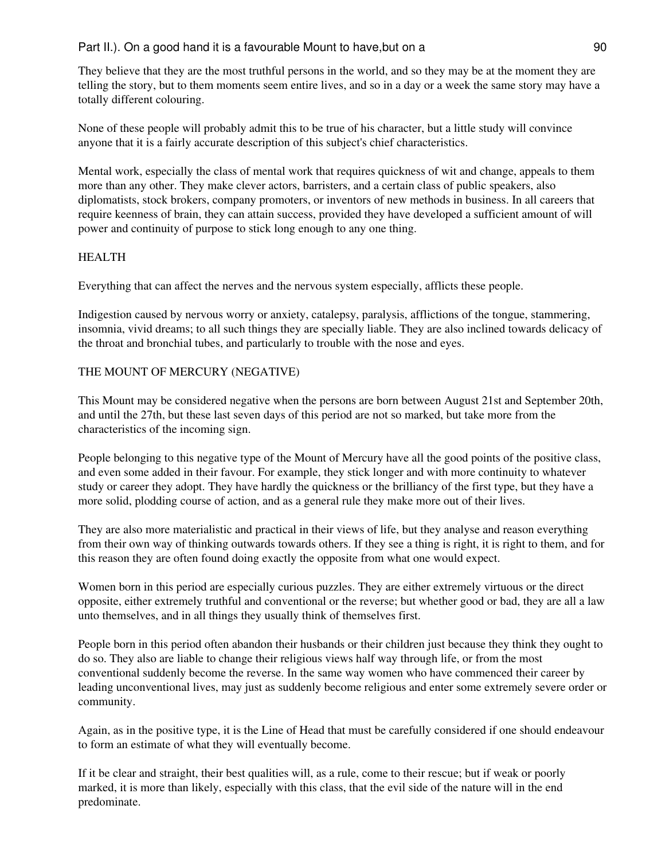### Part II.). On a good hand it is a favourable Mount to have, but on a 90

They believe that they are the most truthful persons in the world, and so they may be at the moment they are telling the story, but to them moments seem entire lives, and so in a day or a week the same story may have a totally different colouring.

None of these people will probably admit this to be true of his character, but a little study will convince anyone that it is a fairly accurate description of this subject's chief characteristics.

Mental work, especially the class of mental work that requires quickness of wit and change, appeals to them more than any other. They make clever actors, barristers, and a certain class of public speakers, also diplomatists, stock brokers, company promoters, or inventors of new methods in business. In all careers that require keenness of brain, they can attain success, provided they have developed a sufficient amount of will power and continuity of purpose to stick long enough to any one thing.

### HEALTH

Everything that can affect the nerves and the nervous system especially, afflicts these people.

Indigestion caused by nervous worry or anxiety, catalepsy, paralysis, afflictions of the tongue, stammering, insomnia, vivid dreams; to all such things they are specially liable. They are also inclined towards delicacy of the throat and bronchial tubes, and particularly to trouble with the nose and eyes.

### THE MOUNT OF MERCURY (NEGATIVE)

This Mount may be considered negative when the persons are born between August 21st and September 20th, and until the 27th, but these last seven days of this period are not so marked, but take more from the characteristics of the incoming sign.

People belonging to this negative type of the Mount of Mercury have all the good points of the positive class, and even some added in their favour. For example, they stick longer and with more continuity to whatever study or career they adopt. They have hardly the quickness or the brilliancy of the first type, but they have a more solid, plodding course of action, and as a general rule they make more out of their lives.

They are also more materialistic and practical in their views of life, but they analyse and reason everything from their own way of thinking outwards towards others. If they see a thing is right, it is right to them, and for this reason they are often found doing exactly the opposite from what one would expect.

Women born in this period are especially curious puzzles. They are either extremely virtuous or the direct opposite, either extremely truthful and conventional or the reverse; but whether good or bad, they are all a law unto themselves, and in all things they usually think of themselves first.

People born in this period often abandon their husbands or their children just because they think they ought to do so. They also are liable to change their religious views half way through life, or from the most conventional suddenly become the reverse. In the same way women who have commenced their career by leading unconventional lives, may just as suddenly become religious and enter some extremely severe order or community.

Again, as in the positive type, it is the Line of Head that must be carefully considered if one should endeavour to form an estimate of what they will eventually become.

If it be clear and straight, their best qualities will, as a rule, come to their rescue; but if weak or poorly marked, it is more than likely, especially with this class, that the evil side of the nature will in the end predominate.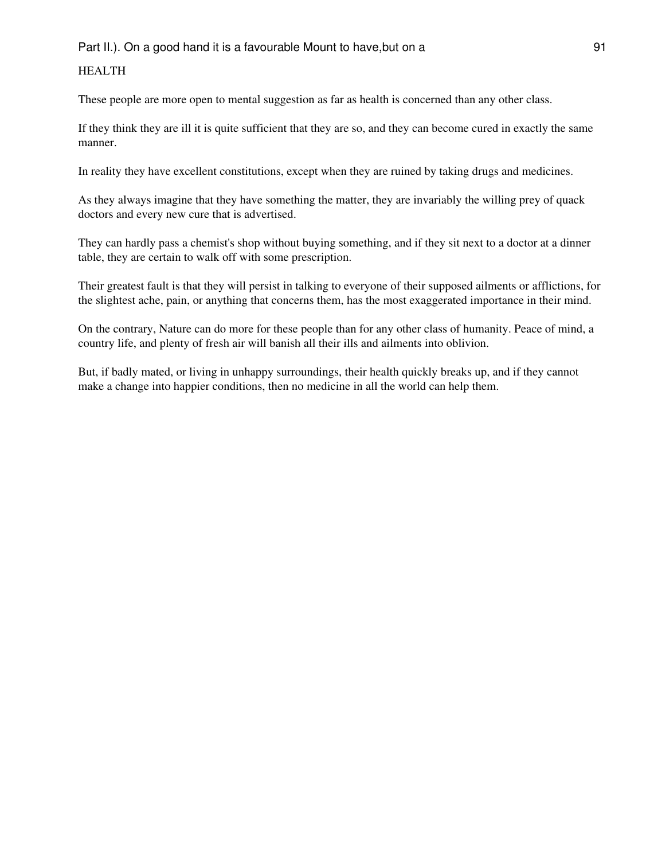### HEALTH

These people are more open to mental suggestion as far as health is concerned than any other class.

If they think they are ill it is quite sufficient that they are so, and they can become cured in exactly the same manner.

In reality they have excellent constitutions, except when they are ruined by taking drugs and medicines.

As they always imagine that they have something the matter, they are invariably the willing prey of quack doctors and every new cure that is advertised.

They can hardly pass a chemist's shop without buying something, and if they sit next to a doctor at a dinner table, they are certain to walk off with some prescription.

Their greatest fault is that they will persist in talking to everyone of their supposed ailments or afflictions, for the slightest ache, pain, or anything that concerns them, has the most exaggerated importance in their mind.

On the contrary, Nature can do more for these people than for any other class of humanity. Peace of mind, a country life, and plenty of fresh air will banish all their ills and ailments into oblivion.

But, if badly mated, or living in unhappy surroundings, their health quickly breaks up, and if they cannot make a change into happier conditions, then no medicine in all the world can help them.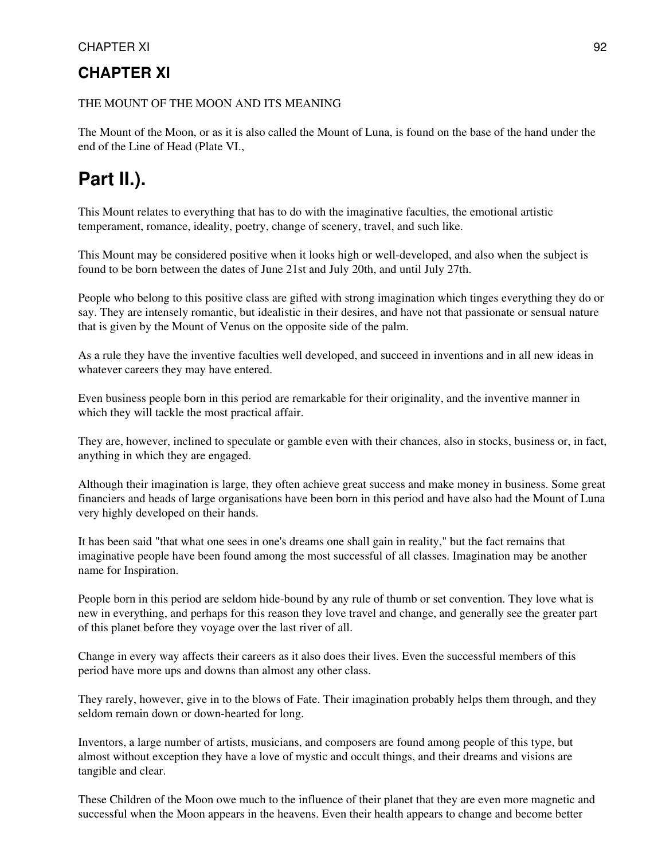## **CHAPTER XI**

### THE MOUNT OF THE MOON AND ITS MEANING

The Mount of the Moon, or as it is also called the Mount of Luna, is found on the base of the hand under the end of the Line of Head (Plate VI.,

# **Part II.).**

This Mount relates to everything that has to do with the imaginative faculties, the emotional artistic temperament, romance, ideality, poetry, change of scenery, travel, and such like.

This Mount may be considered positive when it looks high or well-developed, and also when the subject is found to be born between the dates of June 21st and July 20th, and until July 27th.

People who belong to this positive class are gifted with strong imagination which tinges everything they do or say. They are intensely romantic, but idealistic in their desires, and have not that passionate or sensual nature that is given by the Mount of Venus on the opposite side of the palm.

As a rule they have the inventive faculties well developed, and succeed in inventions and in all new ideas in whatever careers they may have entered.

Even business people born in this period are remarkable for their originality, and the inventive manner in which they will tackle the most practical affair.

They are, however, inclined to speculate or gamble even with their chances, also in stocks, business or, in fact, anything in which they are engaged.

Although their imagination is large, they often achieve great success and make money in business. Some great financiers and heads of large organisations have been born in this period and have also had the Mount of Luna very highly developed on their hands.

It has been said "that what one sees in one's dreams one shall gain in reality," but the fact remains that imaginative people have been found among the most successful of all classes. Imagination may be another name for Inspiration.

People born in this period are seldom hide-bound by any rule of thumb or set convention. They love what is new in everything, and perhaps for this reason they love travel and change, and generally see the greater part of this planet before they voyage over the last river of all.

Change in every way affects their careers as it also does their lives. Even the successful members of this period have more ups and downs than almost any other class.

They rarely, however, give in to the blows of Fate. Their imagination probably helps them through, and they seldom remain down or down-hearted for long.

Inventors, a large number of artists, musicians, and composers are found among people of this type, but almost without exception they have a love of mystic and occult things, and their dreams and visions are tangible and clear.

These Children of the Moon owe much to the influence of their planet that they are even more magnetic and successful when the Moon appears in the heavens. Even their health appears to change and become better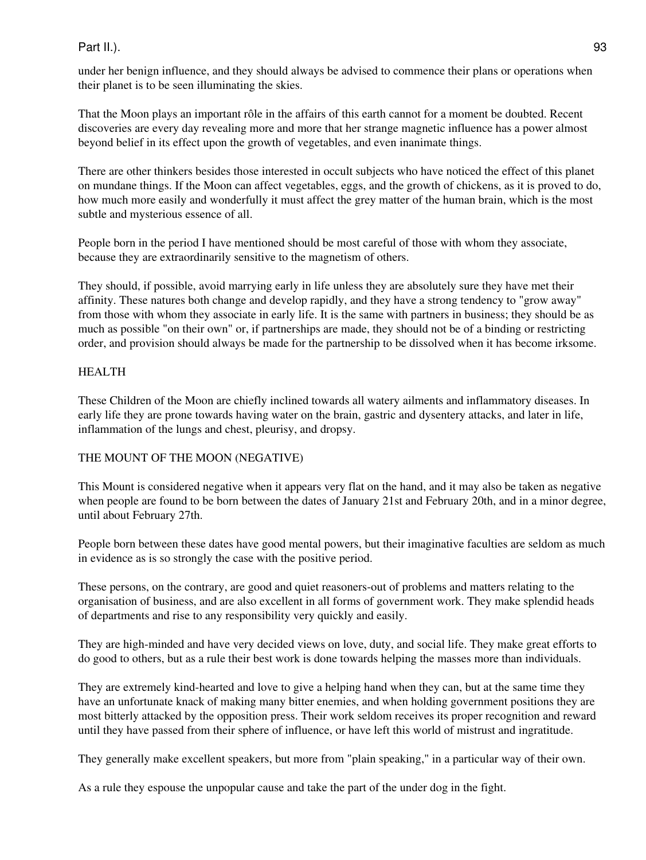### Part II.). 93

under her benign influence, and they should always be advised to commence their plans or operations when their planet is to be seen illuminating the skies.

That the Moon plays an important rôle in the affairs of this earth cannot for a moment be doubted. Recent discoveries are every day revealing more and more that her strange magnetic influence has a power almost beyond belief in its effect upon the growth of vegetables, and even inanimate things.

There are other thinkers besides those interested in occult subjects who have noticed the effect of this planet on mundane things. If the Moon can affect vegetables, eggs, and the growth of chickens, as it is proved to do, how much more easily and wonderfully it must affect the grey matter of the human brain, which is the most subtle and mysterious essence of all.

People born in the period I have mentioned should be most careful of those with whom they associate, because they are extraordinarily sensitive to the magnetism of others.

They should, if possible, avoid marrying early in life unless they are absolutely sure they have met their affinity. These natures both change and develop rapidly, and they have a strong tendency to "grow away" from those with whom they associate in early life. It is the same with partners in business; they should be as much as possible "on their own" or, if partnerships are made, they should not be of a binding or restricting order, and provision should always be made for the partnership to be dissolved when it has become irksome.

### HEALTH

These Children of the Moon are chiefly inclined towards all watery ailments and inflammatory diseases. In early life they are prone towards having water on the brain, gastric and dysentery attacks, and later in life, inflammation of the lungs and chest, pleurisy, and dropsy.

### THE MOUNT OF THE MOON (NEGATIVE)

This Mount is considered negative when it appears very flat on the hand, and it may also be taken as negative when people are found to be born between the dates of January 21st and February 20th, and in a minor degree, until about February 27th.

People born between these dates have good mental powers, but their imaginative faculties are seldom as much in evidence as is so strongly the case with the positive period.

These persons, on the contrary, are good and quiet reasoners-out of problems and matters relating to the organisation of business, and are also excellent in all forms of government work. They make splendid heads of departments and rise to any responsibility very quickly and easily.

They are high-minded and have very decided views on love, duty, and social life. They make great efforts to do good to others, but as a rule their best work is done towards helping the masses more than individuals.

They are extremely kind-hearted and love to give a helping hand when they can, but at the same time they have an unfortunate knack of making many bitter enemies, and when holding government positions they are most bitterly attacked by the opposition press. Their work seldom receives its proper recognition and reward until they have passed from their sphere of influence, or have left this world of mistrust and ingratitude.

They generally make excellent speakers, but more from "plain speaking," in a particular way of their own.

As a rule they espouse the unpopular cause and take the part of the under dog in the fight.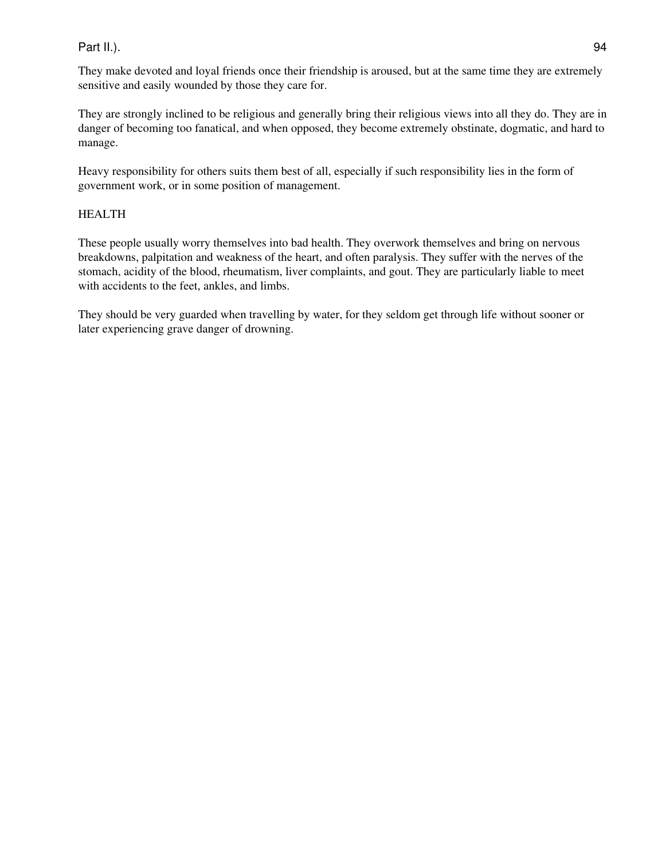### Part II.).

They make devoted and loyal friends once their friendship is aroused, but at the same time they are extremely sensitive and easily wounded by those they care for.

They are strongly inclined to be religious and generally bring their religious views into all they do. They are in danger of becoming too fanatical, and when opposed, they become extremely obstinate, dogmatic, and hard to manage.

Heavy responsibility for others suits them best of all, especially if such responsibility lies in the form of government work, or in some position of management.

### HEALTH

These people usually worry themselves into bad health. They overwork themselves and bring on nervous breakdowns, palpitation and weakness of the heart, and often paralysis. They suffer with the nerves of the stomach, acidity of the blood, rheumatism, liver complaints, and gout. They are particularly liable to meet with accidents to the feet, ankles, and limbs.

They should be very guarded when travelling by water, for they seldom get through life without sooner or later experiencing grave danger of drowning.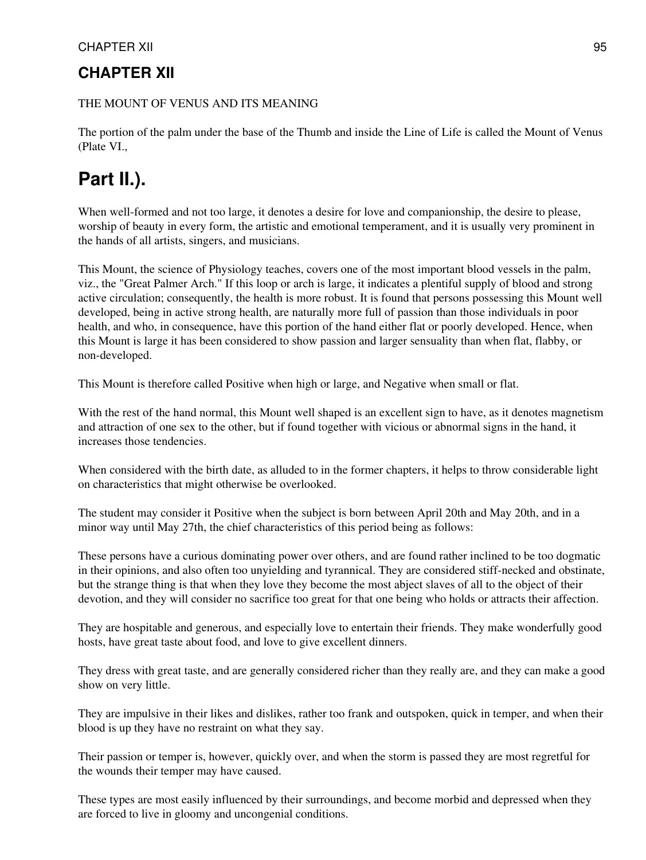## **CHAPTER XII**

THE MOUNT OF VENUS AND ITS MEANING

The portion of the palm under the base of the Thumb and inside the Line of Life is called the Mount of Venus (Plate VI.,

# **Part II.).**

When well-formed and not too large, it denotes a desire for love and companionship, the desire to please, worship of beauty in every form, the artistic and emotional temperament, and it is usually very prominent in the hands of all artists, singers, and musicians.

This Mount, the science of Physiology teaches, covers one of the most important blood vessels in the palm, viz., the "Great Palmer Arch." If this loop or arch is large, it indicates a plentiful supply of blood and strong active circulation; consequently, the health is more robust. It is found that persons possessing this Mount well developed, being in active strong health, are naturally more full of passion than those individuals in poor health, and who, in consequence, have this portion of the hand either flat or poorly developed. Hence, when this Mount is large it has been considered to show passion and larger sensuality than when flat, flabby, or non-developed.

This Mount is therefore called Positive when high or large, and Negative when small or flat.

With the rest of the hand normal, this Mount well shaped is an excellent sign to have, as it denotes magnetism and attraction of one sex to the other, but if found together with vicious or abnormal signs in the hand, it increases those tendencies.

When considered with the birth date, as alluded to in the former chapters, it helps to throw considerable light on characteristics that might otherwise be overlooked.

The student may consider it Positive when the subject is born between April 20th and May 20th, and in a minor way until May 27th, the chief characteristics of this period being as follows:

These persons have a curious dominating power over others, and are found rather inclined to be too dogmatic in their opinions, and also often too unyielding and tyrannical. They are considered stiff-necked and obstinate, but the strange thing is that when they love they become the most abject slaves of all to the object of their devotion, and they will consider no sacrifice too great for that one being who holds or attracts their affection.

They are hospitable and generous, and especially love to entertain their friends. They make wonderfully good hosts, have great taste about food, and love to give excellent dinners.

They dress with great taste, and are generally considered richer than they really are, and they can make a good show on very little.

They are impulsive in their likes and dislikes, rather too frank and outspoken, quick in temper, and when their blood is up they have no restraint on what they say.

Their passion or temper is, however, quickly over, and when the storm is passed they are most regretful for the wounds their temper may have caused.

These types are most easily influenced by their surroundings, and become morbid and depressed when they are forced to live in gloomy and uncongenial conditions.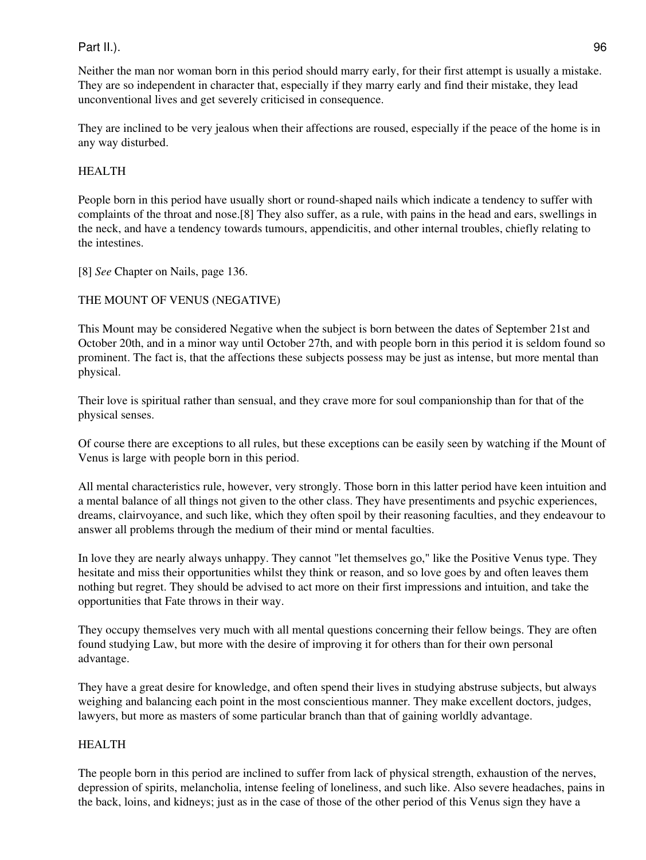### Part II.). 96

Neither the man nor woman born in this period should marry early, for their first attempt is usually a mistake. They are so independent in character that, especially if they marry early and find their mistake, they lead unconventional lives and get severely criticised in consequence.

They are inclined to be very jealous when their affections are roused, especially if the peace of the home is in any way disturbed.

### HEALTH

People born in this period have usually short or round-shaped nails which indicate a tendency to suffer with complaints of the throat and nose.[8] They also suffer, as a rule, with pains in the head and ears, swellings in the neck, and have a tendency towards tumours, appendicitis, and other internal troubles, chiefly relating to the intestines.

[8] *See* Chapter on Nails, page 136.

### THE MOUNT OF VENUS (NEGATIVE)

This Mount may be considered Negative when the subject is born between the dates of September 21st and October 20th, and in a minor way until October 27th, and with people born in this period it is seldom found so prominent. The fact is, that the affections these subjects possess may be just as intense, but more mental than physical.

Their love is spiritual rather than sensual, and they crave more for soul companionship than for that of the physical senses.

Of course there are exceptions to all rules, but these exceptions can be easily seen by watching if the Mount of Venus is large with people born in this period.

All mental characteristics rule, however, very strongly. Those born in this latter period have keen intuition and a mental balance of all things not given to the other class. They have presentiments and psychic experiences, dreams, clairvoyance, and such like, which they often spoil by their reasoning faculties, and they endeavour to answer all problems through the medium of their mind or mental faculties.

In love they are nearly always unhappy. They cannot "let themselves go," like the Positive Venus type. They hesitate and miss their opportunities whilst they think or reason, and so love goes by and often leaves them nothing but regret. They should be advised to act more on their first impressions and intuition, and take the opportunities that Fate throws in their way.

They occupy themselves very much with all mental questions concerning their fellow beings. They are often found studying Law, but more with the desire of improving it for others than for their own personal advantage.

They have a great desire for knowledge, and often spend their lives in studying abstruse subjects, but always weighing and balancing each point in the most conscientious manner. They make excellent doctors, judges, lawyers, but more as masters of some particular branch than that of gaining worldly advantage.

### HEALTH

The people born in this period are inclined to suffer from lack of physical strength, exhaustion of the nerves, depression of spirits, melancholia, intense feeling of loneliness, and such like. Also severe headaches, pains in the back, loins, and kidneys; just as in the case of those of the other period of this Venus sign they have a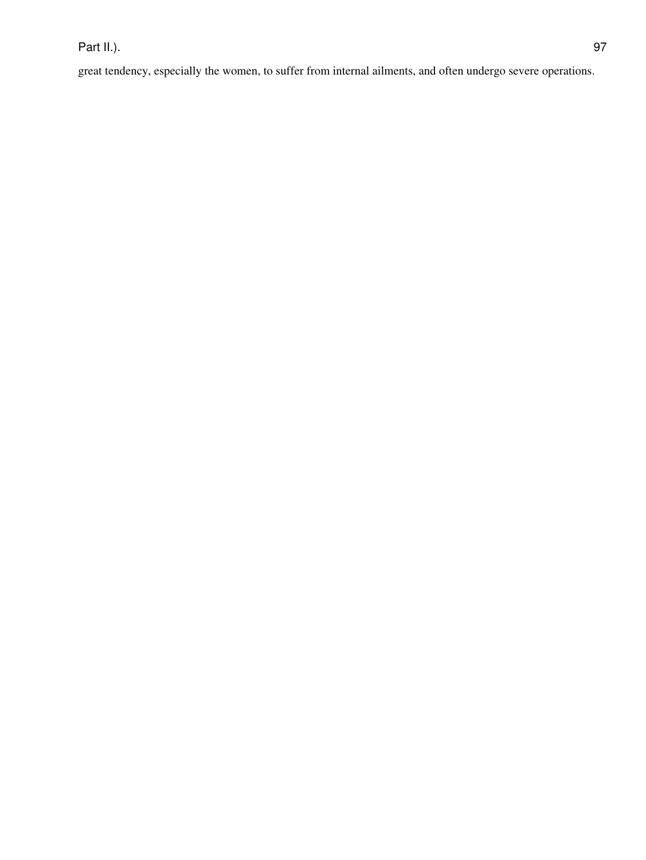great tendency, especially the women, to suffer from internal ailments, and often undergo severe operations.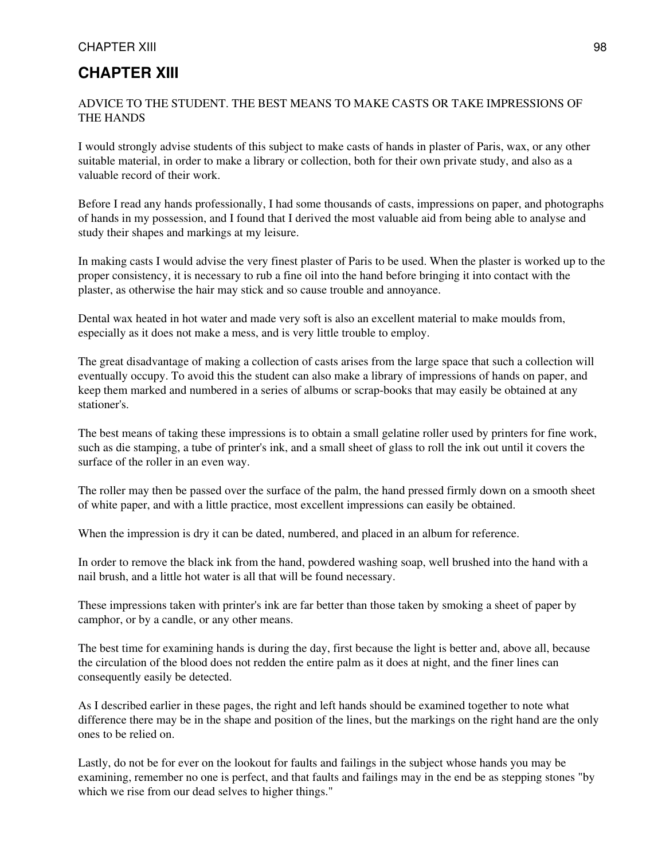### **CHAPTER XIII**

### ADVICE TO THE STUDENT. THE BEST MEANS TO MAKE CASTS OR TAKE IMPRESSIONS OF THE HANDS

I would strongly advise students of this subject to make casts of hands in plaster of Paris, wax, or any other suitable material, in order to make a library or collection, both for their own private study, and also as a valuable record of their work.

Before I read any hands professionally, I had some thousands of casts, impressions on paper, and photographs of hands in my possession, and I found that I derived the most valuable aid from being able to analyse and study their shapes and markings at my leisure.

In making casts I would advise the very finest plaster of Paris to be used. When the plaster is worked up to the proper consistency, it is necessary to rub a fine oil into the hand before bringing it into contact with the plaster, as otherwise the hair may stick and so cause trouble and annoyance.

Dental wax heated in hot water and made very soft is also an excellent material to make moulds from, especially as it does not make a mess, and is very little trouble to employ.

The great disadvantage of making a collection of casts arises from the large space that such a collection will eventually occupy. To avoid this the student can also make a library of impressions of hands on paper, and keep them marked and numbered in a series of albums or scrap-books that may easily be obtained at any stationer's.

The best means of taking these impressions is to obtain a small gelatine roller used by printers for fine work, such as die stamping, a tube of printer's ink, and a small sheet of glass to roll the ink out until it covers the surface of the roller in an even way.

The roller may then be passed over the surface of the palm, the hand pressed firmly down on a smooth sheet of white paper, and with a little practice, most excellent impressions can easily be obtained.

When the impression is dry it can be dated, numbered, and placed in an album for reference.

In order to remove the black ink from the hand, powdered washing soap, well brushed into the hand with a nail brush, and a little hot water is all that will be found necessary.

These impressions taken with printer's ink are far better than those taken by smoking a sheet of paper by camphor, or by a candle, or any other means.

The best time for examining hands is during the day, first because the light is better and, above all, because the circulation of the blood does not redden the entire palm as it does at night, and the finer lines can consequently easily be detected.

As I described earlier in these pages, the right and left hands should be examined together to note what difference there may be in the shape and position of the lines, but the markings on the right hand are the only ones to be relied on.

Lastly, do not be for ever on the lookout for faults and failings in the subject whose hands you may be examining, remember no one is perfect, and that faults and failings may in the end be as stepping stones "by which we rise from our dead selves to higher things."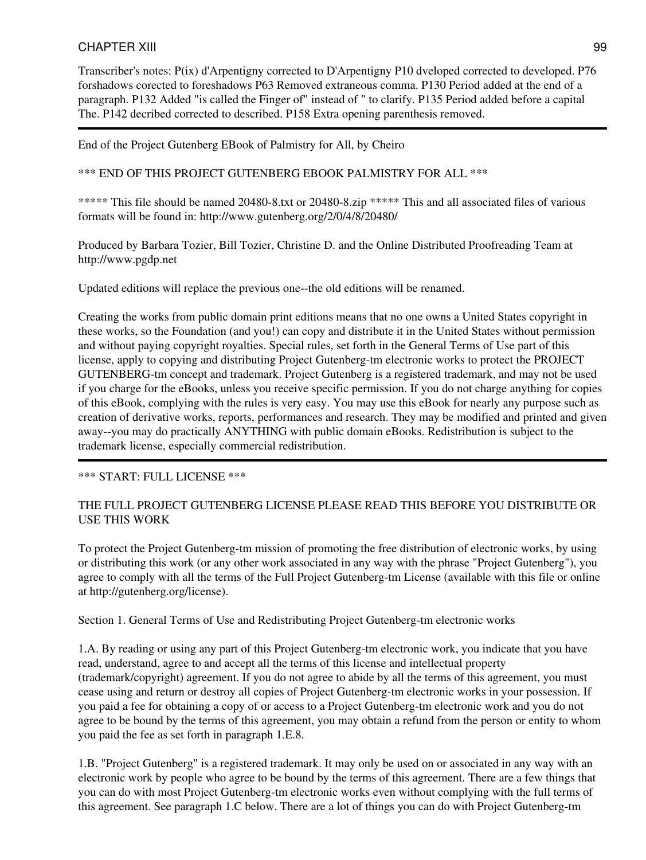Transcriber's notes: P(ix) d'Arpentigny corrected to D'Arpentigny P10 dveloped corrected to developed. P76 forshadows corected to foreshadows P63 Removed extraneous comma. P130 Period added at the end of a paragraph. P132 Added "is called the Finger of" instead of " to clarify. P135 Period added before a capital The. P142 decribed corrected to described. P158 Extra opening parenthesis removed.

End of the Project Gutenberg EBook of Palmistry for All, by Cheiro

\*\*\* END OF THIS PROJECT GUTENBERG EBOOK PALMISTRY FOR ALL \*\*\*

\*\*\*\*\* This file should be named 20480-8.txt or 20480-8.zip \*\*\*\*\* This and all associated files of various formats will be found in: http://www.gutenberg.org/2/0/4/8/20480/

Produced by Barbara Tozier, Bill Tozier, Christine D. and the Online Distributed Proofreading Team at http://www.pgdp.net

Updated editions will replace the previous one--the old editions will be renamed.

Creating the works from public domain print editions means that no one owns a United States copyright in these works, so the Foundation (and you!) can copy and distribute it in the United States without permission and without paying copyright royalties. Special rules, set forth in the General Terms of Use part of this license, apply to copying and distributing Project Gutenberg-tm electronic works to protect the PROJECT GUTENBERG-tm concept and trademark. Project Gutenberg is a registered trademark, and may not be used if you charge for the eBooks, unless you receive specific permission. If you do not charge anything for copies of this eBook, complying with the rules is very easy. You may use this eBook for nearly any purpose such as creation of derivative works, reports, performances and research. They may be modified and printed and given away--you may do practically ANYTHING with public domain eBooks. Redistribution is subject to the trademark license, especially commercial redistribution.

### \*\*\* START: FULL LICENSE \*\*\*

### THE FULL PROJECT GUTENBERG LICENSE PLEASE READ THIS BEFORE YOU DISTRIBUTE OR USE THIS WORK

To protect the Project Gutenberg-tm mission of promoting the free distribution of electronic works, by using or distributing this work (or any other work associated in any way with the phrase "Project Gutenberg"), you agree to comply with all the terms of the Full Project Gutenberg-tm License (available with this file or online at http://gutenberg.org/license).

Section 1. General Terms of Use and Redistributing Project Gutenberg-tm electronic works

1.A. By reading or using any part of this Project Gutenberg-tm electronic work, you indicate that you have read, understand, agree to and accept all the terms of this license and intellectual property (trademark/copyright) agreement. If you do not agree to abide by all the terms of this agreement, you must cease using and return or destroy all copies of Project Gutenberg-tm electronic works in your possession. If you paid a fee for obtaining a copy of or access to a Project Gutenberg-tm electronic work and you do not agree to be bound by the terms of this agreement, you may obtain a refund from the person or entity to whom you paid the fee as set forth in paragraph 1.E.8.

1.B. "Project Gutenberg" is a registered trademark. It may only be used on or associated in any way with an electronic work by people who agree to be bound by the terms of this agreement. There are a few things that you can do with most Project Gutenberg-tm electronic works even without complying with the full terms of this agreement. See paragraph 1.C below. There are a lot of things you can do with Project Gutenberg-tm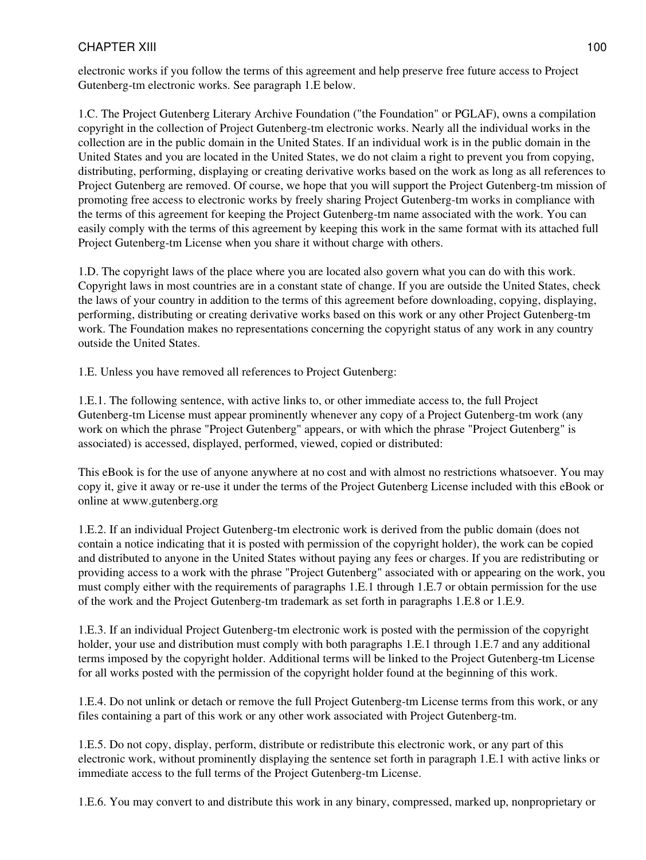electronic works if you follow the terms of this agreement and help preserve free future access to Project Gutenberg-tm electronic works. See paragraph 1.E below.

1.C. The Project Gutenberg Literary Archive Foundation ("the Foundation" or PGLAF), owns a compilation copyright in the collection of Project Gutenberg-tm electronic works. Nearly all the individual works in the collection are in the public domain in the United States. If an individual work is in the public domain in the United States and you are located in the United States, we do not claim a right to prevent you from copying, distributing, performing, displaying or creating derivative works based on the work as long as all references to Project Gutenberg are removed. Of course, we hope that you will support the Project Gutenberg-tm mission of promoting free access to electronic works by freely sharing Project Gutenberg-tm works in compliance with the terms of this agreement for keeping the Project Gutenberg-tm name associated with the work. You can easily comply with the terms of this agreement by keeping this work in the same format with its attached full Project Gutenberg-tm License when you share it without charge with others.

1.D. The copyright laws of the place where you are located also govern what you can do with this work. Copyright laws in most countries are in a constant state of change. If you are outside the United States, check the laws of your country in addition to the terms of this agreement before downloading, copying, displaying, performing, distributing or creating derivative works based on this work or any other Project Gutenberg-tm work. The Foundation makes no representations concerning the copyright status of any work in any country outside the United States.

1.E. Unless you have removed all references to Project Gutenberg:

1.E.1. The following sentence, with active links to, or other immediate access to, the full Project Gutenberg-tm License must appear prominently whenever any copy of a Project Gutenberg-tm work (any work on which the phrase "Project Gutenberg" appears, or with which the phrase "Project Gutenberg" is associated) is accessed, displayed, performed, viewed, copied or distributed:

This eBook is for the use of anyone anywhere at no cost and with almost no restrictions whatsoever. You may copy it, give it away or re-use it under the terms of the Project Gutenberg License included with this eBook or online at www.gutenberg.org

1.E.2. If an individual Project Gutenberg-tm electronic work is derived from the public domain (does not contain a notice indicating that it is posted with permission of the copyright holder), the work can be copied and distributed to anyone in the United States without paying any fees or charges. If you are redistributing or providing access to a work with the phrase "Project Gutenberg" associated with or appearing on the work, you must comply either with the requirements of paragraphs 1.E.1 through 1.E.7 or obtain permission for the use of the work and the Project Gutenberg-tm trademark as set forth in paragraphs 1.E.8 or 1.E.9.

1.E.3. If an individual Project Gutenberg-tm electronic work is posted with the permission of the copyright holder, your use and distribution must comply with both paragraphs 1.E.1 through 1.E.7 and any additional terms imposed by the copyright holder. Additional terms will be linked to the Project Gutenberg-tm License for all works posted with the permission of the copyright holder found at the beginning of this work.

1.E.4. Do not unlink or detach or remove the full Project Gutenberg-tm License terms from this work, or any files containing a part of this work or any other work associated with Project Gutenberg-tm.

1.E.5. Do not copy, display, perform, distribute or redistribute this electronic work, or any part of this electronic work, without prominently displaying the sentence set forth in paragraph 1.E.1 with active links or immediate access to the full terms of the Project Gutenberg-tm License.

1.E.6. You may convert to and distribute this work in any binary, compressed, marked up, nonproprietary or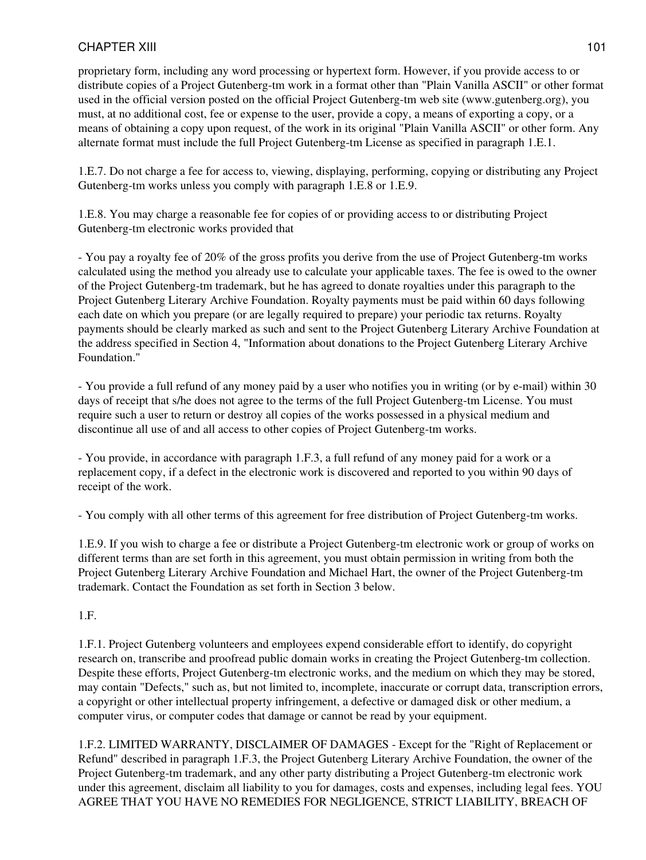proprietary form, including any word processing or hypertext form. However, if you provide access to or distribute copies of a Project Gutenberg-tm work in a format other than "Plain Vanilla ASCII" or other format used in the official version posted on the official Project Gutenberg-tm web site (www.gutenberg.org), you must, at no additional cost, fee or expense to the user, provide a copy, a means of exporting a copy, or a means of obtaining a copy upon request, of the work in its original "Plain Vanilla ASCII" or other form. Any alternate format must include the full Project Gutenberg-tm License as specified in paragraph 1.E.1.

1.E.7. Do not charge a fee for access to, viewing, displaying, performing, copying or distributing any Project Gutenberg-tm works unless you comply with paragraph 1.E.8 or 1.E.9.

1.E.8. You may charge a reasonable fee for copies of or providing access to or distributing Project Gutenberg-tm electronic works provided that

- You pay a royalty fee of 20% of the gross profits you derive from the use of Project Gutenberg-tm works calculated using the method you already use to calculate your applicable taxes. The fee is owed to the owner of the Project Gutenberg-tm trademark, but he has agreed to donate royalties under this paragraph to the Project Gutenberg Literary Archive Foundation. Royalty payments must be paid within 60 days following each date on which you prepare (or are legally required to prepare) your periodic tax returns. Royalty payments should be clearly marked as such and sent to the Project Gutenberg Literary Archive Foundation at the address specified in Section 4, "Information about donations to the Project Gutenberg Literary Archive Foundation."

- You provide a full refund of any money paid by a user who notifies you in writing (or by e-mail) within 30 days of receipt that s/he does not agree to the terms of the full Project Gutenberg-tm License. You must require such a user to return or destroy all copies of the works possessed in a physical medium and discontinue all use of and all access to other copies of Project Gutenberg-tm works.

- You provide, in accordance with paragraph 1.F.3, a full refund of any money paid for a work or a replacement copy, if a defect in the electronic work is discovered and reported to you within 90 days of receipt of the work.

- You comply with all other terms of this agreement for free distribution of Project Gutenberg-tm works.

1.E.9. If you wish to charge a fee or distribute a Project Gutenberg-tm electronic work or group of works on different terms than are set forth in this agreement, you must obtain permission in writing from both the Project Gutenberg Literary Archive Foundation and Michael Hart, the owner of the Project Gutenberg-tm trademark. Contact the Foundation as set forth in Section 3 below.

### 1.F.

1.F.1. Project Gutenberg volunteers and employees expend considerable effort to identify, do copyright research on, transcribe and proofread public domain works in creating the Project Gutenberg-tm collection. Despite these efforts, Project Gutenberg-tm electronic works, and the medium on which they may be stored, may contain "Defects," such as, but not limited to, incomplete, inaccurate or corrupt data, transcription errors, a copyright or other intellectual property infringement, a defective or damaged disk or other medium, a computer virus, or computer codes that damage or cannot be read by your equipment.

1.F.2. LIMITED WARRANTY, DISCLAIMER OF DAMAGES - Except for the "Right of Replacement or Refund" described in paragraph 1.F.3, the Project Gutenberg Literary Archive Foundation, the owner of the Project Gutenberg-tm trademark, and any other party distributing a Project Gutenberg-tm electronic work under this agreement, disclaim all liability to you for damages, costs and expenses, including legal fees. YOU AGREE THAT YOU HAVE NO REMEDIES FOR NEGLIGENCE, STRICT LIABILITY, BREACH OF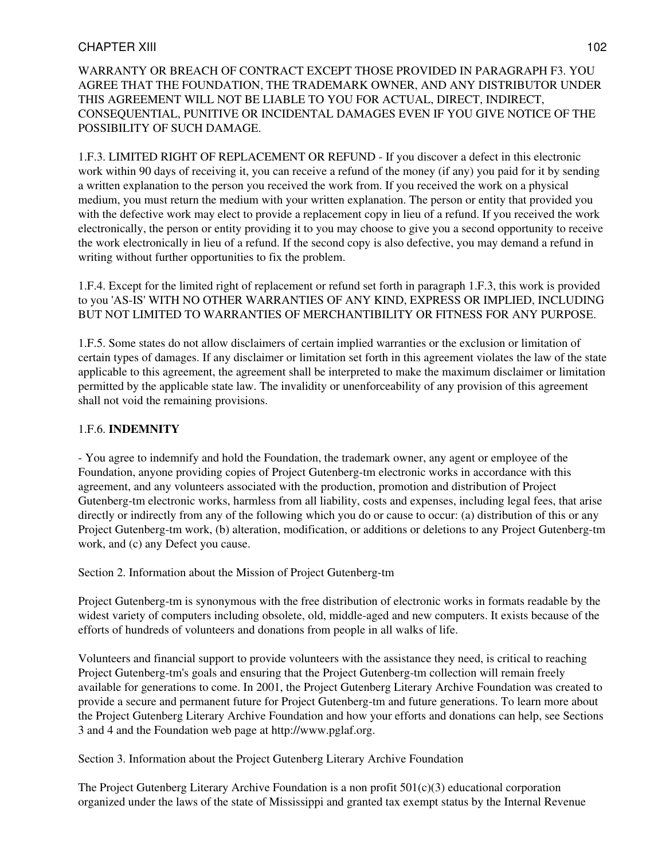WARRANTY OR BREACH OF CONTRACT EXCEPT THOSE PROVIDED IN PARAGRAPH F3. YOU AGREE THAT THE FOUNDATION, THE TRADEMARK OWNER, AND ANY DISTRIBUTOR UNDER THIS AGREEMENT WILL NOT BE LIABLE TO YOU FOR ACTUAL, DIRECT, INDIRECT, CONSEQUENTIAL, PUNITIVE OR INCIDENTAL DAMAGES EVEN IF YOU GIVE NOTICE OF THE POSSIBILITY OF SUCH DAMAGE.

1.F.3. LIMITED RIGHT OF REPLACEMENT OR REFUND - If you discover a defect in this electronic work within 90 days of receiving it, you can receive a refund of the money (if any) you paid for it by sending a written explanation to the person you received the work from. If you received the work on a physical medium, you must return the medium with your written explanation. The person or entity that provided you with the defective work may elect to provide a replacement copy in lieu of a refund. If you received the work electronically, the person or entity providing it to you may choose to give you a second opportunity to receive the work electronically in lieu of a refund. If the second copy is also defective, you may demand a refund in writing without further opportunities to fix the problem.

1.F.4. Except for the limited right of replacement or refund set forth in paragraph 1.F.3, this work is provided to you 'AS-IS' WITH NO OTHER WARRANTIES OF ANY KIND, EXPRESS OR IMPLIED, INCLUDING BUT NOT LIMITED TO WARRANTIES OF MERCHANTIBILITY OR FITNESS FOR ANY PURPOSE.

1.F.5. Some states do not allow disclaimers of certain implied warranties or the exclusion or limitation of certain types of damages. If any disclaimer or limitation set forth in this agreement violates the law of the state applicable to this agreement, the agreement shall be interpreted to make the maximum disclaimer or limitation permitted by the applicable state law. The invalidity or unenforceability of any provision of this agreement shall not void the remaining provisions.

### 1.F.6. **INDEMNITY**

- You agree to indemnify and hold the Foundation, the trademark owner, any agent or employee of the Foundation, anyone providing copies of Project Gutenberg-tm electronic works in accordance with this agreement, and any volunteers associated with the production, promotion and distribution of Project Gutenberg-tm electronic works, harmless from all liability, costs and expenses, including legal fees, that arise directly or indirectly from any of the following which you do or cause to occur: (a) distribution of this or any Project Gutenberg-tm work, (b) alteration, modification, or additions or deletions to any Project Gutenberg-tm work, and (c) any Defect you cause.

Section 2. Information about the Mission of Project Gutenberg-tm

Project Gutenberg-tm is synonymous with the free distribution of electronic works in formats readable by the widest variety of computers including obsolete, old, middle-aged and new computers. It exists because of the efforts of hundreds of volunteers and donations from people in all walks of life.

Volunteers and financial support to provide volunteers with the assistance they need, is critical to reaching Project Gutenberg-tm's goals and ensuring that the Project Gutenberg-tm collection will remain freely available for generations to come. In 2001, the Project Gutenberg Literary Archive Foundation was created to provide a secure and permanent future for Project Gutenberg-tm and future generations. To learn more about the Project Gutenberg Literary Archive Foundation and how your efforts and donations can help, see Sections 3 and 4 and the Foundation web page at http://www.pglaf.org.

Section 3. Information about the Project Gutenberg Literary Archive Foundation

The Project Gutenberg Literary Archive Foundation is a non profit  $501(c)(3)$  educational corporation organized under the laws of the state of Mississippi and granted tax exempt status by the Internal Revenue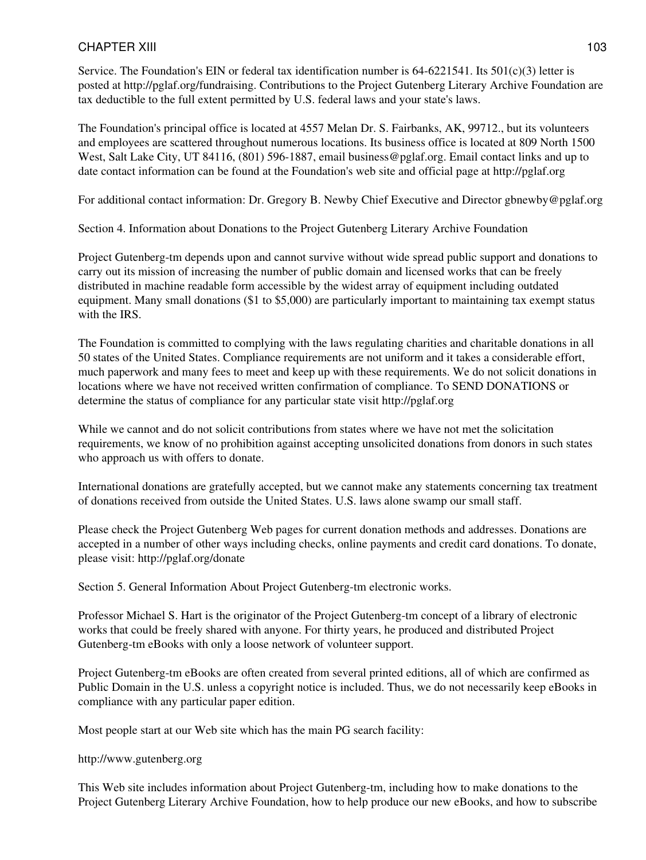Service. The Foundation's EIN or federal tax identification number is  $64-6221541$ . Its  $501(c)(3)$  letter is posted at http://pglaf.org/fundraising. Contributions to the Project Gutenberg Literary Archive Foundation are tax deductible to the full extent permitted by U.S. federal laws and your state's laws.

The Foundation's principal office is located at 4557 Melan Dr. S. Fairbanks, AK, 99712., but its volunteers and employees are scattered throughout numerous locations. Its business office is located at 809 North 1500 West, Salt Lake City, UT 84116, (801) 596-1887, email business@pglaf.org. Email contact links and up to date contact information can be found at the Foundation's web site and official page at http://pglaf.org

For additional contact information: Dr. Gregory B. Newby Chief Executive and Director gbnewby@pglaf.org

Section 4. Information about Donations to the Project Gutenberg Literary Archive Foundation

Project Gutenberg-tm depends upon and cannot survive without wide spread public support and donations to carry out its mission of increasing the number of public domain and licensed works that can be freely distributed in machine readable form accessible by the widest array of equipment including outdated equipment. Many small donations (\$1 to \$5,000) are particularly important to maintaining tax exempt status with the IRS.

The Foundation is committed to complying with the laws regulating charities and charitable donations in all 50 states of the United States. Compliance requirements are not uniform and it takes a considerable effort, much paperwork and many fees to meet and keep up with these requirements. We do not solicit donations in locations where we have not received written confirmation of compliance. To SEND DONATIONS or determine the status of compliance for any particular state visit http://pglaf.org

While we cannot and do not solicit contributions from states where we have not met the solicitation requirements, we know of no prohibition against accepting unsolicited donations from donors in such states who approach us with offers to donate.

International donations are gratefully accepted, but we cannot make any statements concerning tax treatment of donations received from outside the United States. U.S. laws alone swamp our small staff.

Please check the Project Gutenberg Web pages for current donation methods and addresses. Donations are accepted in a number of other ways including checks, online payments and credit card donations. To donate, please visit: http://pglaf.org/donate

Section 5. General Information About Project Gutenberg-tm electronic works.

Professor Michael S. Hart is the originator of the Project Gutenberg-tm concept of a library of electronic works that could be freely shared with anyone. For thirty years, he produced and distributed Project Gutenberg-tm eBooks with only a loose network of volunteer support.

Project Gutenberg-tm eBooks are often created from several printed editions, all of which are confirmed as Public Domain in the U.S. unless a copyright notice is included. Thus, we do not necessarily keep eBooks in compliance with any particular paper edition.

Most people start at our Web site which has the main PG search facility:

http://www.gutenberg.org

This Web site includes information about Project Gutenberg-tm, including how to make donations to the Project Gutenberg Literary Archive Foundation, how to help produce our new eBooks, and how to subscribe